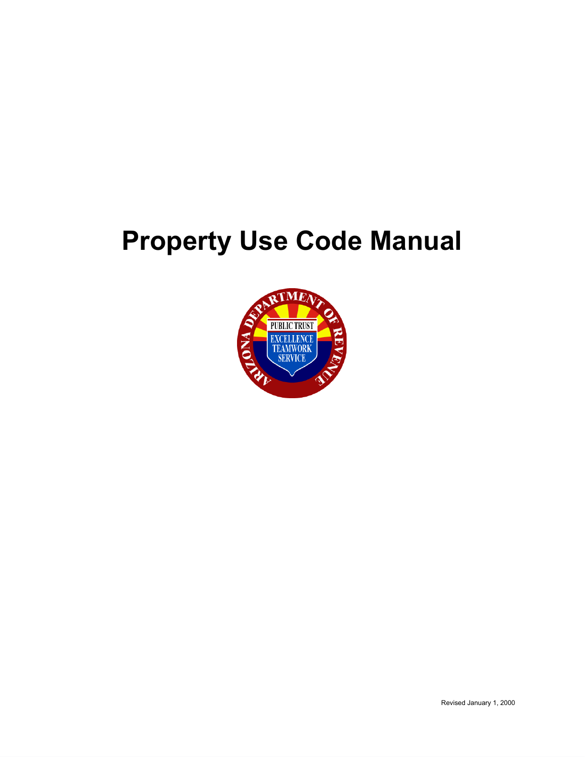# **Property Use Code Manual**

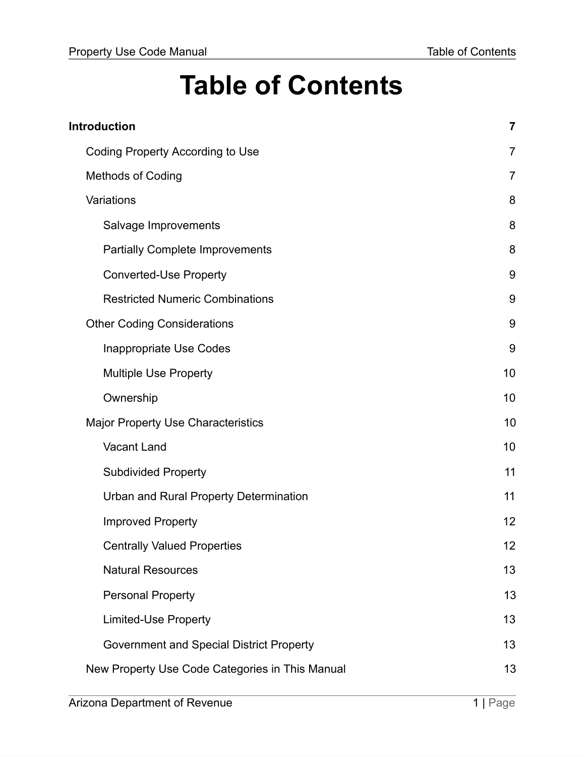# **Table of Contents**

| <b>Introduction</b>                             | $\overline{7}$ |
|-------------------------------------------------|----------------|
| <b>Coding Property According to Use</b>         | $\overline{7}$ |
| <b>Methods of Coding</b>                        | $\overline{7}$ |
| Variations                                      | 8              |
| Salvage Improvements                            | 8              |
| <b>Partially Complete Improvements</b>          | 8              |
| <b>Converted-Use Property</b>                   | 9              |
| <b>Restricted Numeric Combinations</b>          | 9              |
| <b>Other Coding Considerations</b>              | 9              |
| <b>Inappropriate Use Codes</b>                  | 9              |
| <b>Multiple Use Property</b>                    | 10             |
| Ownership                                       | 10             |
| <b>Major Property Use Characteristics</b>       | 10             |
| <b>Vacant Land</b>                              | 10             |
| <b>Subdivided Property</b>                      | 11             |
| Urban and Rural Property Determination          | 11             |
| <b>Improved Property</b>                        | 12             |
| <b>Centrally Valued Properties</b>              | 12             |
| <b>Natural Resources</b>                        | 13             |
| <b>Personal Property</b>                        | 13             |
| <b>Limited-Use Property</b>                     | 13             |
| <b>Government and Special District Property</b> | 13             |
| New Property Use Code Categories in This Manual | 13             |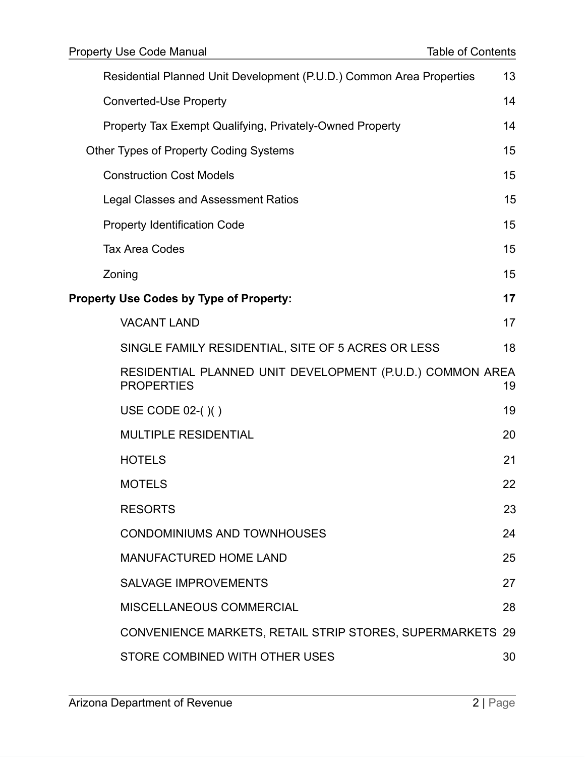| Residential Planned Unit Development (P.U.D.) Common Area Properties           | 13 |
|--------------------------------------------------------------------------------|----|
| <b>Converted-Use Property</b>                                                  | 14 |
| Property Tax Exempt Qualifying, Privately-Owned Property                       | 14 |
| Other Types of Property Coding Systems                                         | 15 |
| <b>Construction Cost Models</b>                                                | 15 |
| Legal Classes and Assessment Ratios                                            | 15 |
| <b>Property Identification Code</b>                                            | 15 |
| <b>Tax Area Codes</b>                                                          | 15 |
| Zoning                                                                         | 15 |
| Property Use Codes by Type of Property:                                        | 17 |
| <b>VACANT LAND</b>                                                             | 17 |
| SINGLE FAMILY RESIDENTIAL, SITE OF 5 ACRES OR LESS                             | 18 |
| RESIDENTIAL PLANNED UNIT DEVELOPMENT (P.U.D.) COMMON AREA<br><b>PROPERTIES</b> | 19 |
| USE CODE 02- $()()$                                                            | 19 |
| <b>MULTIPLE RESIDENTIAL</b>                                                    | 20 |
| <b>HOTELS</b>                                                                  | 21 |
| <b>MOTELS</b>                                                                  | 22 |
| <b>RESORTS</b>                                                                 | 23 |
| <b>CONDOMINIUMS AND TOWNHOUSES</b>                                             | 24 |
| <b>MANUFACTURED HOME LAND</b>                                                  | 25 |
| <b>SALVAGE IMPROVEMENTS</b>                                                    | 27 |
| MISCELLANEOUS COMMERCIAL                                                       | 28 |
| CONVENIENCE MARKETS, RETAIL STRIP STORES, SUPERMARKETS 29                      |    |
| STORE COMBINED WITH OTHER USES                                                 | 30 |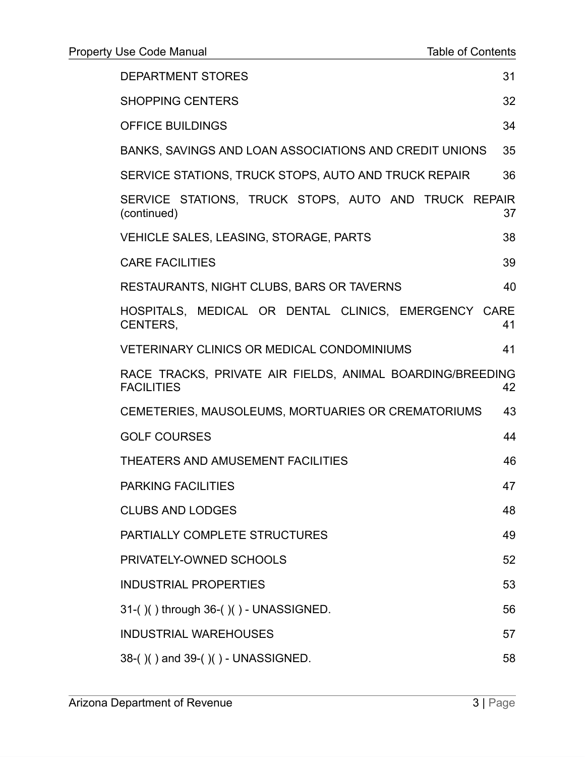| <b>DEPARTMENT STORES</b>                                                       | 31 |
|--------------------------------------------------------------------------------|----|
|                                                                                |    |
| <b>SHOPPING CENTERS</b>                                                        | 32 |
| <b>OFFICE BUILDINGS</b>                                                        | 34 |
| BANKS, SAVINGS AND LOAN ASSOCIATIONS AND CREDIT UNIONS                         | 35 |
| SERVICE STATIONS, TRUCK STOPS, AUTO AND TRUCK REPAIR                           | 36 |
| SERVICE STATIONS, TRUCK STOPS, AUTO AND TRUCK REPAIR<br>(continued)            | 37 |
| <b>VEHICLE SALES, LEASING, STORAGE, PARTS</b>                                  | 38 |
| <b>CARE FACILITIES</b>                                                         | 39 |
| <b>RESTAURANTS, NIGHT CLUBS, BARS OR TAVERNS</b>                               | 40 |
| HOSPITALS, MEDICAL OR DENTAL CLINICS, EMERGENCY CARE<br>CENTERS,               | 41 |
| VETERINARY CLINICS OR MEDICAL CONDOMINIUMS                                     | 41 |
| RACE TRACKS, PRIVATE AIR FIELDS, ANIMAL BOARDING/BREEDING<br><b>FACILITIES</b> | 42 |
| CEMETERIES, MAUSOLEUMS, MORTUARIES OR CREMATORIUMS                             | 43 |
| <b>GOLF COURSES</b>                                                            | 44 |
| THEATERS AND AMUSEMENT FACILITIES                                              | 46 |
| <b>PARKING FACILITIES</b>                                                      | 47 |
| <b>CLUBS AND LODGES</b>                                                        | 48 |
| <b>PARTIALLY COMPLETE STRUCTURES</b>                                           | 49 |
| PRIVATELY-OWNED SCHOOLS                                                        | 52 |
| <b>INDUSTRIAL PROPERTIES</b>                                                   | 53 |
| 31-()() through 36-()() - UNASSIGNED.                                          | 56 |
| <b>INDUSTRIAL WAREHOUSES</b>                                                   | 57 |
| 38-()() and 39-()() - UNASSIGNED.                                              | 58 |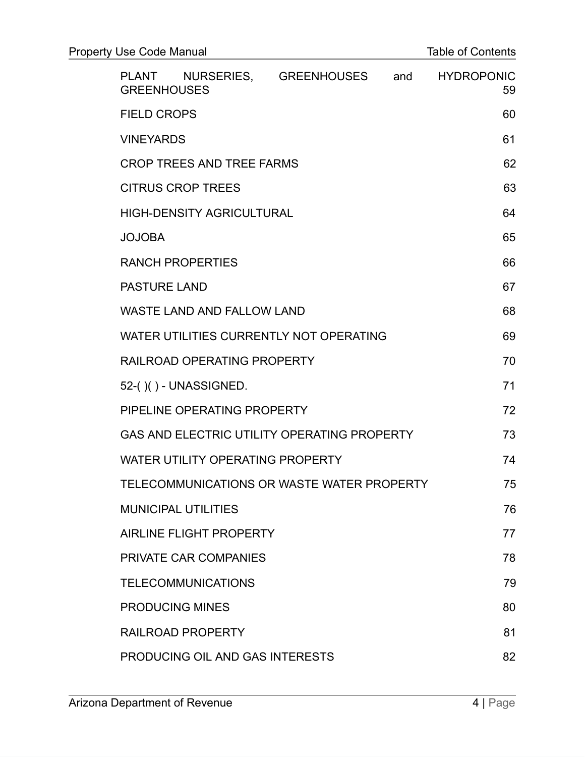| <b>PLANT</b><br><b>GREENHOUSES</b> |                                   | NURSERIES, GREENHOUSES                      | and | <b>HYDROPONIC</b><br>59 |
|------------------------------------|-----------------------------------|---------------------------------------------|-----|-------------------------|
| <b>FIELD CROPS</b>                 |                                   |                                             |     | 60                      |
| <b>VINEYARDS</b>                   |                                   |                                             |     | 61                      |
|                                    | <b>CROP TREES AND TREE FARMS</b>  |                                             |     | 62                      |
|                                    | <b>CITRUS CROP TREES</b>          |                                             |     | 63                      |
|                                    | <b>HIGH-DENSITY AGRICULTURAL</b>  |                                             |     | 64                      |
| <b>JOJOBA</b>                      |                                   |                                             |     | 65                      |
|                                    | <b>RANCH PROPERTIES</b>           |                                             |     | 66                      |
| <b>PASTURE LAND</b>                |                                   |                                             |     | 67                      |
|                                    | <b>WASTE LAND AND FALLOW LAND</b> |                                             |     | 68                      |
|                                    |                                   | WATER UTILITIES CURRENTLY NOT OPERATING     |     | 69                      |
|                                    | RAILROAD OPERATING PROPERTY       |                                             |     | 70                      |
|                                    | 52-()() - UNASSIGNED.             |                                             |     | 71                      |
|                                    | PIPELINE OPERATING PROPERTY       |                                             |     | 72                      |
|                                    |                                   | GAS AND ELECTRIC UTILITY OPERATING PROPERTY |     | 73                      |
|                                    | WATER UTILITY OPERATING PROPERTY  |                                             |     | 74                      |
|                                    |                                   | TELECOMMUNICATIONS OR WASTE WATER PROPERTY  |     | 75                      |
|                                    | <b>MUNICIPAL UTILITIES</b>        |                                             |     | 76                      |
|                                    | <b>AIRLINE FLIGHT PROPERTY</b>    |                                             |     | 77                      |
|                                    | PRIVATE CAR COMPANIES             |                                             |     | 78                      |
|                                    | <b>TELECOMMUNICATIONS</b>         |                                             |     | 79                      |
| <b>PRODUCING MINES</b>             |                                   |                                             |     | 80                      |
|                                    | <b>RAILROAD PROPERTY</b>          |                                             |     | 81                      |
|                                    | PRODUCING OIL AND GAS INTERESTS   |                                             |     | 82                      |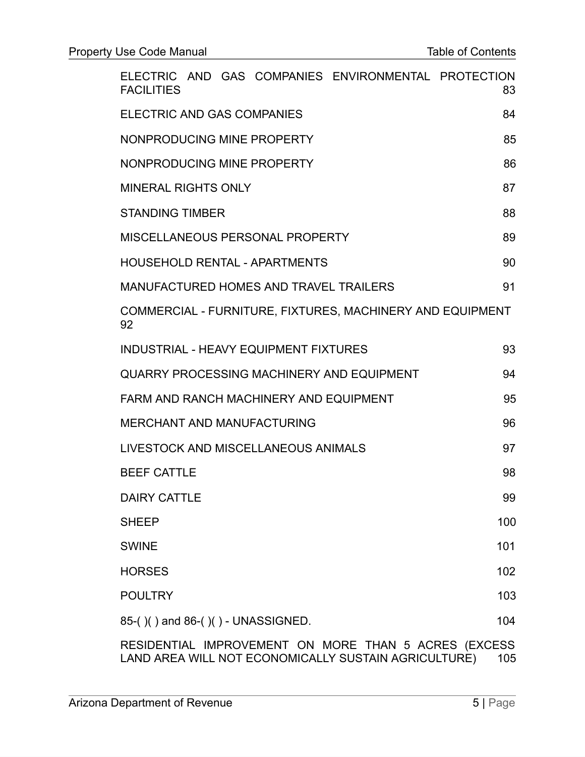| ELECTRIC AND GAS COMPANIES ENVIRONMENTAL PROTECTION<br><b>FACILITIES</b>                                     | 83  |
|--------------------------------------------------------------------------------------------------------------|-----|
| ELECTRIC AND GAS COMPANIES                                                                                   | 84  |
| NONPRODUCING MINE PROPERTY                                                                                   | 85  |
| NONPRODUCING MINE PROPERTY                                                                                   | 86  |
| <b>MINERAL RIGHTS ONLY</b>                                                                                   | 87  |
| <b>STANDING TIMBER</b>                                                                                       | 88  |
| MISCELLANEOUS PERSONAL PROPERTY                                                                              | 89  |
| <b>HOUSEHOLD RENTAL - APARTMENTS</b>                                                                         | 90  |
| <b>MANUFACTURED HOMES AND TRAVEL TRAILERS</b>                                                                | 91  |
| COMMERCIAL - FURNITURE, FIXTURES, MACHINERY AND EQUIPMENT<br>92                                              |     |
| INDUSTRIAL - HEAVY EQUIPMENT FIXTURES                                                                        | 93  |
| <b>QUARRY PROCESSING MACHINERY AND EQUIPMENT</b>                                                             | 94  |
| FARM AND RANCH MACHINERY AND EQUIPMENT                                                                       | 95  |
| <b>MERCHANT AND MANUFACTURING</b>                                                                            | 96  |
| LIVESTOCK AND MISCELLANEOUS ANIMALS                                                                          | 97  |
| <b>BEEF CATTLE</b>                                                                                           | 98  |
| <b>DAIRY CATTLE</b>                                                                                          | 99  |
| <b>SHEEP</b>                                                                                                 | 100 |
| <b>SWINE</b>                                                                                                 | 101 |
| <b>HORSES</b>                                                                                                | 102 |
| <b>POULTRY</b>                                                                                               | 103 |
| 85-()() and 86-()() - UNASSIGNED.                                                                            | 104 |
| RESIDENTIAL IMPROVEMENT ON MORE THAN 5 ACRES (EXCESS<br>LAND AREA WILL NOT ECONOMICALLY SUSTAIN AGRICULTURE) | 105 |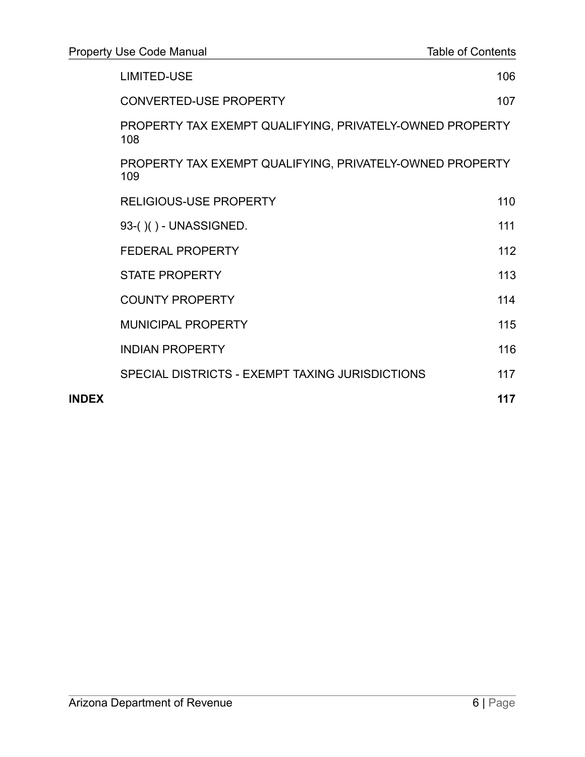|              | <b>LIMITED-USE</b>                                              | 106 |
|--------------|-----------------------------------------------------------------|-----|
|              | <b>CONVERTED-USE PROPERTY</b>                                   | 107 |
|              | PROPERTY TAX EXEMPT QUALIFYING, PRIVATELY-OWNED PROPERTY<br>108 |     |
|              | PROPERTY TAX EXEMPT QUALIFYING, PRIVATELY-OWNED PROPERTY<br>109 |     |
|              | <b>RELIGIOUS-USE PROPERTY</b>                                   | 110 |
|              | 93-()() - UNASSIGNED.                                           | 111 |
|              | <b>FEDERAL PROPERTY</b>                                         | 112 |
|              | <b>STATE PROPERTY</b>                                           | 113 |
|              | <b>COUNTY PROPERTY</b>                                          | 114 |
|              | <b>MUNICIPAL PROPERTY</b>                                       | 115 |
|              | <b>INDIAN PROPERTY</b>                                          | 116 |
|              | SPECIAL DISTRICTS - EXEMPT TAXING JURISDICTIONS                 | 117 |
| <b>INDEX</b> |                                                                 | 117 |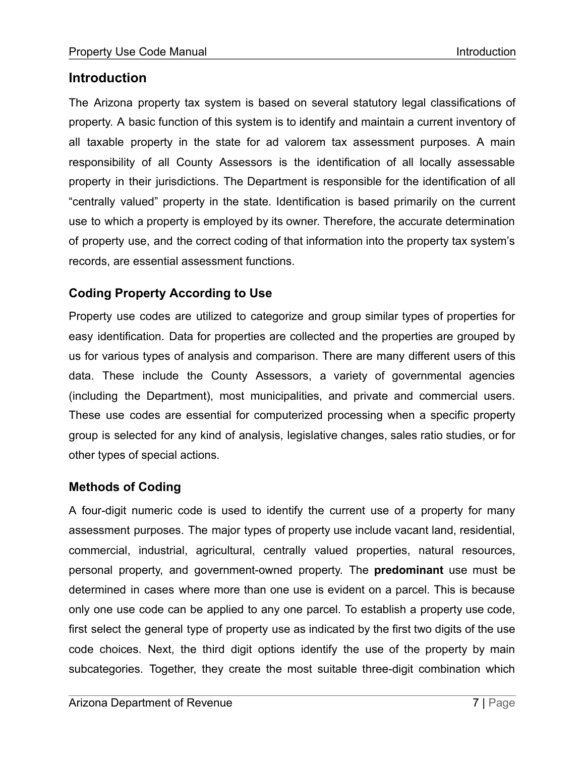# <span id="page-7-0"></span>**Introduction**

The Arizona property tax system is based on several statutory legal classifications of property. A basic function of this system is to identify and maintain a current inventory of all taxable property in the state for ad valorem tax assessment purposes. A main responsibility of all County Assessors is the identification of all locally assessable property in their jurisdictions. The Department is responsible for the identification of all "centrally valued" property in the state. Identification is based primarily on the current use to which a property is employed by its owner. Therefore, the accurate determination of property use, and the correct coding of that information into the property tax system's records, are essential assessment functions.

# <span id="page-7-1"></span>**Coding Property According to Use**

Property use codes are utilized to categorize and group similar types of properties for easy identification. Data for properties are collected and the properties are grouped by us for various types of analysis and comparison. There are many different users of this data. These include the County Assessors, a variety of governmental agencies (including the Department), most municipalities, and private and commercial users. These use codes are essential for computerized processing when a specific property group is selected for any kind of analysis, legislative changes, sales ratio studies, or for other types of special actions.

### <span id="page-7-2"></span>**Methods of Coding**

A four-digit numeric code is used to identify the current use of a property for many assessment purposes. The major types of property use include vacant land, residential, commercial, industrial, agricultural, centrally valued properties, natural resources, personal property, and government-owned property. The **predominant** use must be determined in cases where more than one use is evident on a parcel. This is because only one use code can be applied to any one parcel. To establish a property use code, first select the general type of property use as indicated by the first two digits of the use code choices. Next, the third digit options identify the use of the property by main subcategories. Together, they create the most suitable three-digit combination which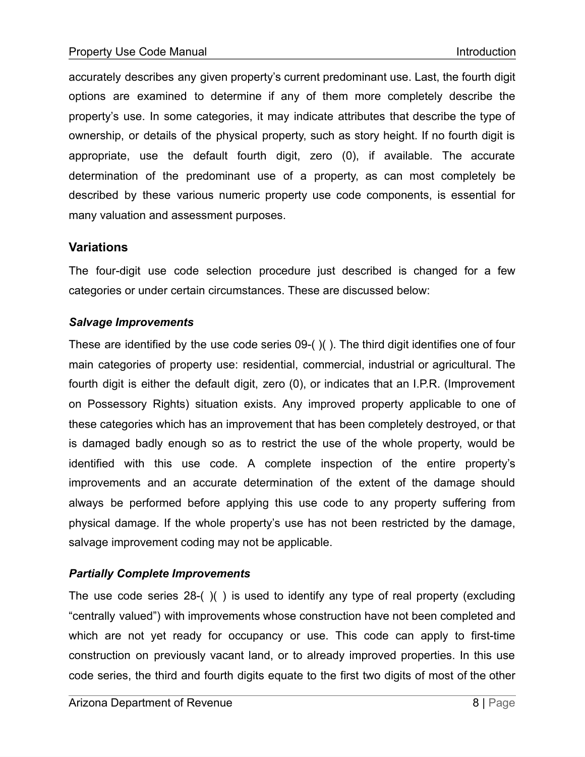accurately describes any given property's current predominant use. Last, the fourth digit options are examined to determine if any of them more completely describe the property's use. In some categories, it may indicate attributes that describe the type of ownership, or details of the physical property, such as story height. If no fourth digit is appropriate, use the default fourth digit, zero (0), if available. The accurate determination of the predominant use of a property, as can most completely be described by these various numeric property use code components, is essential for many valuation and assessment purposes.

### <span id="page-8-0"></span>**Variations**

The four-digit use code selection procedure just described is changed for a few categories or under certain circumstances. These are discussed below:

### <span id="page-8-1"></span>*Salvage Improvements*

These are identified by the use code series 09-( )( ). The third digit identifies one of four main categories of property use: residential, commercial, industrial or agricultural. The fourth digit is either the default digit, zero (0), or indicates that an I.P.R. (Improvement on Possessory Rights) situation exists. Any improved property applicable to one of these categories which has an improvement that has been completely destroyed, or that is damaged badly enough so as to restrict the use of the whole property, would be identified with this use code. A complete inspection of the entire property's improvements and an accurate determination of the extent of the damage should always be performed before applying this use code to any property suffering from physical damage. If the whole property's use has not been restricted by the damage, salvage improvement coding may not be applicable.

### <span id="page-8-2"></span>*Partially Complete Improvements*

The use code series 28-( )( ) is used to identify any type of real property (excluding "centrally valued") with improvements whose construction have not been completed and which are not yet ready for occupancy or use. This code can apply to first-time construction on previously vacant land, or to already improved properties. In this use code series, the third and fourth digits equate to the first two digits of most of the other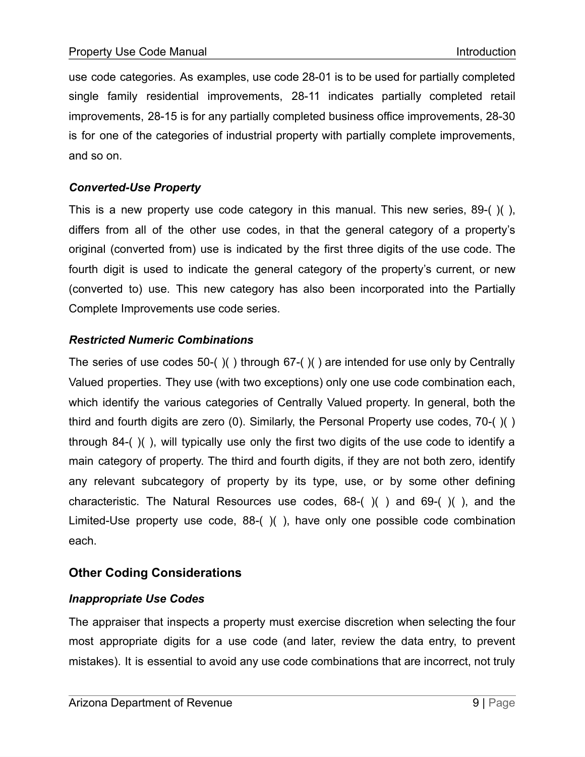use code categories. As examples, use code 28-01 is to be used for partially completed single family residential improvements, 28-11 indicates partially completed retail improvements, 28-15 is for any partially completed business office improvements, 28-30 is for one of the categories of industrial property with partially complete improvements, and so on.

### <span id="page-9-0"></span>*Converted-Use Property*

This is a new property use code category in this manual. This new series, 89-( )( ), differs from all of the other use codes, in that the general category of a property's original (converted from) use is indicated by the first three digits of the use code. The fourth digit is used to indicate the general category of the property's current, or new (converted to) use. This new category has also been incorporated into the Partially Complete Improvements use code series.

### <span id="page-9-1"></span>*Restricted Numeric Combinations*

The series of use codes 50-( )( ) through 67-( )( ) are intended for use only by Centrally Valued properties. They use (with two exceptions) only one use code combination each, which identify the various categories of Centrally Valued property. In general, both the third and fourth digits are zero (0). Similarly, the Personal Property use codes, 70-( )( ) through 84-( )( ), will typically use only the first two digits of the use code to identify a main category of property. The third and fourth digits, if they are not both zero, identify any relevant subcategory of property by its type, use, or by some other defining characteristic. The Natural Resources use codes, 68-( )( ) and 69-( )( ), and the Limited-Use property use code, 88-( )( ), have only one possible code combination each.

### <span id="page-9-2"></span>**Other Coding Considerations**

### <span id="page-9-3"></span>*Inappropriate Use Codes*

The appraiser that inspects a property must exercise discretion when selecting the four most appropriate digits for a use code (and later, review the data entry, to prevent mistakes). It is essential to avoid any use code combinations that are incorrect, not truly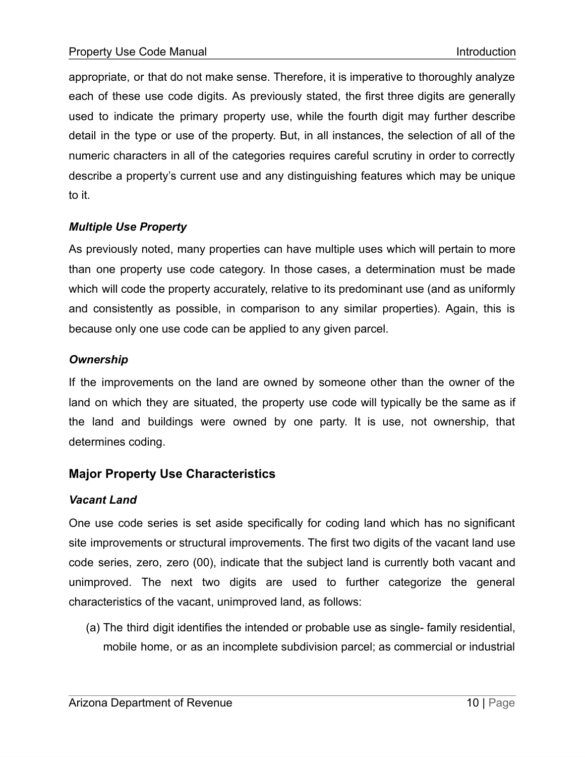appropriate, or that do not make sense. Therefore, it is imperative to thoroughly analyze each of these use code digits. As previously stated, the first three digits are generally used to indicate the primary property use, while the fourth digit may further describe detail in the type or use of the property. But, in all instances, the selection of all of the numeric characters in all of the categories requires careful scrutiny in order to correctly describe a property's current use and any distinguishing features which may be unique to it.

### <span id="page-10-0"></span>*Multiple Use Property*

As previously noted, many properties can have multiple uses which will pertain to more than one property use code category. In those cases, a determination must be made which will code the property accurately, relative to its predominant use (and as uniformly and consistently as possible, in comparison to any similar properties). Again, this is because only one use code can be applied to any given parcel.

#### <span id="page-10-1"></span>*Ownership*

If the improvements on the land are owned by someone other than the owner of the land on which they are situated, the property use code will typically be the same as if the land and buildings were owned by one party. It is use, not ownership, that determines coding.

### <span id="page-10-2"></span>**Major Property Use Characteristics**

### <span id="page-10-3"></span>*Vacant Land*

One use code series is set aside specifically for coding land which has no significant site improvements or structural improvements. The first two digits of the vacant land use code series, zero, zero (00), indicate that the subject land is currently both vacant and unimproved. The next two digits are used to further categorize the general characteristics of the vacant, unimproved land, as follows:

(a) The third digit identifies the intended or probable use as single- family residential, mobile home, or as an incomplete subdivision parcel; as commercial or industrial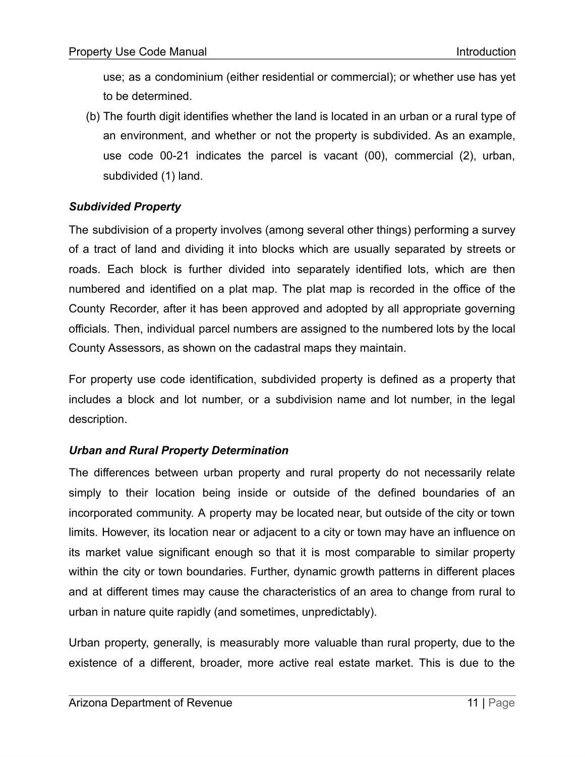use; as a condominium (either residential or commercial); or whether use has yet to be determined.

(b) The fourth digit identifies whether the land is located in an urban or a rural type of an environment, and whether or not the property is subdivided. As an example, use code 00-21 indicates the parcel is vacant (00), commercial (2), urban, subdivided (1) land.

#### <span id="page-11-0"></span>*Subdivided Property*

The subdivision of a property involves (among several other things) performing a survey of a tract of land and dividing it into blocks which are usually separated by streets or roads. Each block is further divided into separately identified lots, which are then numbered and identified on a plat map. The plat map is recorded in the office of the County Recorder, after it has been approved and adopted by all appropriate governing officials. Then, individual parcel numbers are assigned to the numbered lots by the local County Assessors, as shown on the cadastral maps they maintain.

For property use code identification, subdivided property is defined as a property that includes a block and lot number, or a subdivision name and lot number, in the legal description.

#### <span id="page-11-1"></span>*Urban and Rural Property Determination*

The differences between urban property and rural property do not necessarily relate simply to their location being inside or outside of the defined boundaries of an incorporated community. A property may be located near, but outside of the city or town limits. However, its location near or adjacent to a city or town may have an influence on its market value significant enough so that it is most comparable to similar property within the city or town boundaries. Further, dynamic growth patterns in different places and at different times may cause the characteristics of an area to change from rural to urban in nature quite rapidly (and sometimes, unpredictably).

Urban property, generally, is measurably more valuable than rural property, due to the existence of a different, broader, more active real estate market. This is due to the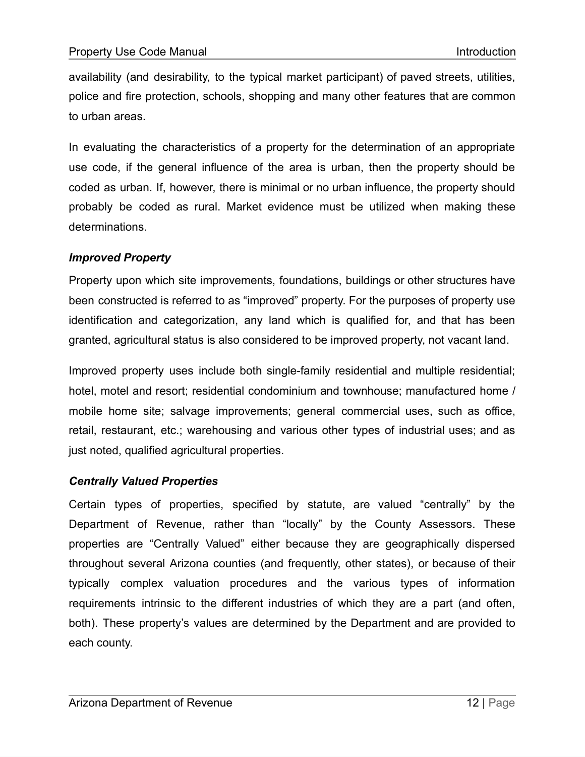availability (and desirability, to the typical market participant) of paved streets, utilities, police and fire protection, schools, shopping and many other features that are common to urban areas.

In evaluating the characteristics of a property for the determination of an appropriate use code, if the general influence of the area is urban, then the property should be coded as urban. If, however, there is minimal or no urban influence, the property should probably be coded as rural. Market evidence must be utilized when making these determinations.

#### <span id="page-12-0"></span>*Improved Property*

Property upon which site improvements, foundations, buildings or other structures have been constructed is referred to as "improved" property. For the purposes of property use identification and categorization, any land which is qualified for, and that has been granted, agricultural status is also considered to be improved property, not vacant land.

Improved property uses include both single-family residential and multiple residential; hotel, motel and resort; residential condominium and townhouse; manufactured home / mobile home site; salvage improvements; general commercial uses, such as office, retail, restaurant, etc.; warehousing and various other types of industrial uses; and as just noted, qualified agricultural properties.

### <span id="page-12-1"></span>*Centrally Valued Properties*

Certain types of properties, specified by statute, are valued "centrally" by the Department of Revenue, rather than "locally" by the County Assessors. These properties are "Centrally Valued" either because they are geographically dispersed throughout several Arizona counties (and frequently, other states), or because of their typically complex valuation procedures and the various types of information requirements intrinsic to the different industries of which they are a part (and often, both). These property's values are determined by the Department and are provided to each county.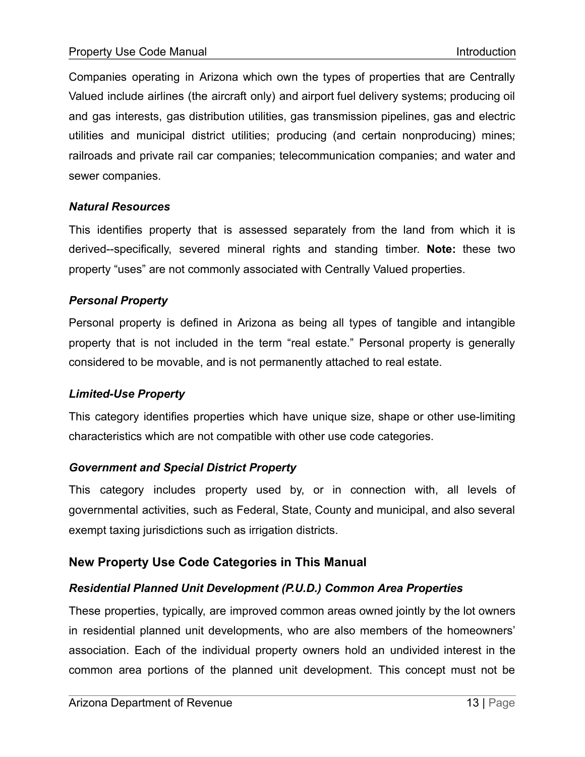Companies operating in Arizona which own the types of properties that are Centrally Valued include airlines (the aircraft only) and airport fuel delivery systems; producing oil and gas interests, gas distribution utilities, gas transmission pipelines, gas and electric utilities and municipal district utilities; producing (and certain nonproducing) mines; railroads and private rail car companies; telecommunication companies; and water and sewer companies.

#### <span id="page-13-0"></span>*Natural Resources*

This identifies property that is assessed separately from the land from which it is derived--specifically, severed mineral rights and standing timber. **Note:** these two property "uses" are not commonly associated with Centrally Valued properties.

#### <span id="page-13-1"></span>*Personal Property*

Personal property is defined in Arizona as being all types of tangible and intangible property that is not included in the term "real estate." Personal property is generally considered to be movable, and is not permanently attached to real estate.

#### <span id="page-13-2"></span>*Limited-Use Property*

This category identifies properties which have unique size, shape or other use-limiting characteristics which are not compatible with other use code categories.

### <span id="page-13-3"></span>*Government and Special District Property*

This category includes property used by, or in connection with, all levels of governmental activities, such as Federal, State, County and municipal, and also several exempt taxing jurisdictions such as irrigation districts.

### <span id="page-13-4"></span>**New Property Use Code Categories in This Manual**

### <span id="page-13-5"></span>*Residential Planned Unit Development (P.U.D.) Common Area Properties*

These properties, typically, are improved common areas owned jointly by the lot owners in residential planned unit developments, who are also members of the homeowners' association. Each of the individual property owners hold an undivided interest in the common area portions of the planned unit development. This concept must not be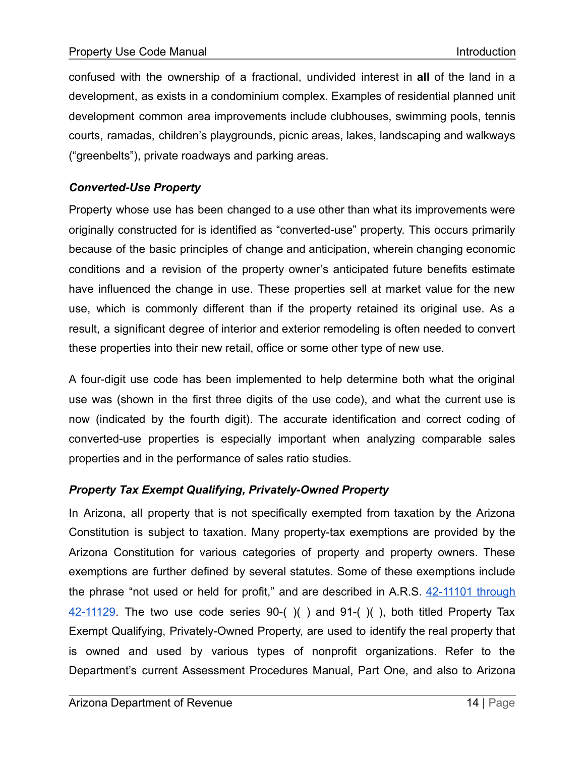confused with the ownership of a fractional, undivided interest in **all** of the land in a development, as exists in a condominium complex. Examples of residential planned unit development common area improvements include clubhouses, swimming pools, tennis courts, ramadas, children's playgrounds, picnic areas, lakes, landscaping and walkways ("greenbelts"), private roadways and parking areas.

### <span id="page-14-0"></span>*Converted-Use Property*

Property whose use has been changed to a use other than what its improvements were originally constructed for is identified as "converted-use" property. This occurs primarily because of the basic principles of change and anticipation, wherein changing economic conditions and a revision of the property owner's anticipated future benefits estimate have influenced the change in use. These properties sell at market value for the new use, which is commonly different than if the property retained its original use. As a result, a significant degree of interior and exterior remodeling is often needed to convert these properties into their new retail, office or some other type of new use.

A four-digit use code has been implemented to help determine both what the original use was (shown in the first three digits of the use code), and what the current use is now (indicated by the fourth digit). The accurate identification and correct coding of converted-use properties is especially important when analyzing comparable sales properties and in the performance of sales ratio studies.

### <span id="page-14-1"></span>*Property Tax Exempt Qualifying, Privately-Owned Property*

In Arizona, all property that is not specifically exempted from taxation by the Arizona Constitution is subject to taxation. Many property-tax exemptions are provided by the Arizona Constitution for various categories of property and property owners. These exemptions are further defined by several statutes. Some of these exemptions include the phrase "not used or held for profit," and are described in A.R.S. [42-11101](https://www.azleg.gov/viewDocument/?docName=http://www.azleg.gov/ars/42/11101.htm) through [42-11129.](https://www.azleg.gov/viewDocument/?docName=http://www.azleg.gov/ars/42/11101.htm) The two use code series  $90-($  )( ) and  $91-($  )( ), both titled Property Tax Exempt Qualifying, Privately-Owned Property, are used to identify the real property that is owned and used by various types of nonprofit organizations. Refer to the Department's current Assessment Procedures Manual, Part One, and also to Arizona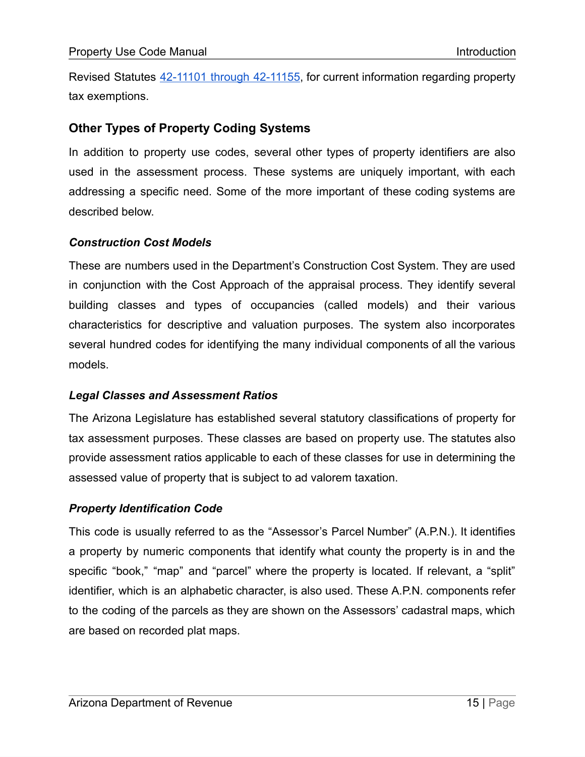Revised Statutes [42-11101](https://www.azleg.gov/viewDocument/?docName=http://www.azleg.gov/ars/42/11101.htm) through 42-11155, for current information regarding property tax exemptions.

## <span id="page-15-0"></span>**Other Types of Property Coding Systems**

In addition to property use codes, several other types of property identifiers are also used in the assessment process. These systems are uniquely important, with each addressing a specific need. Some of the more important of these coding systems are described below.

### <span id="page-15-1"></span>*Construction Cost Models*

These are numbers used in the Department's Construction Cost System. They are used in conjunction with the Cost Approach of the appraisal process. They identify several building classes and types of occupancies (called models) and their various characteristics for descriptive and valuation purposes. The system also incorporates several hundred codes for identifying the many individual components of all the various models.

### <span id="page-15-2"></span>*Legal Classes and Assessment Ratios*

The Arizona Legislature has established several statutory classifications of property for tax assessment purposes. These classes are based on property use. The statutes also provide assessment ratios applicable to each of these classes for use in determining the assessed value of property that is subject to ad valorem taxation.

### <span id="page-15-3"></span>*Property Identification Code*

This code is usually referred to as the "Assessor's Parcel Number" (A.P.N.). It identifies a property by numeric components that identify what county the property is in and the specific "book," "map" and "parcel" where the property is located. If relevant, a "split" identifier, which is an alphabetic character, is also used. These A.P.N. components refer to the coding of the parcels as they are shown on the Assessors' cadastral maps, which are based on recorded plat maps.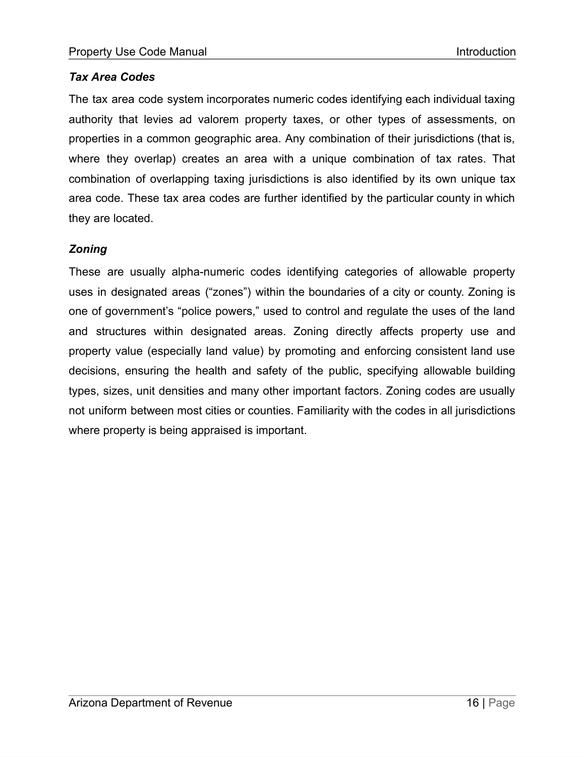### <span id="page-16-0"></span>*Tax Area Codes*

The tax area code system incorporates numeric codes identifying each individual taxing authority that levies ad valorem property taxes, or other types of assessments, on properties in a common geographic area. Any combination of their jurisdictions (that is, where they overlap) creates an area with a unique combination of tax rates. That combination of overlapping taxing jurisdictions is also identified by its own unique tax area code. These tax area codes are further identified by the particular county in which they are located.

### <span id="page-16-1"></span>*Zoning*

These are usually alpha-numeric codes identifying categories of allowable property uses in designated areas ("zones") within the boundaries of a city or county. Zoning is one of government's "police powers," used to control and regulate the uses of the land and structures within designated areas. Zoning directly affects property use and property value (especially land value) by promoting and enforcing consistent land use decisions, ensuring the health and safety of the public, specifying allowable building types, sizes, unit densities and many other important factors. Zoning codes are usually not uniform between most cities or counties. Familiarity with the codes in all jurisdictions where property is being appraised is important.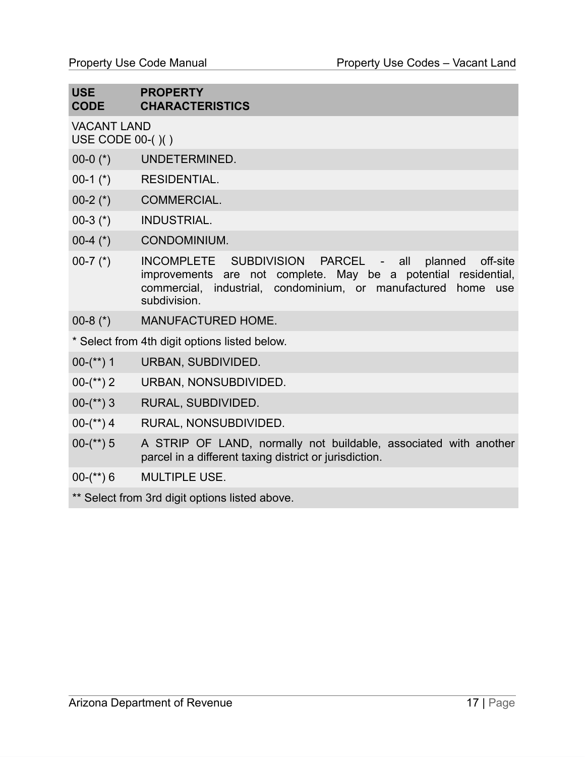<span id="page-17-0"></span>

| <b>USE</b>  | <b>PROPERTY</b>        |
|-------------|------------------------|
| <b>CODE</b> | <b>CHARACTERISTICS</b> |

<span id="page-17-1"></span>VACANT LAND

USE CODE 00-( )( )

- 00-0 (\*) UNDETERMINED.
- 00-1 (\*) RESIDENTIAL.
- 00-2 (\*) COMMERCIAL.
- 00-3 (\*) INDUSTRIAL.
- 00-4 (\*) CONDOMINIUM.
- 00-7 (\*) INCOMPLETE SUBDIVISION PARCEL all planned off-site improvements are not complete. May be a potential residential, commercial, industrial, condominium, or manufactured home use subdivision.
- 00-8 (\*) MANUFACTURED HOME.

\* Select from 4th digit options listed below.

- 00-(\*\*) 1 URBAN, SUBDIVIDED.
- 00-(\*\*) 2 URBAN, NONSUBDIVIDED.
- 00-(\*\*) 3 RURAL, SUBDIVIDED.
- 00-(\*\*) 4 RURAL, NONSUBDIVIDED.
- 00-(\*\*) 5 A STRIP OF LAND, normally not buildable, associated with another parcel in a different taxing district or jurisdiction.
- 00-(\*\*) 6 MULTIPLE USE.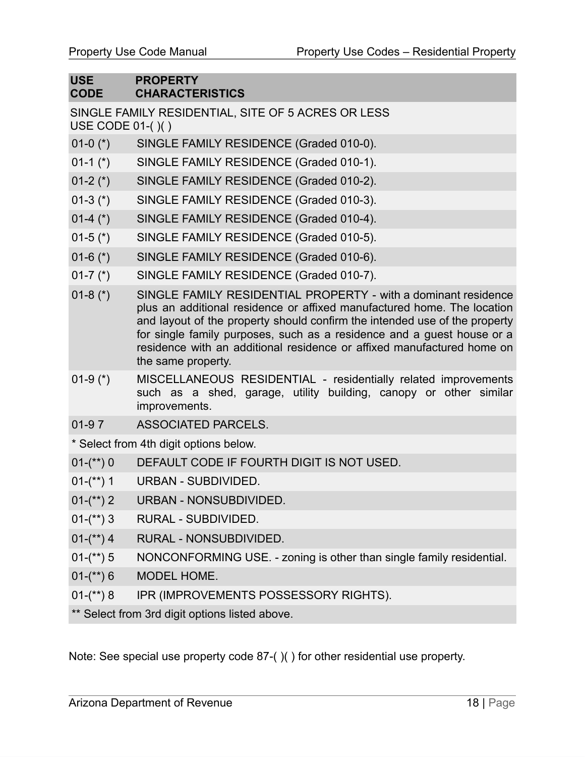<span id="page-18-0"></span>SINGLE FAMILY RESIDENTIAL, SITE OF 5 ACRES OR LESS USE CODE 01-( )( )

- 01-0 (\*) SINGLE FAMILY RESIDENCE (Graded 010-0).
- 01-1 (\*) SINGLE FAMILY RESIDENCE (Graded 010-1).
- 01-2 (\*) SINGLE FAMILY RESIDENCE (Graded 010-2).
- 01-3 (\*) SINGLE FAMILY RESIDENCE (Graded 010-3).
- 01-4 (\*) SINGLE FAMILY RESIDENCE (Graded 010-4).
- 01-5 (\*) SINGLE FAMILY RESIDENCE (Graded 010-5).
- 01-6 (\*) SINGLE FAMILY RESIDENCE (Graded 010-6).
- 01-7 (\*) SINGLE FAMILY RESIDENCE (Graded 010-7).
- 01-8 (\*) SINGLE FAMILY RESIDENTIAL PROPERTY with a dominant residence plus an additional residence or affixed manufactured home. The location and layout of the property should confirm the intended use of the property for single family purposes, such as a residence and a guest house or a residence with an additional residence or affixed manufactured home on the same property.
- 01-9 (\*) MISCELLANEOUS RESIDENTIAL residentially related improvements such as a shed, garage, utility building, canopy or other similar improvements.
- 01-9 7 ASSOCIATED PARCELS.

\* Select from 4th digit options below.

- 01-(\*\*) 0 DEFAULT CODE IF FOURTH DIGIT IS NOT USED.
- 01-(\*\*) 1 URBAN SUBDIVIDED.
- 01-(\*\*) 2 URBAN NONSUBDIVIDED.
- 01-(\*\*) 3 RURAL SUBDIVIDED.
- 01-(\*\*) 4 RURAL NONSUBDIVIDED.
- 01-(\*\*) 5 NONCONFORMING USE. zoning is other than single family residential.
- 01-(\*\*) 6 MODEL HOME.
- 01-(\*\*) 8 IPR (IMPROVEMENTS POSSESSORY RIGHTS).

\*\* Select from 3rd digit options listed above.

Note: See special use property code 87-( )( ) for other residential use property.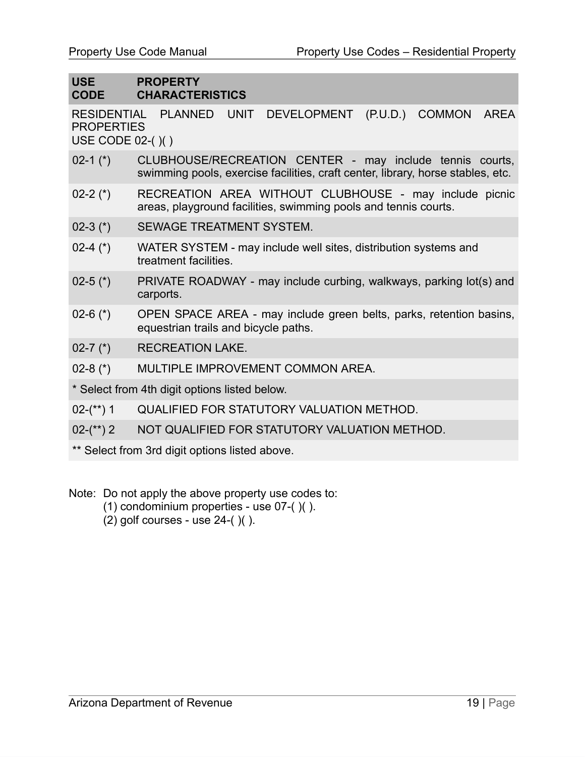<span id="page-19-1"></span><span id="page-19-0"></span>

| <b>USE</b><br><b>CODE</b>                                   | <b>PROPERTY</b><br><b>CHARACTERISTICS</b>                                                                                                   |
|-------------------------------------------------------------|---------------------------------------------------------------------------------------------------------------------------------------------|
| <b>RESIDENTIAL</b><br><b>PROPERTIES</b><br>USE CODE 02-()() | PLANNED UNIT DEVELOPMENT (P.U.D.) COMMON<br>AREA                                                                                            |
| 02-1 $(*)$                                                  | CLUBHOUSE/RECREATION CENTER - may include tennis courts,<br>swimming pools, exercise facilities, craft center, library, horse stables, etc. |
| 02-2 $(*)$                                                  | RECREATION AREA WITHOUT CLUBHOUSE - may include picnic<br>areas, playground facilities, swimming pools and tennis courts.                   |
| 02-3 $(*)$                                                  | SEWAGE TREATMENT SYSTEM.                                                                                                                    |
| 02-4 $(*)$                                                  | WATER SYSTEM - may include well sites, distribution systems and<br>treatment facilities.                                                    |
| 02-5 $(*)$                                                  | PRIVATE ROADWAY - may include curbing, walkways, parking lot(s) and<br>carports.                                                            |
| 02-6 $(*)$                                                  | OPEN SPACE AREA - may include green belts, parks, retention basins,<br>equestrian trails and bicycle paths.                                 |
| 02-7 $(*)$                                                  | <b>RECREATION LAKE.</b>                                                                                                                     |
| 02-8 $(*)$                                                  | MULTIPLE IMPROVEMENT COMMON AREA.                                                                                                           |
|                                                             | * Select from 4th digit options listed below.                                                                                               |
| $02-(**)$ 1                                                 | QUALIFIED FOR STATUTORY VALUATION METHOD.                                                                                                   |
| $02-(**)$ 2                                                 | NOT QUALIFIED FOR STATUTORY VALUATION METHOD.                                                                                               |

\*\* Select from 3rd digit options listed above.

Note: Do not apply the above property use codes to:

- (1) condominium properties use 07-( )( ).
- $(2)$  golf courses use 24- $($ ) $($   $)$ .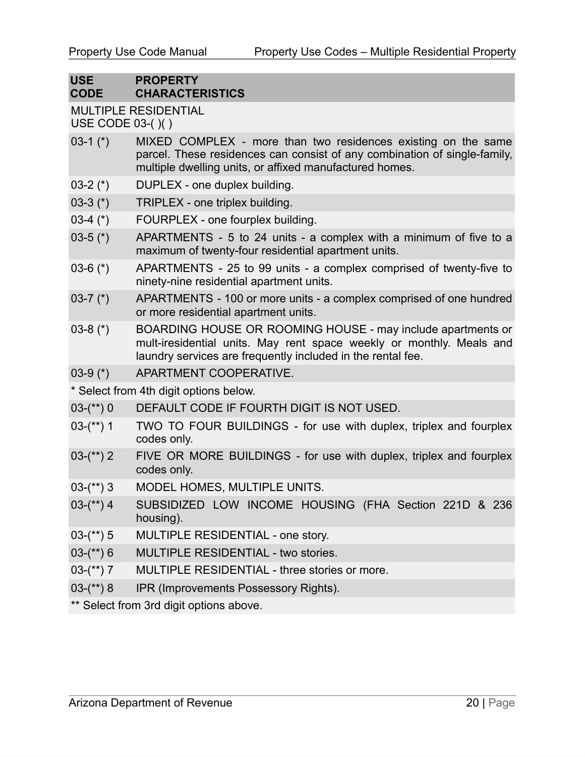<span id="page-20-0"></span>MULTIPLE RESIDENTIAL

**PROPERTY**

**CHARACTERISTICS**

**USE CODE**

| USE CODE 03- $()()$ |                                                                                                                                                                                                       |  |  |
|---------------------|-------------------------------------------------------------------------------------------------------------------------------------------------------------------------------------------------------|--|--|
| 03-1 $(*)$          | MIXED COMPLEX - more than two residences existing on the same<br>parcel. These residences can consist of any combination of single-family,<br>multiple dwelling units, or affixed manufactured homes. |  |  |
| 03-2 $(*)$          | DUPLEX - one duplex building.                                                                                                                                                                         |  |  |
| 03-3 $(*)$          | TRIPLEX - one triplex building.                                                                                                                                                                       |  |  |
| 03-4 $(*)$          | FOURPLEX - one fourplex building.                                                                                                                                                                     |  |  |
| 03-5 $(*)$          | APARTMENTS - 5 to 24 units - a complex with a minimum of five to a<br>maximum of twenty-four residential apartment units.                                                                             |  |  |
| 03-6 $(*)$          | APARTMENTS - 25 to 99 units - a complex comprised of twenty-five to<br>ninety-nine residential apartment units.                                                                                       |  |  |
| 03-7 $(*)$          | APARTMENTS - 100 or more units - a complex comprised of one hundred<br>or more residential apartment units.                                                                                           |  |  |
| 03-8 $(*)$          | BOARDING HOUSE OR ROOMING HOUSE - may include apartments or<br>mult-iresidential units. May rent space weekly or monthly. Meals and<br>laundry services are frequently included in the rental fee.    |  |  |
| 03-9 $(*)$          | APARTMENT COOPERATIVE.                                                                                                                                                                                |  |  |
|                     | * Select from 4th digit options below.                                                                                                                                                                |  |  |
| $03-(**)$ 0         | DEFAULT CODE IF FOURTH DIGIT IS NOT USED.                                                                                                                                                             |  |  |
| $03-(**)$ 1         | TWO TO FOUR BUILDINGS - for use with duplex, triplex and fourplex<br>codes only.                                                                                                                      |  |  |
| $03-(**)$ 2         | FIVE OR MORE BUILDINGS - for use with duplex, triplex and fourplex<br>codes only.                                                                                                                     |  |  |
| $03-(**)$ 3         | MODEL HOMES, MULTIPLE UNITS.                                                                                                                                                                          |  |  |
| $03-(**)4$          | SUBSIDIZED LOW INCOME HOUSING (FHA Section 221D & 236<br>housing).                                                                                                                                    |  |  |
| $03-(**)5$          | MULTIPLE RESIDENTIAL - one story.                                                                                                                                                                     |  |  |
| $03-(**)6$          | MULTIPLE RESIDENTIAL - two stories.                                                                                                                                                                   |  |  |
| $03-(**)7$          | MULTIPLE RESIDENTIAL - three stories or more.                                                                                                                                                         |  |  |
|                     |                                                                                                                                                                                                       |  |  |

- 03-(\*\*) 8 IPR (Improvements Possessory Rights).
- \*\* Select from 3rd digit options above.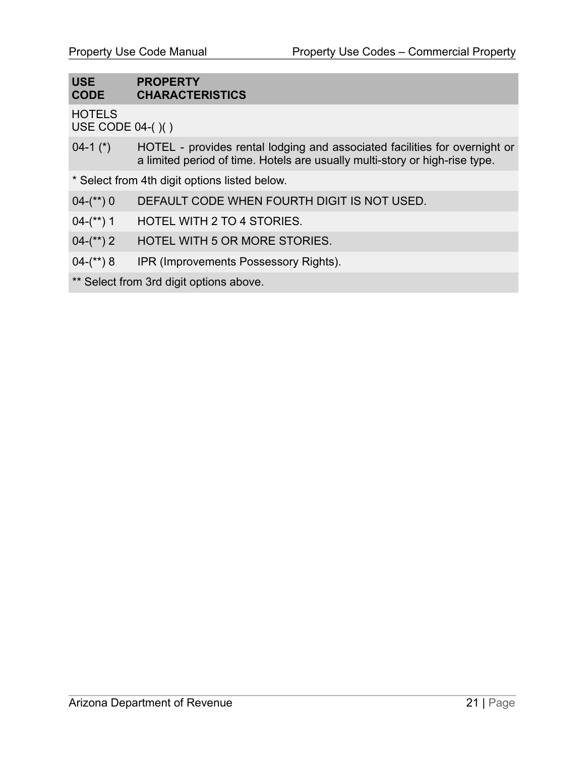#### <span id="page-21-0"></span>**HOTELS**

USE CODE 04-( )( )

04-1 (\*) HOTEL - provides rental lodging and associated facilities for overnight or a limited period of time. Hotels are usually multi-story or high-rise type.

\* Select from 4th digit options listed below.

- 04-(\*\*) 0 DEFAULT CODE WHEN FOURTH DIGIT IS NOT USED.
- 04-(\*\*) 1 HOTEL WITH 2 TO 4 STORIES.
- 04-(\*\*) 2 HOTEL WITH 5 OR MORE STORIES.
- 04-(\*\*) 8 IPR (Improvements Possessory Rights).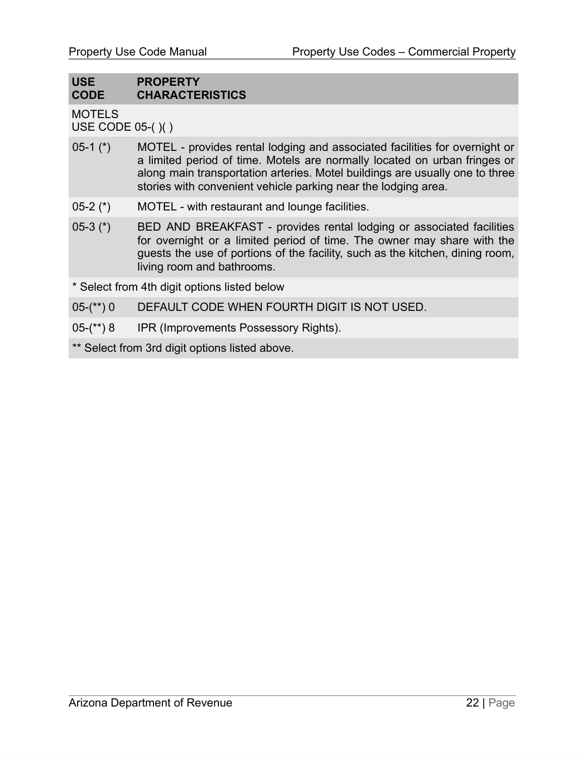#### <span id="page-22-0"></span>**MOTELS**

USE CODE 05-( )( )

- 05-1 (\*) MOTEL provides rental lodging and associated facilities for overnight or a limited period of time. Motels are normally located on urban fringes or along main transportation arteries. Motel buildings are usually one to three stories with convenient vehicle parking near the lodging area.
- 05-2 (\*) MOTEL with restaurant and lounge facilities.
- 05-3 (\*) BED AND BREAKFAST provides rental lodging or associated facilities for overnight or a limited period of time. The owner may share with the guests the use of portions of the facility, such as the kitchen, dining room, living room and bathrooms.

\* Select from 4th digit options listed below

- 05-(\*\*) 0 DEFAULT CODE WHEN FOURTH DIGIT IS NOT USED.
- 05-(\*\*) 8 IPR (Improvements Possessory Rights).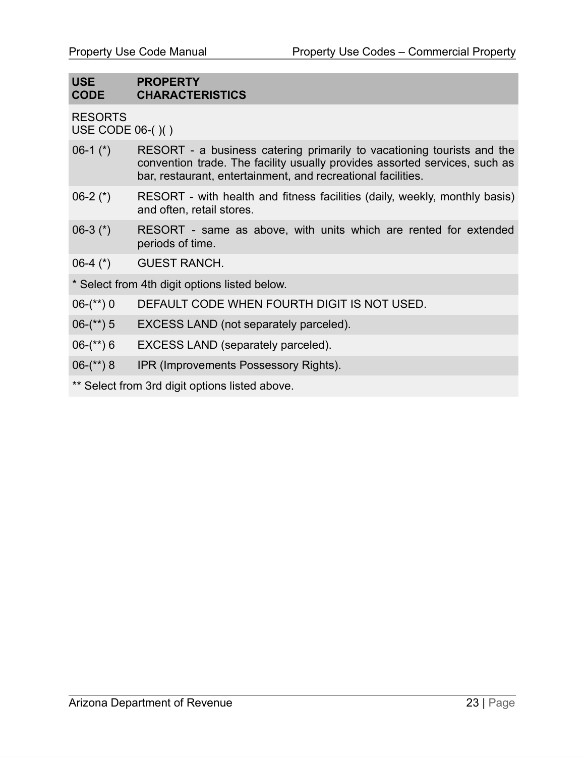#### <span id="page-23-0"></span>RESORTS

USE CODE 06-( )( )

- 06-1 (\*) RESORT a business catering primarily to vacationing tourists and the convention trade. The facility usually provides assorted services, such as bar, restaurant, entertainment, and recreational facilities.
- 06-2 (\*) RESORT with health and fitness facilities (daily, weekly, monthly basis) and often, retail stores.
- 06-3 (\*) RESORT same as above, with units which are rented for extended periods of time.
- 06-4 (\*) GUEST RANCH.

\* Select from 4th digit options listed below.

- 06-(\*\*) 0 DEFAULT CODE WHEN FOURTH DIGIT IS NOT USED.
- 06-(\*\*) 5 EXCESS LAND (not separately parceled).
- 06-(\*\*) 6 EXCESS LAND (separately parceled).
- 06-(\*\*) 8 IPR (Improvements Possessory Rights).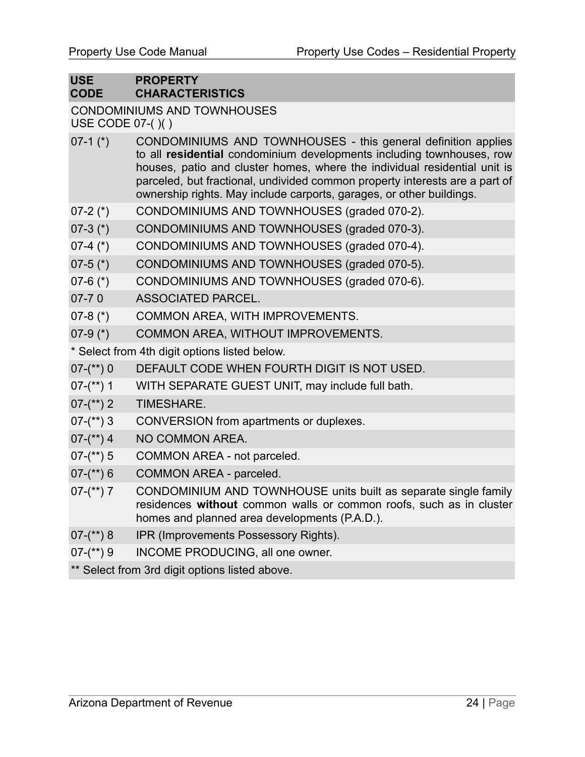<span id="page-24-0"></span>CONDOMINIUMS AND TOWNHOUSES

USE CODE 07-( )( )

- 07-1 (\*) CONDOMINIUMS AND TOWNHOUSES this general definition applies to all **residential** condominium developments including townhouses, row houses, patio and cluster homes, where the individual residential unit is parceled, but fractional, undivided common property interests are a part of ownership rights. May include carports, garages, or other buildings.
- 07-2 (\*) CONDOMINIUMS AND TOWNHOUSES (graded 070-2).
- 07-3 (\*) CONDOMINIUMS AND TOWNHOUSES (graded 070-3).
- 07-4 (\*) CONDOMINIUMS AND TOWNHOUSES (graded 070-4).
- 07-5 (\*) CONDOMINIUMS AND TOWNHOUSES (graded 070-5).
- 07-6 (\*) CONDOMINIUMS AND TOWNHOUSES (graded 070-6).
- 07-7 0 ASSOCIATED PARCEL.
- 07-8 (\*) COMMON AREA, WITH IMPROVEMENTS.
- 07-9 (\*) COMMON AREA, WITHOUT IMPROVEMENTS.
- \* Select from 4th digit options listed below.
- 07-(\*\*) 0 DEFAULT CODE WHEN FOURTH DIGIT IS NOT USED.
- 07-(\*\*) 1 WITH SEPARATE GUEST UNIT, may include full bath.
- 07-(\*\*) 2 TIMESHARE.
- 07-(\*\*) 3 CONVERSION from apartments or duplexes.
- 07-(\*\*) 4 NO COMMON AREA.
- 07-(\*\*) 5 COMMON AREA not parceled.
- 07-(\*\*) 6 COMMON AREA parceled.
- 07-(\*\*) 7 CONDOMINIUM AND TOWNHOUSE units built as separate single family residences **without** common walls or common roofs, such as in cluster homes and planned area developments (P.A.D.).
- 07-(\*\*) 8 IPR (Improvements Possessory Rights).
- 07-(\*\*) 9 INCOME PRODUCING, all one owner.
- \*\* Select from 3rd digit options listed above.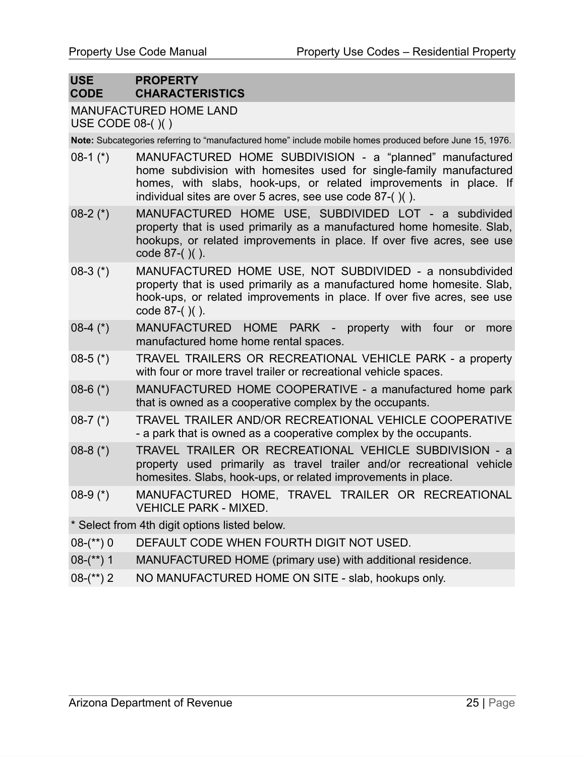#### <span id="page-25-0"></span>MANUFACTURED HOME LAND

USE CODE 08-( )( )

**Note:** Subcategories referring to "manufactured home" include mobile homes produced before June 15, 1976.

- 08-1 (\*) MANUFACTURED HOME SUBDIVISION a "planned" manufactured home subdivision with homesites used for single-family manufactured homes, with slabs, hook-ups, or related improvements in place. If individual sites are over 5 acres, see use code 87-( )( ).
- 08-2 (\*) MANUFACTURED HOME USE, SUBDIVIDED LOT a subdivided property that is used primarily as a manufactured home homesite. Slab, hookups, or related improvements in place. If over five acres, see use code 87-( )( ).
- 08-3 (\*) MANUFACTURED HOME USE, NOT SUBDIVIDED a nonsubdivided property that is used primarily as a manufactured home homesite. Slab, hook-ups, or related improvements in place. If over five acres, see use code 87-( )( ).
- 08-4 (\*) MANUFACTURED HOME PARK property with four or more manufactured home home rental spaces.
- 08-5 (\*) TRAVEL TRAILERS OR RECREATIONAL VEHICLE PARK a property with four or more travel trailer or recreational vehicle spaces.
- 08-6 (\*) MANUFACTURED HOME COOPERATIVE a manufactured home park that is owned as a cooperative complex by the occupants.
- 08-7 (\*) TRAVEL TRAILER AND/OR RECREATIONAL VEHICLE COOPERATIVE - a park that is owned as a cooperative complex by the occupants.
- 08-8 (\*) TRAVEL TRAILER OR RECREATIONAL VEHICLE SUBDIVISION a property used primarily as travel trailer and/or recreational vehicle homesites. Slabs, hook-ups, or related improvements in place.
- 08-9 (\*) MANUFACTURED HOME, TRAVEL TRAILER OR RECREATIONAL VEHICLE PARK - MIXED.

\* Select from 4th digit options listed below.

- 08-(\*\*) 0 DEFAULT CODE WHEN FOURTH DIGIT NOT USED.
- 08-(\*\*) 1 MANUFACTURED HOME (primary use) with additional residence.
- 08-(\*\*) 2 NO MANUFACTURED HOME ON SITE slab, hookups only.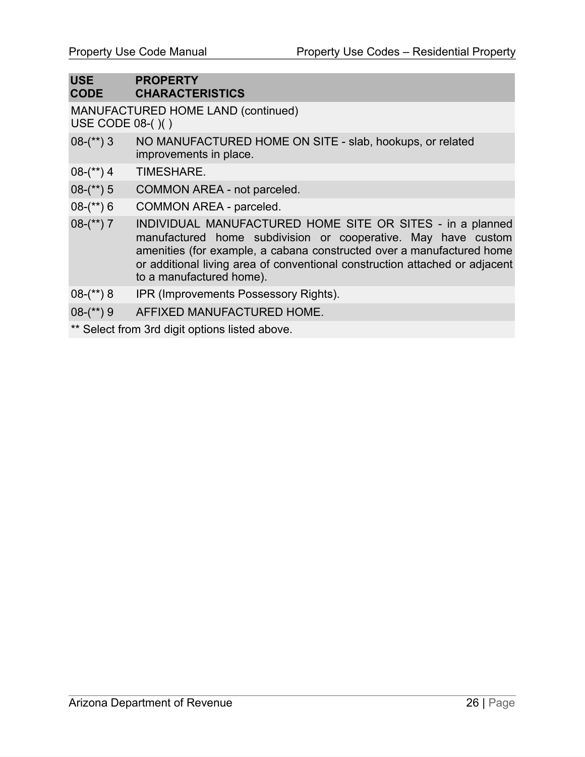MANUFACTURED HOME LAND (continued)

USE CODE 08-( )( )

- 08-(\*\*) 3 NO MANUFACTURED HOME ON SITE slab, hookups, or related improvements in place.
- 08-(\*\*) 4 TIMESHARE.
- 08-(\*\*) 5 COMMON AREA not parceled.
- 08-(\*\*) 6 COMMON AREA parceled.
- 08-(\*\*) 7 INDIVIDUAL MANUFACTURED HOME SITE OR SITES in a planned manufactured home subdivision or cooperative. May have custom amenities (for example, a cabana constructed over a manufactured home or additional living area of conventional construction attached or adjacent to a manufactured home).
- 08-(\*\*) 8 IPR (Improvements Possessory Rights).
- 08-(\*\*) 9 AFFIXED MANUFACTURED HOME.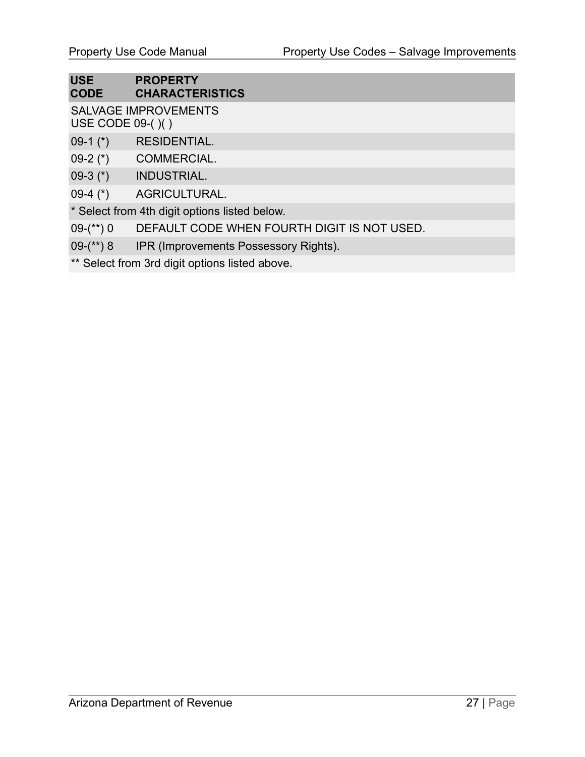<span id="page-27-0"></span>SALVAGE IMPROVEMENTS

USE CODE 09-( )( )

- 09-1 (\*) RESIDENTIAL.
- 09-2 (\*) COMMERCIAL.
- 09-3 (\*) INDUSTRIAL.
- 09-4 (\*) AGRICULTURAL.

\* Select from 4th digit options listed below.

09-(\*\*) 0 DEFAULT CODE WHEN FOURTH DIGIT IS NOT USED.

09-(\*\*) 8 IPR (Improvements Possessory Rights).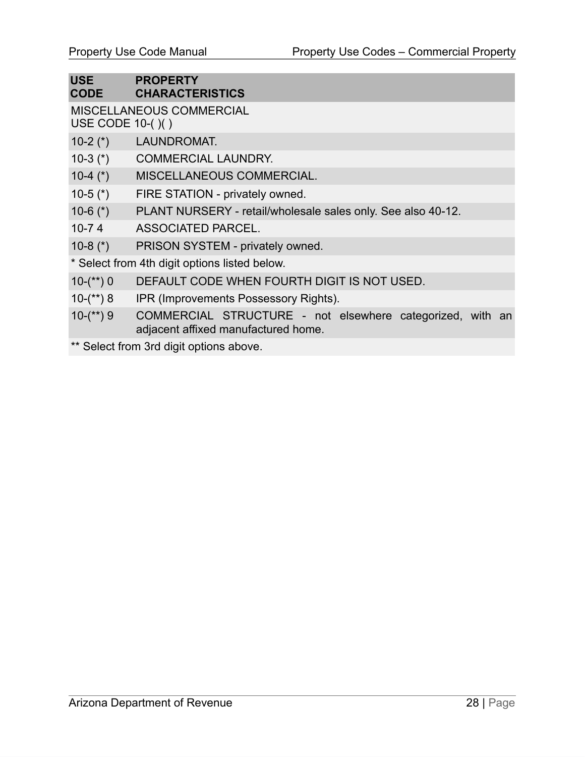<span id="page-28-0"></span>MISCELLANEOUS COMMERCIAL

USE CODE 10-( )( )

- 10-2 (\*) LAUNDROMAT.
- 10-3 (\*) COMMERCIAL LAUNDRY.
- 10-4 (\*) MISCELLANEOUS COMMERCIAL.
- 10-5 (\*) FIRE STATION privately owned.
- 10-6 (\*) PLANT NURSERY retail/wholesale sales only. See also 40-12.
- 10-7 4 ASSOCIATED PARCEL.
- 10-8 (\*) PRISON SYSTEM privately owned.

\* Select from 4th digit options listed below.

- 10-(\*\*) 0 DEFAULT CODE WHEN FOURTH DIGIT IS NOT USED.
- 10-(\*\*) 8 IPR (Improvements Possessory Rights).
- 10-(\*\*) 9 COMMERCIAL STRUCTURE not elsewhere categorized, with an adjacent affixed manufactured home.
- \*\* Select from 3rd digit options above.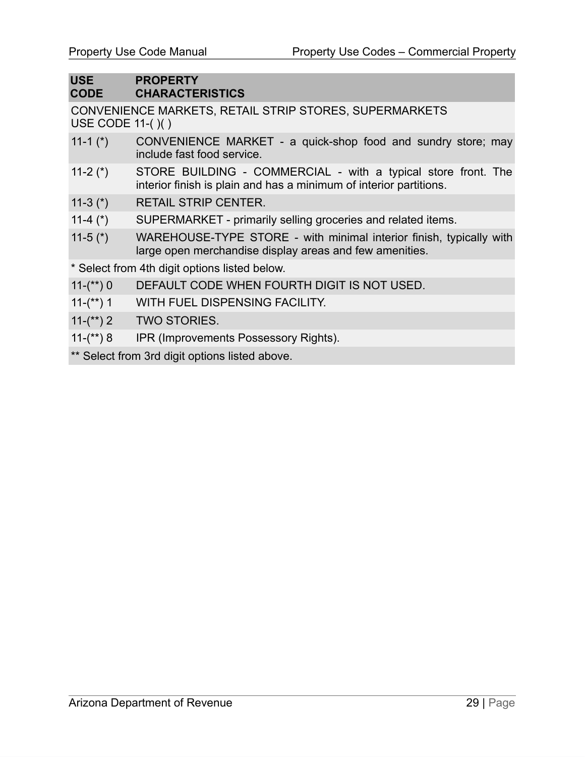<span id="page-29-0"></span>CONVENIENCE MARKETS, RETAIL STRIP STORES, SUPERMARKETS USE CODE 11-( )( )

- 11-1 (\*) CONVENIENCE MARKET a quick-shop food and sundry store; may include fast food service.
- 11-2 (\*) STORE BUILDING COMMERCIAL with a typical store front. The interior finish is plain and has a minimum of interior partitions.
- 11-3 (\*) RETAIL STRIP CENTER.
- 11-4 (\*) SUPERMARKET primarily selling groceries and related items.
- 11-5 (\*) WAREHOUSE-TYPE STORE with minimal interior finish, typically with large open merchandise display areas and few amenities.

\* Select from 4th digit options listed below.

- 11-(\*\*) 0 DEFAULT CODE WHEN FOURTH DIGIT IS NOT USED.
- 11-(\*\*) 1 WITH FUEL DISPENSING FACILITY.
- 11-(\*\*) 2 TWO STORIES.
- 11-(\*\*) 8 IPR (Improvements Possessory Rights).
- \*\* Select from 3rd digit options listed above.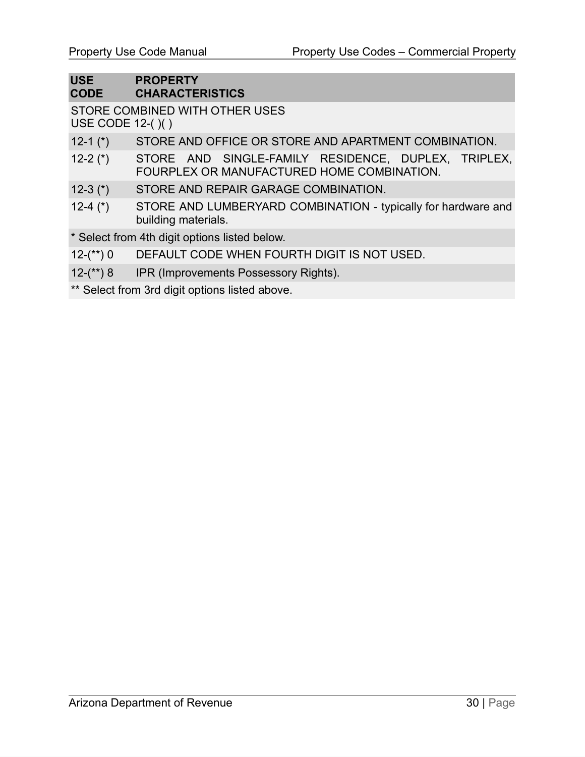<span id="page-30-0"></span>STORE COMBINED WITH OTHER USES

USE CODE 12-( )( )

- 12-1 (\*) STORE AND OFFICE OR STORE AND APARTMENT COMBINATION.
- 12-2 (\*) STORE AND SINGLE-FAMILY RESIDENCE, DUPLEX, TRIPLEX, FOURPLEX OR MANUFACTURED HOME COMBINATION.
- 12-3 (\*) STORE AND REPAIR GARAGE COMBINATION.
- 12-4 (\*) STORE AND LUMBERYARD COMBINATION typically for hardware and building materials.

\* Select from 4th digit options listed below.

- 12-(\*\*) 0 DEFAULT CODE WHEN FOURTH DIGIT IS NOT USED.
- 12-(\*\*) 8 IPR (Improvements Possessory Rights).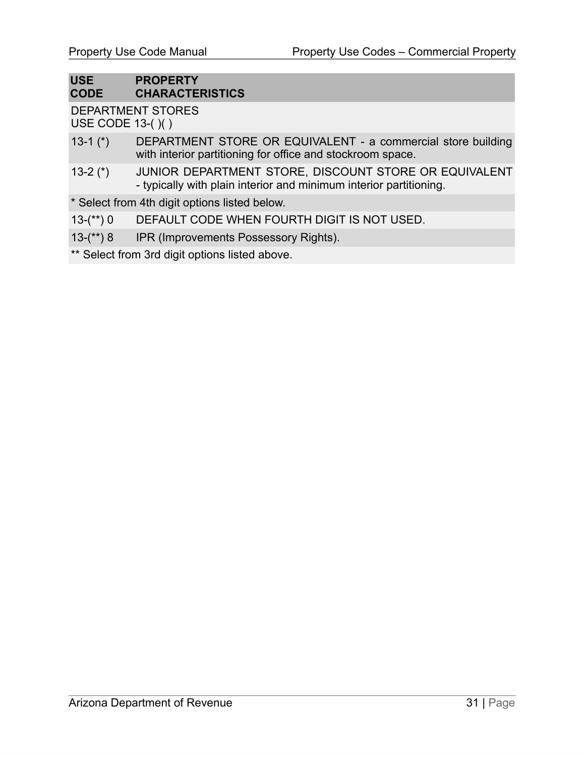<span id="page-31-0"></span>DEPARTMENT STORES

USE CODE 13-( )( )

- 13-1 (\*) DEPARTMENT STORE OR EQUIVALENT a commercial store building with interior partitioning for office and stockroom space.
- 13-2 (\*) JUNIOR DEPARTMENT STORE, DISCOUNT STORE OR EQUIVALENT - typically with plain interior and minimum interior partitioning.

\* Select from 4th digit options listed below.

- 13-(\*\*) 0 DEFAULT CODE WHEN FOURTH DIGIT IS NOT USED.
- 13-(\*\*) 8 IPR (Improvements Possessory Rights).
- \*\* Select from 3rd digit options listed above.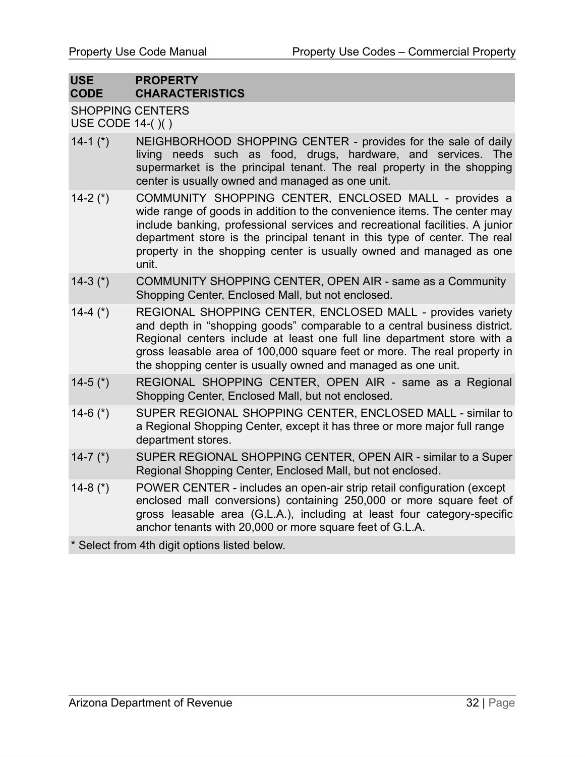**PROPERTY**

**USE**

<span id="page-32-0"></span>

| <b>CODE</b>                                   | <b>CHARACTERISTICS</b>                                                                                                                                                                                                                                                                                                                                                         |
|-----------------------------------------------|--------------------------------------------------------------------------------------------------------------------------------------------------------------------------------------------------------------------------------------------------------------------------------------------------------------------------------------------------------------------------------|
| <b>SHOPPING CENTERS</b><br>USE CODE $14-()()$ |                                                                                                                                                                                                                                                                                                                                                                                |
| 14-1 $(*)$                                    | NEIGHBORHOOD SHOPPING CENTER - provides for the sale of daily<br>living needs such as food, drugs, hardware, and services. The<br>supermarket is the principal tenant. The real property in the shopping<br>center is usually owned and managed as one unit.                                                                                                                   |
| 14-2 $(*)$                                    | COMMUNITY SHOPPING CENTER, ENCLOSED MALL - provides a<br>wide range of goods in addition to the convenience items. The center may<br>include banking, professional services and recreational facilities. A junior<br>department store is the principal tenant in this type of center. The real<br>property in the shopping center is usually owned and managed as one<br>unit. |
| 14-3 $(*)$                                    | COMMUNITY SHOPPING CENTER, OPEN AIR - same as a Community<br>Shopping Center, Enclosed Mall, but not enclosed.                                                                                                                                                                                                                                                                 |
| 14-4 $(*)$                                    | REGIONAL SHOPPING CENTER, ENCLOSED MALL - provides variety<br>and depth in "shopping goods" comparable to a central business district.<br>Regional centers include at least one full line department store with a<br>gross leasable area of 100,000 square feet or more. The real property in<br>the shopping center is usually owned and managed as one unit.                 |
| 14-5 $(*)$                                    | REGIONAL SHOPPING CENTER, OPEN AIR - same as a Regional<br>Shopping Center, Enclosed Mall, but not enclosed.                                                                                                                                                                                                                                                                   |
| 14-6 $(*)$                                    | SUPER REGIONAL SHOPPING CENTER, ENCLOSED MALL - similar to<br>a Regional Shopping Center, except it has three or more major full range<br>department stores.                                                                                                                                                                                                                   |
| 14-7 $(*)$                                    | SUPER REGIONAL SHOPPING CENTER, OPEN AIR - similar to a Super<br>Regional Shopping Center, Enclosed Mall, but not enclosed.                                                                                                                                                                                                                                                    |
| 14-8 $(*)$                                    | POWER CENTER - includes an open-air strip retail configuration (except<br>enclosed mall conversions) containing 250,000 or more square feet of<br>gross leasable area (G.L.A.), including at least four category-specific<br>anchor tenants with 20,000 or more square feet of G.L.A.                                                                                          |
|                                               | * Select from 4th digit options listed below.                                                                                                                                                                                                                                                                                                                                  |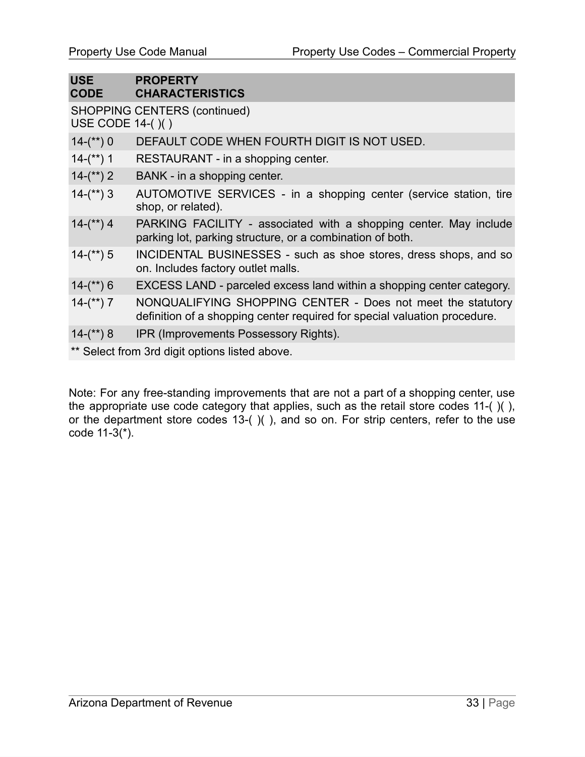| <b>USE</b><br><b>CODE</b> | <b>PROPERTY</b><br><b>CHARACTERISTICS</b>                                                                                                |
|---------------------------|------------------------------------------------------------------------------------------------------------------------------------------|
| USE CODE $14-()()$        | <b>SHOPPING CENTERS (continued)</b>                                                                                                      |
| $14-(**)$ 0               | DEFAULT CODE WHEN FOURTH DIGIT IS NOT USED.                                                                                              |
| $14-(**)$ 1               | RESTAURANT - in a shopping center.                                                                                                       |
| $14-(**)$ 2               | BANK - in a shopping center.                                                                                                             |
| $14-(**)$ 3               | AUTOMOTIVE SERVICES - in a shopping center (service station, tire<br>shop, or related).                                                  |
| $14-(**)$ 4               | PARKING FACILITY - associated with a shopping center. May include<br>parking lot, parking structure, or a combination of both.           |
| $14-(**)$ 5               | INCIDENTAL BUSINESSES - such as shoe stores, dress shops, and so<br>on. Includes factory outlet malls.                                   |
| $14-(**)$ 6               | EXCESS LAND - parceled excess land within a shopping center category.                                                                    |
| $14-(**)$ 7               | NONQUALIFYING SHOPPING CENTER - Does not meet the statutory<br>definition of a shopping center required for special valuation procedure. |
| $14-(**)$ 8               | <b>IPR (Improvements Possessory Rights).</b>                                                                                             |
|                           | ** Select from 3rd digit options listed above.                                                                                           |

Note: For any free-standing improvements that are not a part of a shopping center, use the appropriate use code category that applies, such as the retail store codes 11-( )( ), or the department store codes 13-( )( ), and so on. For strip centers, refer to the use code  $11-3($ <sup>\*</sup>).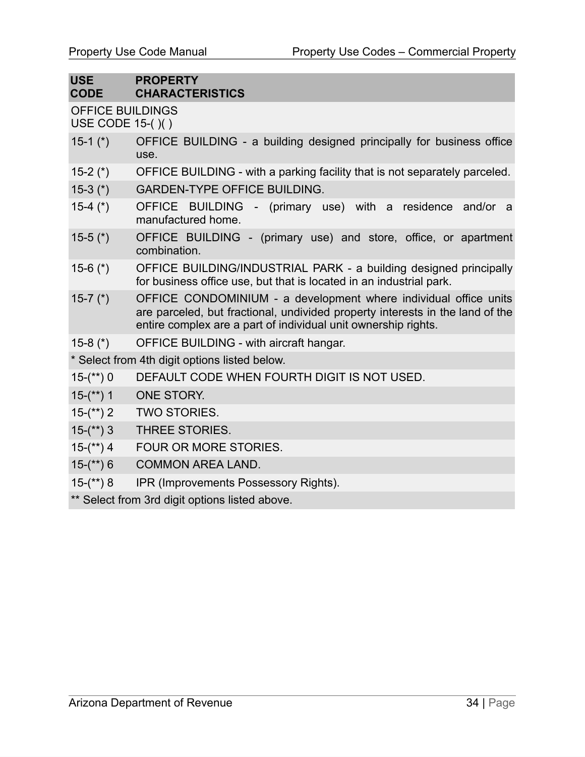<span id="page-34-0"></span>

| <b>USE</b><br><b>CODE</b>                   | <b>PROPERTY</b><br><b>CHARACTERISTICS</b>                                                                                                                                                                           |
|---------------------------------------------|---------------------------------------------------------------------------------------------------------------------------------------------------------------------------------------------------------------------|
| <b>OFFICE BUILDINGS</b><br>USE CODE 15-()() |                                                                                                                                                                                                                     |
| 15-1 $(*)$                                  | OFFICE BUILDING - a building designed principally for business office<br>use.                                                                                                                                       |
| 15-2 $(*)$                                  | OFFICE BUILDING - with a parking facility that is not separately parceled.                                                                                                                                          |
| 15-3 $(*)$                                  | <b>GARDEN-TYPE OFFICE BUILDING.</b>                                                                                                                                                                                 |
| 15-4 $(*)$                                  | OFFICE BUILDING - (primary use) with a residence and/or a<br>manufactured home.                                                                                                                                     |
| 15-5 $(*)$                                  | OFFICE BUILDING - (primary use) and store, office, or apartment<br>combination.                                                                                                                                     |
| 15-6 $(*)$                                  | OFFICE BUILDING/INDUSTRIAL PARK - a building designed principally<br>for business office use, but that is located in an industrial park.                                                                            |
| 15-7 $(*)$                                  | OFFICE CONDOMINIUM - a development where individual office units<br>are parceled, but fractional, undivided property interests in the land of the<br>entire complex are a part of individual unit ownership rights. |
| 15-8 $(*)$                                  | OFFICE BUILDING - with aircraft hangar.                                                                                                                                                                             |
|                                             | * Select from 4th digit options listed below.                                                                                                                                                                       |
| $15-(**)$ 0                                 | DEFAULT CODE WHEN FOURTH DIGIT IS NOT USED.                                                                                                                                                                         |
| $15-(**)$ 1                                 | ONE STORY.                                                                                                                                                                                                          |
| $15-(**)$ 2                                 | <b>TWO STORIES.</b>                                                                                                                                                                                                 |
| $15-(**)$ 3                                 | THREE STORIES.                                                                                                                                                                                                      |
| $15-(**)$ 4                                 | FOUR OR MORE STORIES.                                                                                                                                                                                               |
| $15-(**)$ 6                                 | <b>COMMON AREA LAND.</b>                                                                                                                                                                                            |
| $15-(**)$ 8                                 | <b>IPR (Improvements Possessory Rights).</b>                                                                                                                                                                        |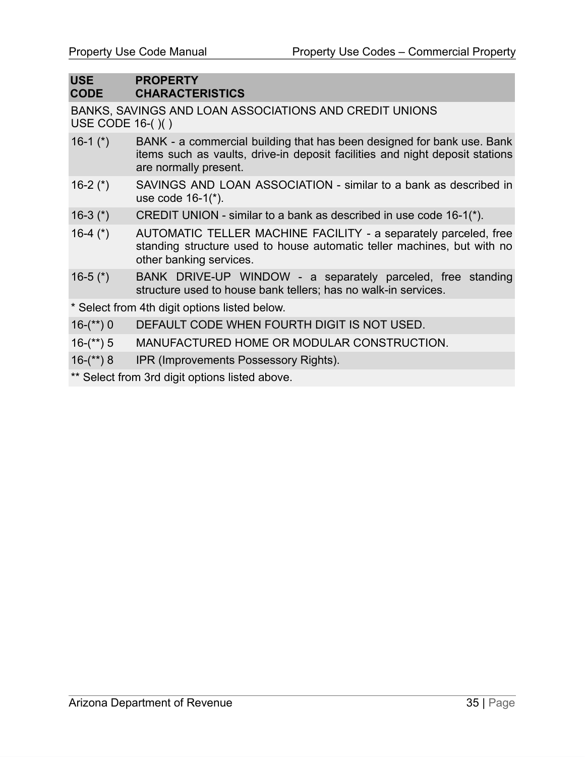<span id="page-35-0"></span>BANKS, SAVINGS AND LOAN ASSOCIATIONS AND CREDIT UNIONS USE CODE 16-( )( )

- 16-1 (\*) BANK a commercial building that has been designed for bank use. Bank items such as vaults, drive-in deposit facilities and night deposit stations are normally present.
- 16-2 (\*) SAVINGS AND LOAN ASSOCIATION similar to a bank as described in use code 16-1(\*).
- 16-3 (\*) CREDIT UNION similar to a bank as described in use code 16-1(\*).
- 16-4 (\*) AUTOMATIC TELLER MACHINE FACILITY a separately parceled, free standing structure used to house automatic teller machines, but with no other banking services.
- 16-5 (\*) BANK DRIVE-UP WINDOW a separately parceled, free standing structure used to house bank tellers; has no walk-in services.

\* Select from 4th digit options listed below.

- 16-(\*\*) 0 DEFAULT CODE WHEN FOURTH DIGIT IS NOT USED.
- 16-(\*\*) 5 MANUFACTURED HOME OR MODULAR CONSTRUCTION.
- 16-(\*\*) 8 IPR (Improvements Possessory Rights).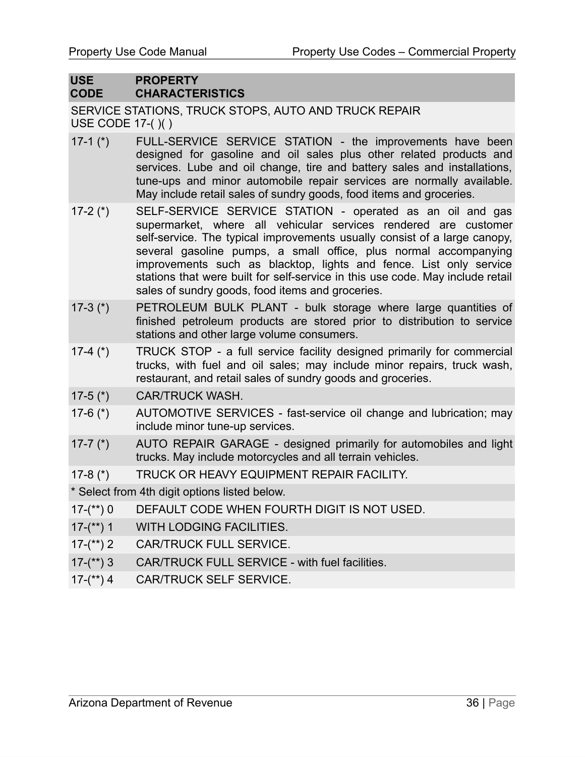SERVICE STATIONS, TRUCK STOPS, AUTO AND TRUCK REPAIR USE CODE 17-( )( )

- 17-1 (\*) FULL-SERVICE SERVICE STATION the improvements have been designed for gasoline and oil sales plus other related products and services. Lube and oil change, tire and battery sales and installations, tune-ups and minor automobile repair services are normally available. May include retail sales of sundry goods, food items and groceries.
- 17-2 (\*) SELF-SERVICE SERVICE STATION operated as an oil and gas supermarket, where all vehicular services rendered are customer self-service. The typical improvements usually consist of a large canopy, several gasoline pumps, a small office, plus normal accompanying improvements such as blacktop, lights and fence. List only service stations that were built for self-service in this use code. May include retail sales of sundry goods, food items and groceries.
- 17-3 (\*) PETROLEUM BULK PLANT bulk storage where large quantities of finished petroleum products are stored prior to distribution to service stations and other large volume consumers.
- 17-4 (\*) TRUCK STOP a full service facility designed primarily for commercial trucks, with fuel and oil sales; may include minor repairs, truck wash, restaurant, and retail sales of sundry goods and groceries.
- 17-5 (\*) CAR/TRUCK WASH.
- 17-6 (\*) AUTOMOTIVE SERVICES fast-service oil change and lubrication; may include minor tune-up services.
- 17-7 (\*) AUTO REPAIR GARAGE designed primarily for automobiles and light trucks. May include motorcycles and all terrain vehicles.
- 17-8 (\*) TRUCK OR HEAVY EQUIPMENT REPAIR FACILITY.
- \* Select from 4th digit options listed below.
- 17-(\*\*) 0 DEFAULT CODE WHEN FOURTH DIGIT IS NOT USED.
- 17-(\*\*) 1 WITH LODGING FACILITIES.
- 17-(\*\*) 2 CAR/TRUCK FULL SERVICE.
- 17-(\*\*) 3 CAR/TRUCK FULL SERVICE with fuel facilities.
- 17-(\*\*) 4 CAR/TRUCK SELF SERVICE.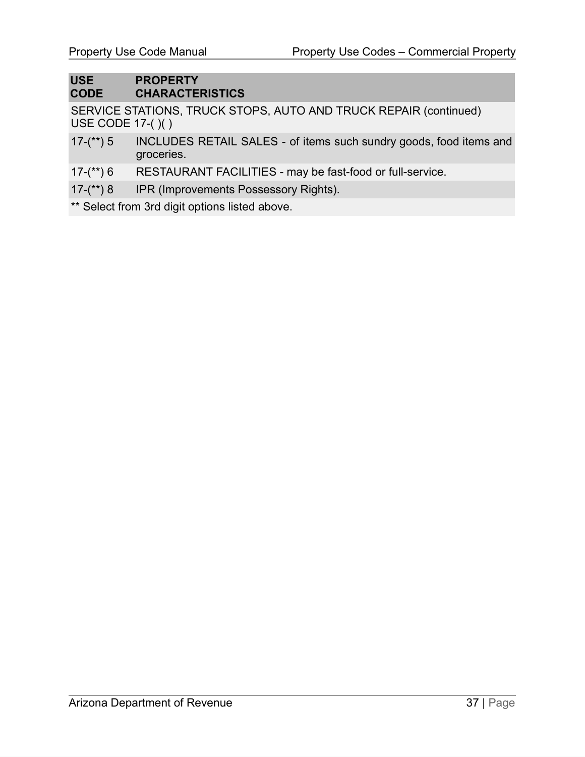SERVICE STATIONS, TRUCK STOPS, AUTO AND TRUCK REPAIR (continued) USE CODE 17-( )( )

- 17-(\*\*) 5 INCLUDES RETAIL SALES of items such sundry goods, food items and groceries.
- 17-(\*\*) 6 RESTAURANT FACILITIES may be fast-food or full-service.
- 17-(\*\*) 8 IPR (Improvements Possessory Rights).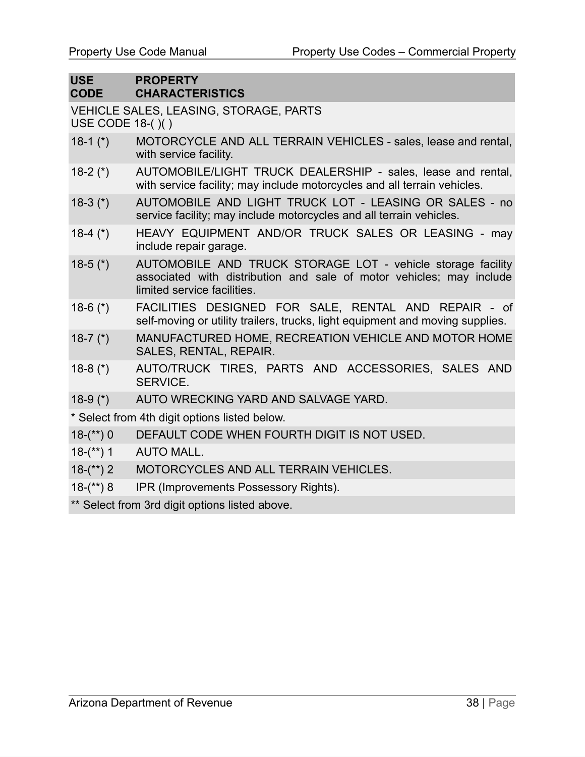| <b>USE</b>               | <b>PROPERTY</b>    |
|--------------------------|--------------------|
| $\bigcap_{n=1}^{\infty}$ | AU A B A ATEBIATIA |

**CODE CHARACTERISTICS**

VEHICLE SALES, LEASING, STORAGE, PARTS

USE CODE 18-( )( )

- 18-1 (\*) MOTORCYCLE AND ALL TERRAIN VEHICLES sales, lease and rental, with service facility.
- 18-2 (\*) AUTOMOBILE/LIGHT TRUCK DEALERSHIP sales, lease and rental, with service facility; may include motorcycles and all terrain vehicles.
- 18-3 (\*) AUTOMOBILE AND LIGHT TRUCK LOT LEASING OR SALES no service facility; may include motorcycles and all terrain vehicles.
- 18-4 (\*) HEAVY EQUIPMENT AND/OR TRUCK SALES OR LEASING may include repair garage.
- 18-5 (\*) AUTOMOBILE AND TRUCK STORAGE LOT vehicle storage facility associated with distribution and sale of motor vehicles; may include limited service facilities.
- 18-6 (\*) FACILITIES DESIGNED FOR SALE, RENTAL AND REPAIR of self-moving or utility trailers, trucks, light equipment and moving supplies.
- 18-7 (\*) MANUFACTURED HOME, RECREATION VEHICLE AND MOTOR HOME SALES, RENTAL, REPAIR.
- 18-8 (\*) AUTO/TRUCK TIRES, PARTS AND ACCESSORIES, SALES AND SERVICE.
- 18-9 (\*) AUTO WRECKING YARD AND SALVAGE YARD.
- \* Select from 4th digit options listed below.
- 18-(\*\*) 0 DEFAULT CODE WHEN FOURTH DIGIT IS NOT USED.
- 18-(\*\*) 1 AUTO MALL.
- 18-(\*\*) 2 MOTORCYCLES AND ALL TERRAIN VEHICLES.
- 18-(\*\*) 8 IPR (Improvements Possessory Rights).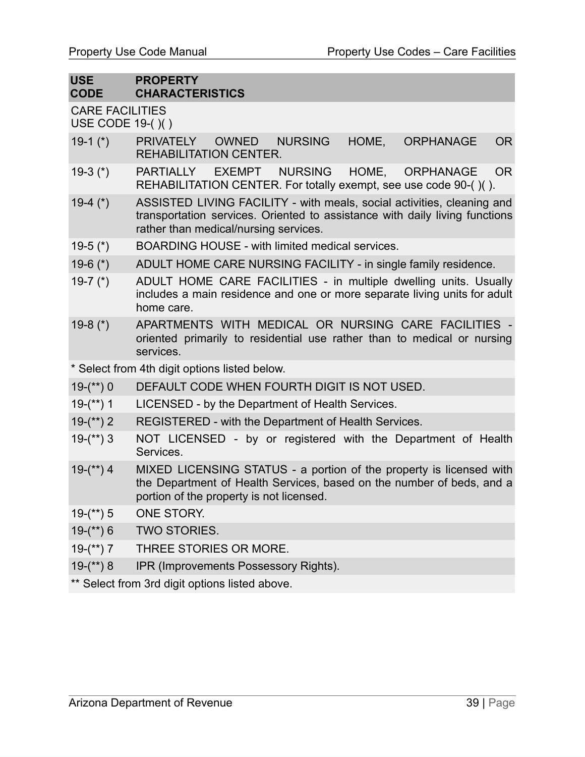| <b>USE</b><br><b>CODE</b>                    | <b>PROPERTY</b><br><b>CHARACTERISTICS</b>                                                                                                                                                      |
|----------------------------------------------|------------------------------------------------------------------------------------------------------------------------------------------------------------------------------------------------|
| <b>CARE FACILITIES</b><br>USE CODE $19-()()$ |                                                                                                                                                                                                |
| 19-1 $(*)$                                   | <b>PRIVATELY</b><br><b>OWNED</b><br><b>NURSING</b><br>HOME,<br><b>ORPHANAGE</b><br>OR<br><b>REHABILITATION CENTER.</b>                                                                         |
| 19-3 $(*)$                                   | <b>PARTIALLY</b><br><b>EXEMPT</b><br><b>NURSING</b><br>HOME,<br><b>OR</b><br><b>ORPHANAGE</b><br>REHABILITATION CENTER. For totally exempt, see use code 90-()().                              |
| 19-4 $(*)$                                   | ASSISTED LIVING FACILITY - with meals, social activities, cleaning and<br>transportation services. Oriented to assistance with daily living functions<br>rather than medical/nursing services. |
| 19-5 $(*)$                                   | BOARDING HOUSE - with limited medical services.                                                                                                                                                |
| 19-6 $(*)$                                   | ADULT HOME CARE NURSING FACILITY - in single family residence.                                                                                                                                 |
| 19-7 $(*)$                                   | ADULT HOME CARE FACILITIES - in multiple dwelling units. Usually<br>includes a main residence and one or more separate living units for adult<br>home care.                                    |
| 19-8 $(*)$                                   | APARTMENTS WITH MEDICAL OR NURSING CARE FACILITIES -<br>oriented primarily to residential use rather than to medical or nursing<br>services.                                                   |
|                                              | * Select from 4th digit options listed below.                                                                                                                                                  |
| $19-(**)$ 0                                  | DEFAULT CODE WHEN FOURTH DIGIT IS NOT USED.                                                                                                                                                    |
| $19-(**)1$                                   | LICENSED - by the Department of Health Services.                                                                                                                                               |
| $19-(**)$ 2                                  | REGISTERED - with the Department of Health Services.                                                                                                                                           |
| $19-(**)$ 3                                  | NOT LICENSED - by or registered with the Department of Health<br>Services.                                                                                                                     |
| $19-(**)4$                                   | MIXED LICENSING STATUS - a portion of the property is licensed with<br>the Department of Health Services, based on the number of beds, and a<br>portion of the property is not licensed.       |
| $19-(**)5$                                   | ONE STORY.                                                                                                                                                                                     |
| $19-(**)6$                                   | <b>TWO STORIES.</b>                                                                                                                                                                            |
| $19-(**)7$                                   | THREE STORIES OR MORE.                                                                                                                                                                         |
| $19-(**)$ 8                                  | <b>IPR (Improvements Possessory Rights).</b>                                                                                                                                                   |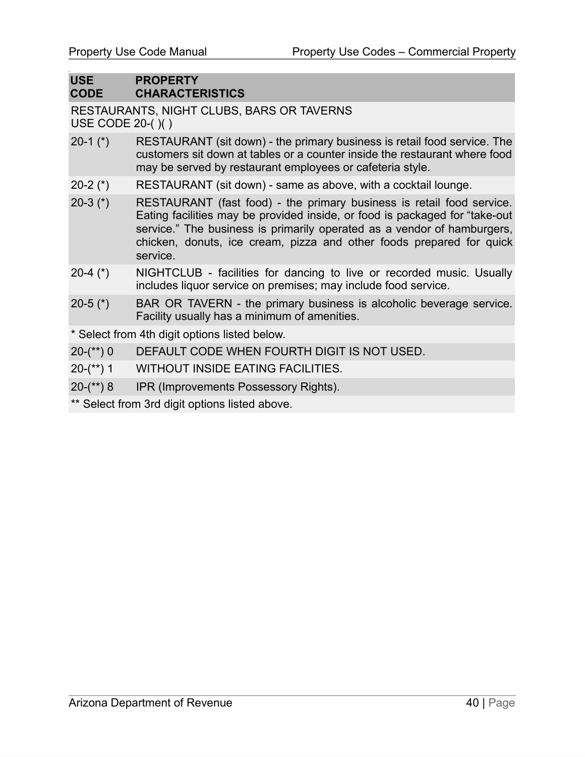RESTAURANTS, NIGHT CLUBS, BARS OR TAVERNS

USE CODE 20-( )( )

- 20-1 (\*) RESTAURANT (sit down) the primary business is retail food service. The customers sit down at tables or a counter inside the restaurant where food may be served by restaurant employees or cafeteria style.
- 20-2 (\*) RESTAURANT (sit down) same as above, with a cocktail lounge.
- 20-3 (\*) RESTAURANT (fast food) the primary business is retail food service. Eating facilities may be provided inside, or food is packaged for "take-out service." The business is primarily operated as a vendor of hamburgers, chicken, donuts, ice cream, pizza and other foods prepared for quick service.
- 20-4 (\*) NIGHTCLUB facilities for dancing to live or recorded music. Usually includes liquor service on premises; may include food service.
- 20-5 (\*) BAR OR TAVERN the primary business is alcoholic beverage service. Facility usually has a minimum of amenities.

\* Select from 4th digit options listed below.

20-(\*\*) 0 DEFAULT CODE WHEN FOURTH DIGIT IS NOT USED.

20-(\*\*) 1 WITHOUT INSIDE EATING FACILITIES.

20-(\*\*) 8 IPR (Improvements Possessory Rights).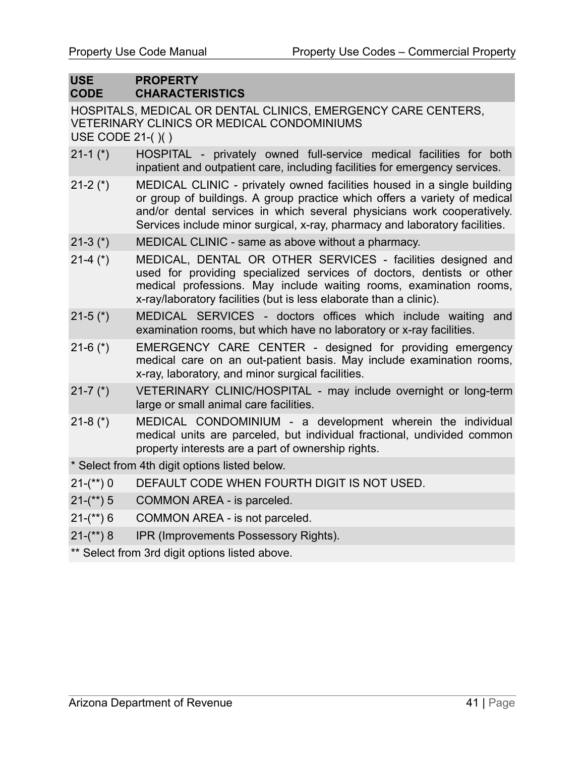HOSPITALS, MEDICAL OR DENTAL CLINICS, EMERGENCY CARE CENTERS,

VETERINARY CLINICS OR MEDICAL CONDOMINIUMS

USE CODE 21-( )( )

- 21-1 (\*) HOSPITAL privately owned full-service medical facilities for both inpatient and outpatient care, including facilities for emergency services.
- 21-2 (\*) MEDICAL CLINIC privately owned facilities housed in a single building or group of buildings. A group practice which offers a variety of medical and/or dental services in which several physicians work cooperatively. Services include minor surgical, x-ray, pharmacy and laboratory facilities.
- 21-3 (\*) MEDICAL CLINIC same as above without a pharmacy.
- 21-4 (\*) MEDICAL, DENTAL OR OTHER SERVICES facilities designed and used for providing specialized services of doctors, dentists or other medical professions. May include waiting rooms, examination rooms, x-ray/laboratory facilities (but is less elaborate than a clinic).
- 21-5 (\*) MEDICAL SERVICES doctors offices which include waiting and examination rooms, but which have no laboratory or x-ray facilities.
- 21-6 (\*) EMERGENCY CARE CENTER designed for providing emergency medical care on an out-patient basis. May include examination rooms, x-ray, laboratory, and minor surgical facilities.
- 21-7 (\*) VETERINARY CLINIC/HOSPITAL may include overnight or long-term large or small animal care facilities.
- 21-8 (\*) MEDICAL CONDOMINIUM a development wherein the individual medical units are parceled, but individual fractional, undivided common property interests are a part of ownership rights.

\* Select from 4th digit options listed below.

- 21-(\*\*) 0 DEFAULT CODE WHEN FOURTH DIGIT IS NOT USED.
- 21-(\*\*) 5 COMMON AREA is parceled.
- 21-(\*\*) 6 COMMON AREA is not parceled.
- 21-(\*\*) 8 IPR (Improvements Possessory Rights).
- \*\* Select from 3rd digit options listed above.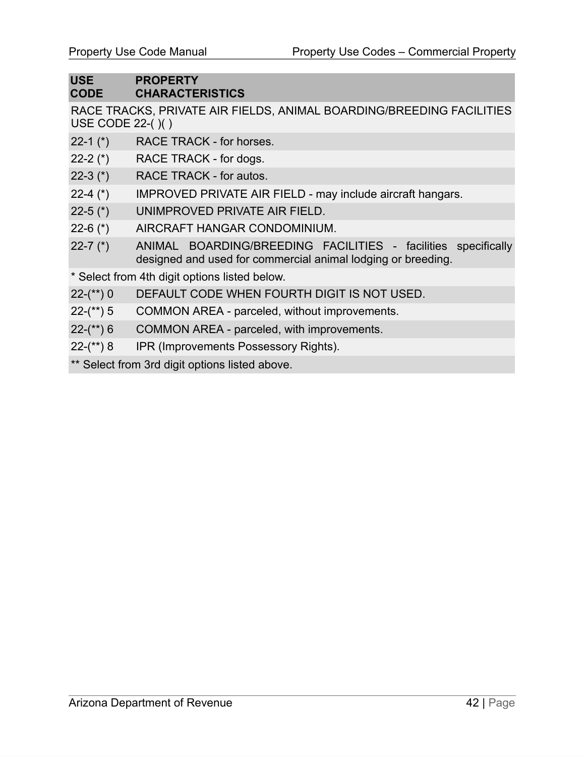RACE TRACKS, PRIVATE AIR FIELDS, ANIMAL BOARDING/BREEDING FACILITIES USE CODE 22-( )( )

- 22-1 (\*) RACE TRACK for horses.
- 22-2 (\*) RACE TRACK for dogs.
- 22-3 (\*) RACE TRACK for autos.
- 22-4 (\*) IMPROVED PRIVATE AIR FIELD may include aircraft hangars.
- 22-5 (\*) UNIMPROVED PRIVATE AIR FIELD.
- 22-6 (\*) AIRCRAFT HANGAR CONDOMINIUM.
- 22-7 (\*) ANIMAL BOARDING/BREEDING FACILITIES facilities specifically designed and used for commercial animal lodging or breeding.
- \* Select from 4th digit options listed below.
- 22-(\*\*) 0 DEFAULT CODE WHEN FOURTH DIGIT IS NOT USED.
- 22-(\*\*) 5 COMMON AREA parceled, without improvements.
- 22-(\*\*) 6 COMMON AREA parceled, with improvements.
- 22-(\*\*) 8 IPR (Improvements Possessory Rights).
- \*\* Select from 3rd digit options listed above.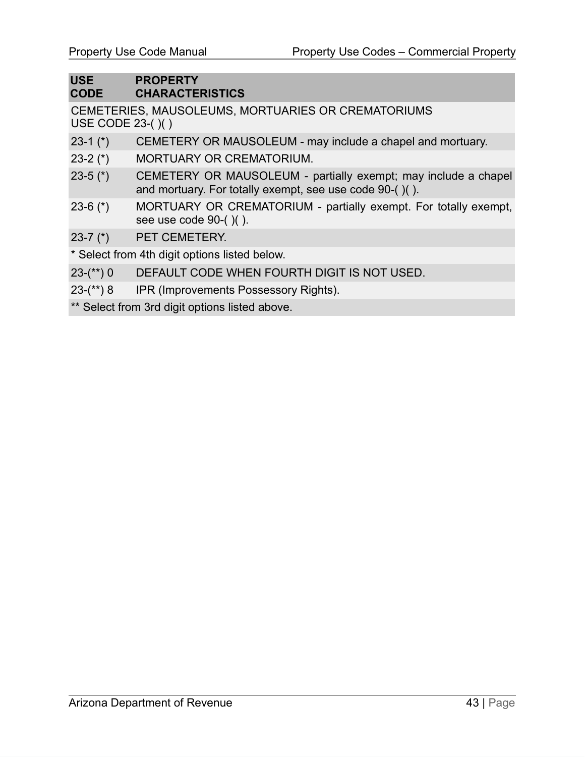CEMETERIES, MAUSOLEUMS, MORTUARIES OR CREMATORIUMS USE CODE 23-( )( )

- 23-1 (\*) CEMETERY OR MAUSOLEUM may include a chapel and mortuary.
- 23-2 (\*) MORTUARY OR CREMATORIUM.
- 23-5 (\*) CEMETERY OR MAUSOLEUM partially exempt; may include a chapel and mortuary. For totally exempt, see use code 90-( )( ).
- 23-6 (\*) MORTUARY OR CREMATORIUM partially exempt. For totally exempt, see use code 90-( )( ).
- 23-7 (\*) PET CEMETERY.

\* Select from 4th digit options listed below.

- 23-(\*\*) 0 DEFAULT CODE WHEN FOURTH DIGIT IS NOT USED.
- 23-(\*\*) 8 IPR (Improvements Possessory Rights).
- \*\* Select from 3rd digit options listed above.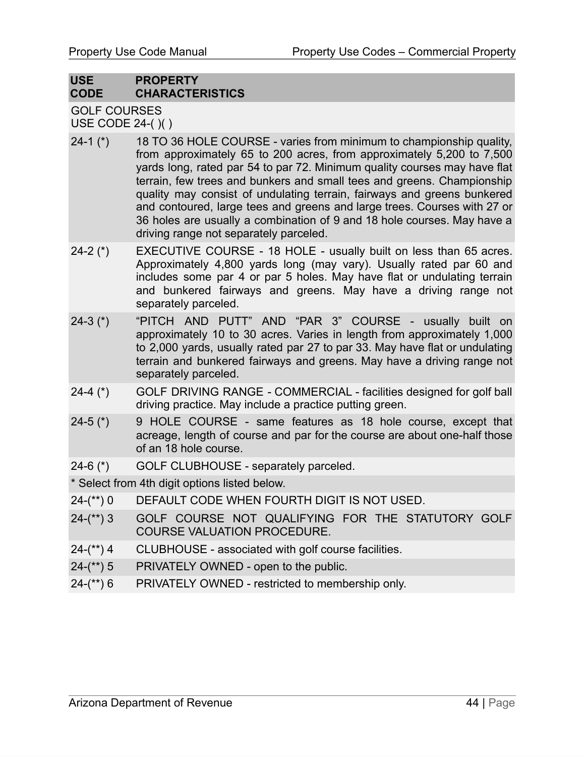GOLF COURSES

USE CODE 24-( )( )

- 24-1 (\*) 18 TO 36 HOLE COURSE varies from minimum to championship quality, from approximately 65 to 200 acres, from approximately 5,200 to 7,500 yards long, rated par 54 to par 72. Minimum quality courses may have flat terrain, few trees and bunkers and small tees and greens. Championship quality may consist of undulating terrain, fairways and greens bunkered and contoured, large tees and greens and large trees. Courses with 27 or 36 holes are usually a combination of 9 and 18 hole courses. May have a driving range not separately parceled.
- 24-2 (\*) EXECUTIVE COURSE 18 HOLE usually built on less than 65 acres. Approximately 4,800 yards long (may vary). Usually rated par 60 and includes some par 4 or par 5 holes. May have flat or undulating terrain and bunkered fairways and greens. May have a driving range not separately parceled.
- 24-3 (\*) "PITCH AND PUTT" AND "PAR 3" COURSE usually built on approximately 10 to 30 acres. Varies in length from approximately 1,000 to 2,000 yards, usually rated par 27 to par 33. May have flat or undulating terrain and bunkered fairways and greens. May have a driving range not separately parceled.
- 24-4 (\*) GOLF DRIVING RANGE COMMERCIAL facilities designed for golf ball driving practice. May include a practice putting green.
- $24-5$  (\*) 9 HOLE COURSE same features as 18 hole course, except that acreage, length of course and par for the course are about one-half those of an 18 hole course.
- 24-6 (\*) GOLF CLUBHOUSE separately parceled.

\* Select from 4th digit options listed below.

- 24-(\*\*) 0 DEFAULT CODE WHEN FOURTH DIGIT IS NOT USED.
- 24-(\*\*) 3 GOLF COURSE NOT QUALIFYING FOR THE STATUTORY GOLF COURSE VALUATION PROCEDURE.
- 24-(\*\*) 4 CLUBHOUSE associated with golf course facilities.
- 24-(\*\*) 5 PRIVATELY OWNED open to the public.
- 24-(\*\*) 6 PRIVATELY OWNED restricted to membership only.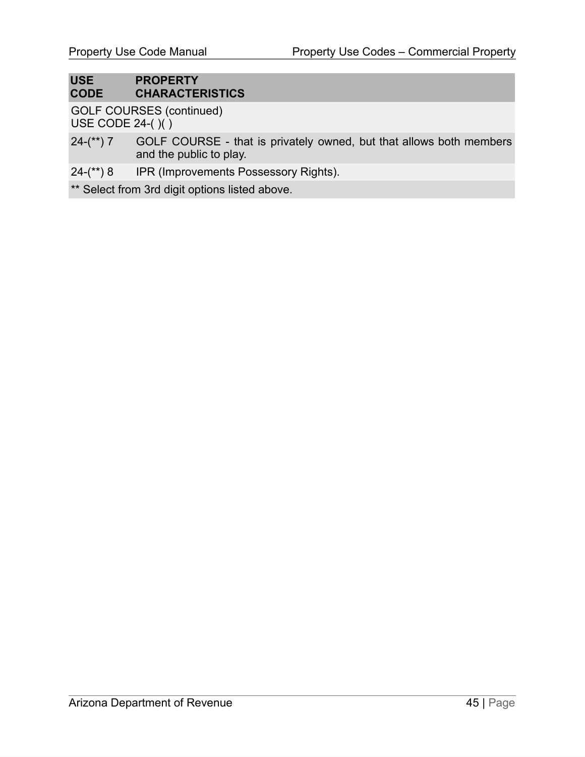GOLF COURSES (continued)

USE CODE 24- $()()$ 

- 24-(\*\*) 7 GOLF COURSE that is privately owned, but that allows both members and the public to play.
- 24-(\*\*) 8 IPR (Improvements Possessory Rights).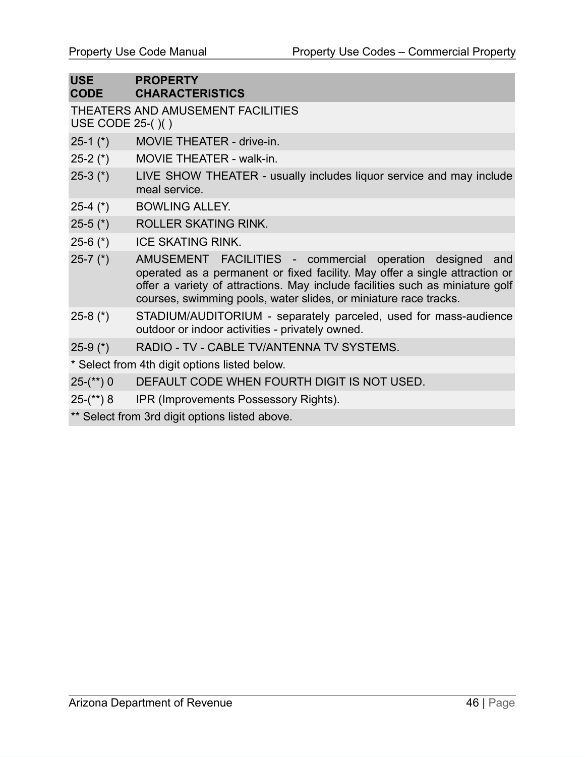# **USE PROPERTY**

**CODE CHARACTERISTICS**

THEATERS AND AMUSEMENT FACILITIES

USE CODE 25-( )( )

- 25-1 (\*) MOVIE THEATER drive-in.
- 25-2 (\*) MOVIE THEATER walk-in.
- 25-3 (\*) LIVE SHOW THEATER usually includes liquor service and may include meal service.
- 25-4 (\*) BOWLING ALLEY.
- 25-5 (\*) ROLLER SKATING RINK.
- 25-6 (\*) ICE SKATING RINK.
- 25-7 (\*) AMUSEMENT FACILITIES commercial operation designed and operated as a permanent or fixed facility. May offer a single attraction or offer a variety of attractions. May include facilities such as miniature golf courses, swimming pools, water slides, or miniature race tracks.
- 25-8 (\*) STADIUM/AUDITORIUM separately parceled, used for mass-audience outdoor or indoor activities - privately owned.
- 25-9 (\*) RADIO TV CABLE TV/ANTENNA TV SYSTEMS.
- \* Select from 4th digit options listed below.

25-(\*\*) 0 DEFAULT CODE WHEN FOURTH DIGIT IS NOT USED.

- 25-(\*\*) 8 IPR (Improvements Possessory Rights).
- \*\* Select from 3rd digit options listed above.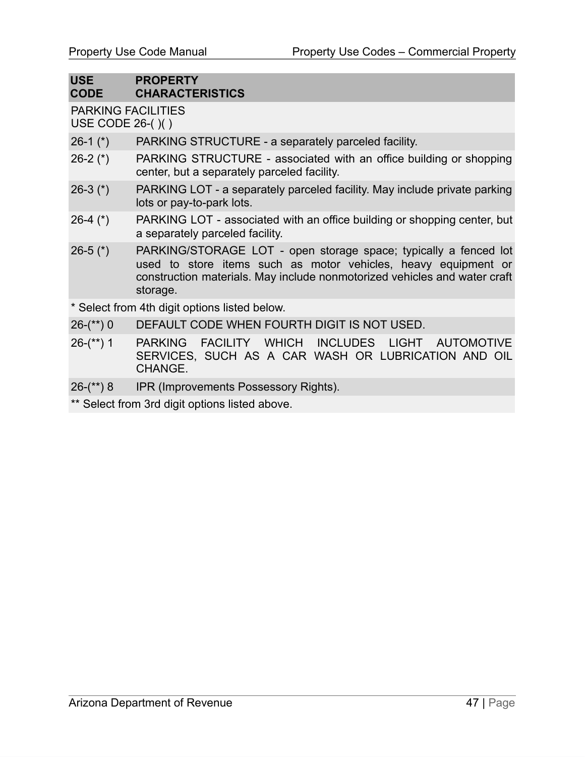| <b>USE</b><br><b>CODE</b>                       | <b>PROPERTY</b><br><b>CHARACTERISTICS</b>                                                                                                                                                                                   |
|-------------------------------------------------|-----------------------------------------------------------------------------------------------------------------------------------------------------------------------------------------------------------------------------|
| <b>PARKING FACILITIES</b><br>USE CODE $26-()()$ |                                                                                                                                                                                                                             |
| $26-1$ $(*)$                                    | PARKING STRUCTURE - a separately parceled facility.                                                                                                                                                                         |
| $26-2$ $(*)$                                    | PARKING STRUCTURE - associated with an office building or shopping<br>center, but a separately parceled facility.                                                                                                           |
| $26-3$ $(*)$                                    | PARKING LOT - a separately parceled facility. May include private parking<br>lots or pay-to-park lots.                                                                                                                      |
| $26-4 (*)$                                      | PARKING LOT - associated with an office building or shopping center, but<br>a separately parceled facility.                                                                                                                 |
| 26-5 $(*)$                                      | PARKING/STORAGE LOT - open storage space; typically a fenced lot<br>used to store items such as motor vehicles, heavy equipment or<br>construction materials. May include nonmotorized vehicles and water craft<br>storage. |
|                                                 | * Select from 4th digit options listed below.                                                                                                                                                                               |
| $26-(**)$ 0                                     | DEFAULT CODE WHEN FOURTH DIGIT IS NOT USED.                                                                                                                                                                                 |
| $26-(**)$ 1                                     | PARKING FACILITY WHICH INCLUDES LIGHT AUTOMOTIVE<br>SERVICES, SUCH AS A CAR WASH OR LUBRICATION AND OIL<br>CHANGE.                                                                                                          |
|                                                 |                                                                                                                                                                                                                             |

26-(\*\*) 8 IPR (Improvements Possessory Rights).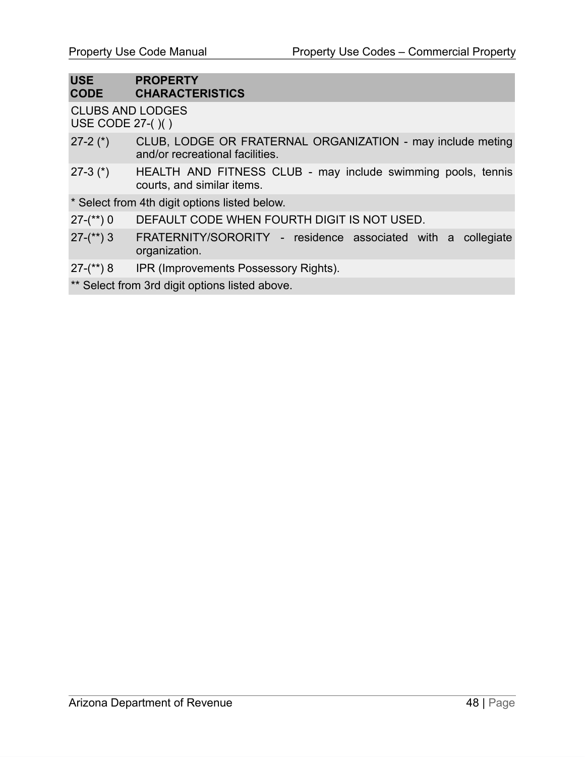CLUBS AND LODGES

USE CODE 27-( )( )

- 27-2 (\*) CLUB, LODGE OR FRATERNAL ORGANIZATION may include meting and/or recreational facilities.
- 27-3 (\*) HEALTH AND FITNESS CLUB may include swimming pools, tennis courts, and similar items.

\* Select from 4th digit options listed below.

- 27-(\*\*) 0 DEFAULT CODE WHEN FOURTH DIGIT IS NOT USED.
- 27-(\*\*) 3 FRATERNITY/SORORITY residence associated with a collegiate organization.
- 27-(\*\*) 8 IPR (Improvements Possessory Rights).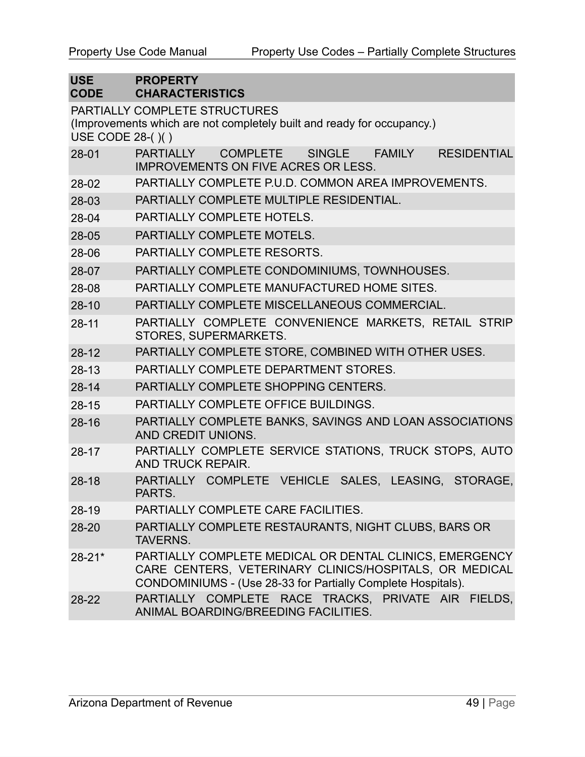| <b>USE</b><br><b>CODE</b> | <b>PROPERTY</b><br><b>CHARACTERISTICS</b>                                                                                                                                         |
|---------------------------|-----------------------------------------------------------------------------------------------------------------------------------------------------------------------------------|
| USE CODE 28-()()          | <b>PARTIALLY COMPLETE STRUCTURES</b><br>(Improvements which are not completely built and ready for occupancy.)                                                                    |
| 28-01                     | <b>COMPLETE</b><br><b>RESIDENTIAL</b><br><b>PARTIALLY</b><br><b>SINGLE</b><br><b>FAMILY</b><br><b>IMPROVEMENTS ON FIVE ACRES OR LESS.</b>                                         |
| 28-02                     | PARTIALLY COMPLETE P.U.D. COMMON AREA IMPROVEMENTS.                                                                                                                               |
| 28-03                     | PARTIALLY COMPLETE MULTIPLE RESIDENTIAL.                                                                                                                                          |
| 28-04                     | PARTIALLY COMPLETE HOTELS.                                                                                                                                                        |
| 28-05                     | PARTIALLY COMPLETE MOTELS.                                                                                                                                                        |
| 28-06                     | PARTIALLY COMPLETE RESORTS.                                                                                                                                                       |
| 28-07                     | PARTIALLY COMPLETE CONDOMINIUMS, TOWNHOUSES.                                                                                                                                      |
| 28-08                     | PARTIALLY COMPLETE MANUFACTURED HOME SITES.                                                                                                                                       |
| $28 - 10$                 | PARTIALLY COMPLETE MISCELLANEOUS COMMERCIAL.                                                                                                                                      |
| $28 - 11$                 | PARTIALLY COMPLETE CONVENIENCE MARKETS, RETAIL STRIP<br>STORES, SUPERMARKETS.                                                                                                     |
| $28 - 12$                 | PARTIALLY COMPLETE STORE, COMBINED WITH OTHER USES.                                                                                                                               |
| $28 - 13$                 | PARTIALLY COMPLETE DEPARTMENT STORES.                                                                                                                                             |
| $28 - 14$                 | PARTIALLY COMPLETE SHOPPING CENTERS.                                                                                                                                              |
| $28 - 15$                 | PARTIALLY COMPLETE OFFICE BUILDINGS.                                                                                                                                              |
| $28 - 16$                 | PARTIALLY COMPLETE BANKS, SAVINGS AND LOAN ASSOCIATIONS<br>AND CREDIT UNIONS.                                                                                                     |
| $28 - 17$                 | PARTIALLY COMPLETE SERVICE STATIONS, TRUCK STOPS, AUTO<br>AND TRUCK REPAIR.                                                                                                       |
| $28 - 18$                 | PARTIALLY COMPLETE VEHICLE SALES, LEASING, STORAGE,<br>PARTS.                                                                                                                     |
| $28-19$                   | PARTIALLY COMPLETE CARE FACILITIES.                                                                                                                                               |
| 28-20                     | PARTIALLY COMPLETE RESTAURANTS, NIGHT CLUBS, BARS OR<br><b>TAVERNS.</b>                                                                                                           |
| $28 - 21*$                | PARTIALLY COMPLETE MEDICAL OR DENTAL CLINICS, EMERGENCY<br>CARE CENTERS, VETERINARY CLINICS/HOSPITALS, OR MEDICAL<br>CONDOMINIUMS - (Use 28-33 for Partially Complete Hospitals). |
| 28-22                     | PARTIALLY COMPLETE RACE TRACKS, PRIVATE AIR FIELDS.<br>ANIMAL BOARDING/BREEDING FACILITIES.                                                                                       |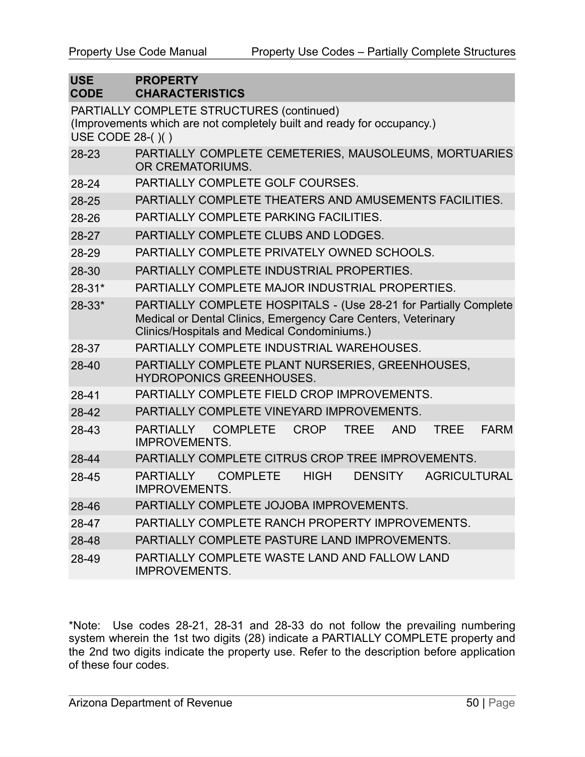| <b>USE</b><br><b>CODE</b> | <b>PROPERTY</b><br><b>CHARACTERISTICS</b>                                                                                                                                         |
|---------------------------|-----------------------------------------------------------------------------------------------------------------------------------------------------------------------------------|
| USE CODE 28-( )( )        | PARTIALLY COMPLETE STRUCTURES (continued)<br>(Improvements which are not completely built and ready for occupancy.)                                                               |
| 28-23                     | PARTIALLY COMPLETE CEMETERIES, MAUSOLEUMS, MORTUARIES<br>OR CREMATORIUMS.                                                                                                         |
| 28-24                     | PARTIALLY COMPLETE GOLF COURSES.                                                                                                                                                  |
| 28-25                     | PARTIALLY COMPLETE THEATERS AND AMUSEMENTS FACILITIES.                                                                                                                            |
| 28-26                     | PARTIALLY COMPLETE PARKING FACILITIES.                                                                                                                                            |
| 28-27                     | PARTIALLY COMPLETE CLUBS AND LODGES.                                                                                                                                              |
| 28-29                     | PARTIALLY COMPLETE PRIVATELY OWNED SCHOOLS.                                                                                                                                       |
| 28-30                     | PARTIALLY COMPLETE INDUSTRIAL PROPERTIES.                                                                                                                                         |
| $28 - 31*$                | PARTIALLY COMPLETE MAJOR INDUSTRIAL PROPERTIES.                                                                                                                                   |
| $28 - 33*$                | PARTIALLY COMPLETE HOSPITALS - (Use 28-21 for Partially Complete<br>Medical or Dental Clinics, Emergency Care Centers, Veterinary<br>Clinics/Hospitals and Medical Condominiums.) |
| 28-37                     | PARTIALLY COMPLETE INDUSTRIAL WAREHOUSES.                                                                                                                                         |
| 28-40                     | PARTIALLY COMPLETE PLANT NURSERIES, GREENHOUSES,<br>HYDROPONICS GREENHOUSES.                                                                                                      |
| 28-41                     | PARTIALLY COMPLETE FIELD CROP IMPROVEMENTS.                                                                                                                                       |
| 28-42                     | PARTIALLY COMPLETE VINEYARD IMPROVEMENTS.                                                                                                                                         |
| 28-43                     | <b>COMPLETE</b><br><b>CROP</b><br><b>TREE</b><br><b>FARM</b><br><b>TREE</b><br><b>AND</b><br><b>PARTIALLY</b><br><b>IMPROVEMENTS.</b>                                             |
| 28-44                     | PARTIALLY COMPLETE CITRUS CROP TREE IMPROVEMENTS.                                                                                                                                 |
| 28-45                     | <b>COMPLETE</b><br><b>HIGH</b><br><b>PARTIALLY</b><br><b>DENSITY</b><br><b>AGRICULTURAL</b><br><b>IMPROVEMENTS.</b>                                                               |
| 28-46                     | PARTIALLY COMPLETE JOJOBA IMPROVEMENTS.                                                                                                                                           |
| 28-47                     | PARTIALLY COMPLETE RANCH PROPERTY IMPROVEMENTS.                                                                                                                                   |
| 28-48                     | PARTIALLY COMPLETE PASTURE LAND IMPROVEMENTS.                                                                                                                                     |
| 28-49                     | PARTIALLY COMPLETE WASTE LAND AND FALLOW LAND<br><b>IMPROVEMENTS.</b>                                                                                                             |

\*Note: Use codes 28-21, 28-31 and 28-33 do not follow the prevailing numbering system wherein the 1st two digits (28) indicate a PARTIALLY COMPLETE property and the 2nd two digits indicate the property use. Refer to the description before application of these four codes.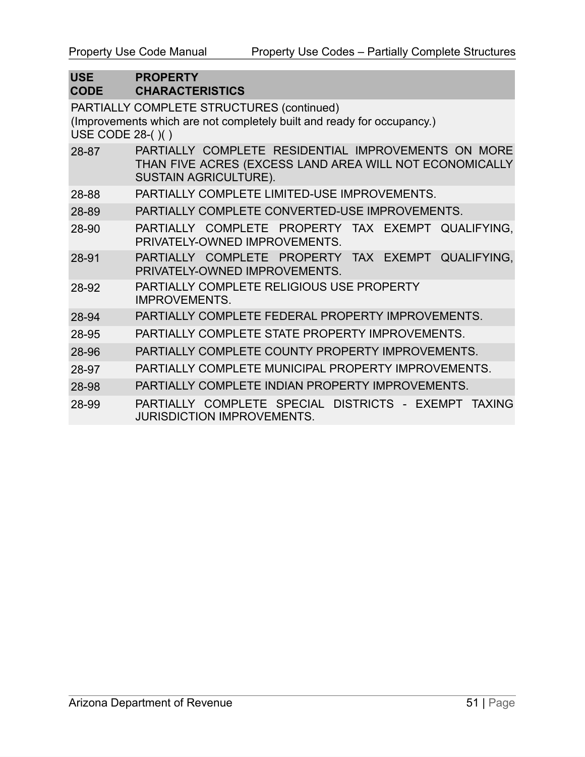| <b>USE</b><br><b>CODE</b> | <b>PROPERTY</b><br><b>CHARACTERISTICS</b>                                                                                                      |
|---------------------------|------------------------------------------------------------------------------------------------------------------------------------------------|
| USE CODE 28-( )( )        | PARTIALLY COMPLETE STRUCTURES (continued)<br>(Improvements which are not completely built and ready for occupancy.)                            |
| 28-87                     | PARTIALLY COMPLETE RESIDENTIAL IMPROVEMENTS ON MORE<br>THAN FIVE ACRES (EXCESS LAND AREA WILL NOT ECONOMICALLY<br><b>SUSTAIN AGRICULTURE).</b> |
| 28-88                     | PARTIALLY COMPLETE LIMITED-USE IMPROVEMENTS.                                                                                                   |
| 28-89                     | PARTIALLY COMPLETE CONVERTED-USE IMPROVEMENTS.                                                                                                 |
| 28-90                     | PARTIALLY COMPLETE PROPERTY TAX EXEMPT QUALIFYING.<br>PRIVATELY-OWNED IMPROVEMENTS.                                                            |
| 28-91                     | PARTIALLY COMPLETE PROPERTY TAX EXEMPT QUALIFYING,<br>PRIVATELY-OWNED IMPROVEMENTS.                                                            |
| 28-92                     | PARTIALLY COMPLETE RELIGIOUS USE PROPERTY<br>IMPROVEMENTS.                                                                                     |
| 28-94                     | PARTIALLY COMPLETE FEDERAL PROPERTY IMPROVEMENTS.                                                                                              |
| 28-95                     | PARTIALLY COMPLETE STATE PROPERTY IMPROVEMENTS.                                                                                                |
| 28-96                     | PARTIALLY COMPLETE COUNTY PROPERTY IMPROVEMENTS.                                                                                               |
| 28-97                     | PARTIALLY COMPLETE MUNICIPAL PROPERTY IMPROVEMENTS.                                                                                            |
| 28-98                     | PARTIALLY COMPLETE INDIAN PROPERTY IMPROVEMENTS.                                                                                               |
| 28-99                     | PARTIALLY COMPLETE SPECIAL DISTRICTS - EXEMPT TAXING<br><b>JURISDICTION IMPROVEMENTS.</b>                                                      |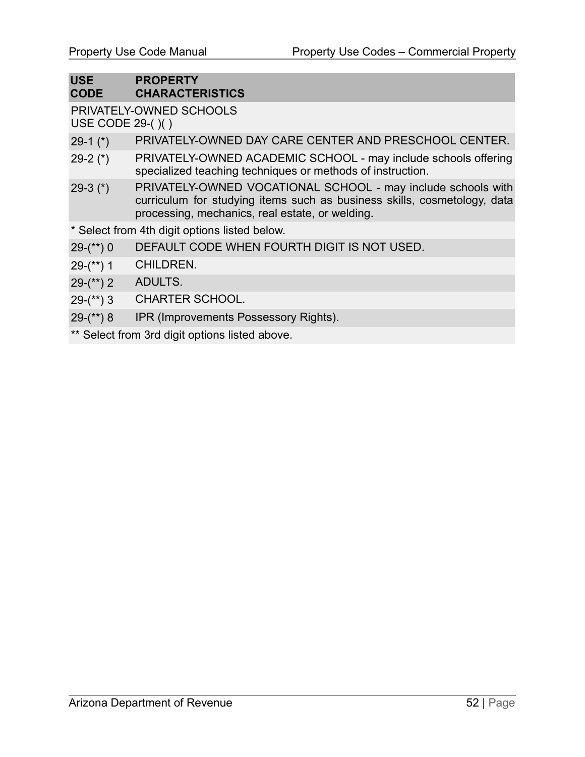PRIVATELY-OWNED SCHOOLS

USE CODE 29-( )( )

- 29-1 (\*) PRIVATELY-OWNED DAY CARE CENTER AND PRESCHOOL CENTER.
- 29-2 (\*) PRIVATELY-OWNED ACADEMIC SCHOOL may include schools offering specialized teaching techniques or methods of instruction.
- 29-3 (\*) PRIVATELY-OWNED VOCATIONAL SCHOOL may include schools with curriculum for studying items such as business skills, cosmetology, data processing, mechanics, real estate, or welding.

\* Select from 4th digit options listed below.

- 29-(\*\*) 0 DEFAULT CODE WHEN FOURTH DIGIT IS NOT USED.
- 29-(\*\*) 1 CHILDREN.
- 29-(\*\*) 2 ADULTS.
- 29-(\*\*) 3 CHARTER SCHOOL.
- 29-(\*\*) 8 IPR (Improvements Possessory Rights).
- \*\* Select from 3rd digit options listed above.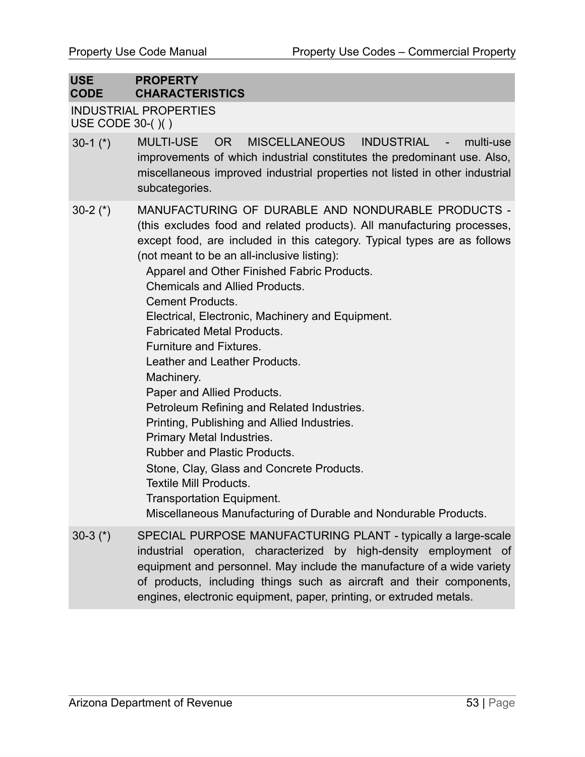**PROPERTY**

**USE**

| טט⊏<br><b>CODE</b> | FRUFERII<br><b>CHARACTERISTICS</b>                                                                                                                                                                                                                                                                                                                                                                                                                                                                                                                                                                                                                                                                                                                                                                                                                                                                                                               |
|--------------------|--------------------------------------------------------------------------------------------------------------------------------------------------------------------------------------------------------------------------------------------------------------------------------------------------------------------------------------------------------------------------------------------------------------------------------------------------------------------------------------------------------------------------------------------------------------------------------------------------------------------------------------------------------------------------------------------------------------------------------------------------------------------------------------------------------------------------------------------------------------------------------------------------------------------------------------------------|
| USE CODE 30-()()   | <b>INDUSTRIAL PROPERTIES</b>                                                                                                                                                                                                                                                                                                                                                                                                                                                                                                                                                                                                                                                                                                                                                                                                                                                                                                                     |
| 30-1 $(*)$         | <b>MISCELLANEOUS</b><br><b>INDUSTRIAL</b><br><b>MULTI-USE</b><br>OR.<br>$\sim$<br>multi-use<br>improvements of which industrial constitutes the predominant use. Also,<br>miscellaneous improved industrial properties not listed in other industrial<br>subcategories.                                                                                                                                                                                                                                                                                                                                                                                                                                                                                                                                                                                                                                                                          |
| 30-2 $(*)$         | MANUFACTURING OF DURABLE AND NONDURABLE PRODUCTS -<br>(this excludes food and related products). All manufacturing processes,<br>except food, are included in this category. Typical types are as follows<br>(not meant to be an all-inclusive listing):<br>Apparel and Other Finished Fabric Products.<br><b>Chemicals and Allied Products.</b><br><b>Cement Products.</b><br>Electrical, Electronic, Machinery and Equipment.<br><b>Fabricated Metal Products.</b><br><b>Furniture and Fixtures.</b><br>Leather and Leather Products.<br>Machinery.<br>Paper and Allied Products.<br>Petroleum Refining and Related Industries.<br>Printing, Publishing and Allied Industries.<br><b>Primary Metal Industries.</b><br><b>Rubber and Plastic Products.</b><br>Stone, Clay, Glass and Concrete Products.<br><b>Textile Mill Products.</b><br><b>Transportation Equipment.</b><br>Miscellaneous Manufacturing of Durable and Nondurable Products. |
| $30-3$ $(*)$       | SPECIAL PURPOSE MANUFACTURING PLANT - typically a large-scale<br>operation, characterized<br>by high-density employment of<br>industrial                                                                                                                                                                                                                                                                                                                                                                                                                                                                                                                                                                                                                                                                                                                                                                                                         |

of products, including things such as aircraft and their components, engines, electronic equipment, paper, printing, or extruded metals.

equipment and personnel. May include the manufacture of a wide variety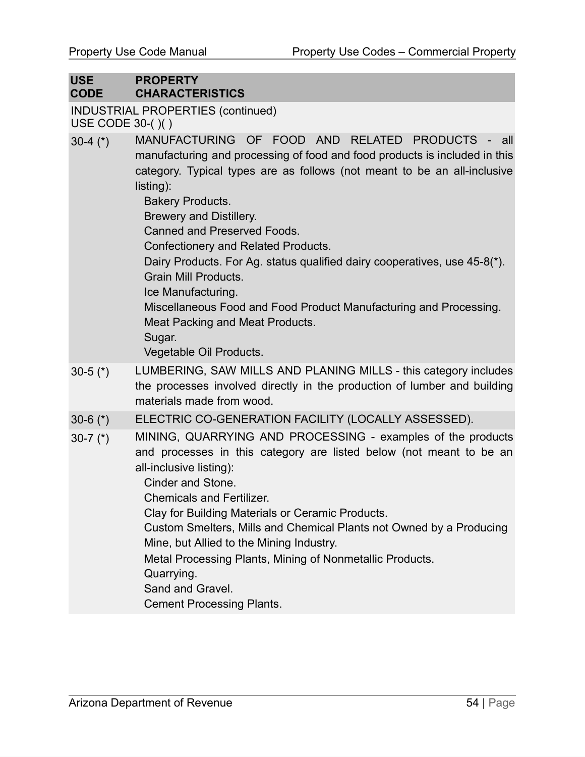| <b>USE</b><br><b>CODE</b> | <b>PROPERTY</b><br><b>CHARACTERISTICS</b>                                                                                                                                                                                                                                                                                                                                                                                                                                                                                                                                                                                                               |
|---------------------------|---------------------------------------------------------------------------------------------------------------------------------------------------------------------------------------------------------------------------------------------------------------------------------------------------------------------------------------------------------------------------------------------------------------------------------------------------------------------------------------------------------------------------------------------------------------------------------------------------------------------------------------------------------|
| USE CODE 30-()()          | <b>INDUSTRIAL PROPERTIES (continued)</b>                                                                                                                                                                                                                                                                                                                                                                                                                                                                                                                                                                                                                |
| 30-4 $(*)$                | MANUFACTURING OF FOOD AND RELATED PRODUCTS - all<br>manufacturing and processing of food and food products is included in this<br>category. Typical types are as follows (not meant to be an all-inclusive<br>listing):<br><b>Bakery Products.</b><br><b>Brewery and Distillery.</b><br><b>Canned and Preserved Foods.</b><br><b>Confectionery and Related Products.</b><br>Dairy Products. For Ag. status qualified dairy cooperatives, use 45-8(*).<br><b>Grain Mill Products.</b><br>Ice Manufacturing.<br>Miscellaneous Food and Food Product Manufacturing and Processing.<br>Meat Packing and Meat Products.<br>Sugar.<br>Vegetable Oil Products. |
| 30-5 $(*)$                | LUMBERING, SAW MILLS AND PLANING MILLS - this category includes<br>the processes involved directly in the production of lumber and building<br>materials made from wood.                                                                                                                                                                                                                                                                                                                                                                                                                                                                                |
| 30-6 $(*)$                | ELECTRIC CO-GENERATION FACILITY (LOCALLY ASSESSED).                                                                                                                                                                                                                                                                                                                                                                                                                                                                                                                                                                                                     |
| 30-7 $(*)$                | MINING, QUARRYING AND PROCESSING - examples of the products<br>and processes in this category are listed below (not meant to be an<br>all-inclusive listing):<br>Cinder and Stone.<br><b>Chemicals and Fertilizer.</b><br>Clay for Building Materials or Ceramic Products.<br>Custom Smelters, Mills and Chemical Plants not Owned by a Producing<br>Mine, but Allied to the Mining Industry.<br>Metal Processing Plants, Mining of Nonmetallic Products.<br>Quarrying.<br>Sand and Gravel.<br><b>Cement Processing Plants.</b>                                                                                                                         |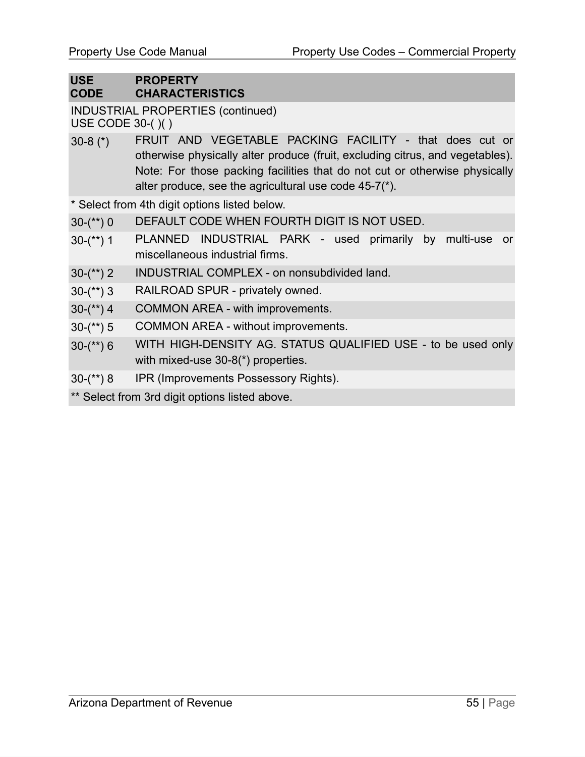INDUSTRIAL PROPERTIES (continued)

USE CODE 30-( )( )

30-8 (\*) FRUIT AND VEGETABLE PACKING FACILITY - that does cut or otherwise physically alter produce (fruit, excluding citrus, and vegetables). Note: For those packing facilities that do not cut or otherwise physically alter produce, see the agricultural use code 45-7(\*).

\* Select from 4th digit options listed below.

- 30-(\*\*) 0 DEFAULT CODE WHEN FOURTH DIGIT IS NOT USED.
- 30-(\*\*) 1 PLANNED INDUSTRIAL PARK used primarily by multi-use or miscellaneous industrial firms.
- 30-(\*\*) 2 INDUSTRIAL COMPLEX on nonsubdivided land.
- 30-(\*\*) 3 RAILROAD SPUR privately owned.
- 30-(\*\*) 4 COMMON AREA with improvements.
- 30-(\*\*) 5 COMMON AREA without improvements.
- 30-(\*\*) 6 WITH HIGH-DENSITY AG. STATUS QUALIFIED USE to be used only with mixed-use 30-8(\*) properties.
- 30-(\*\*) 8 IPR (Improvements Possessory Rights).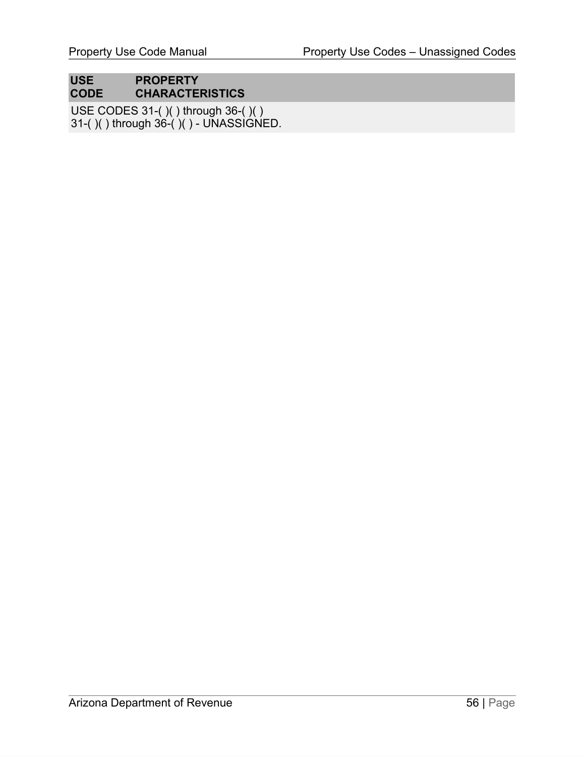USE CODES 31-( )( ) through 36-( )( ) 31-( )( ) through 36-( )( ) - UNASSIGNED.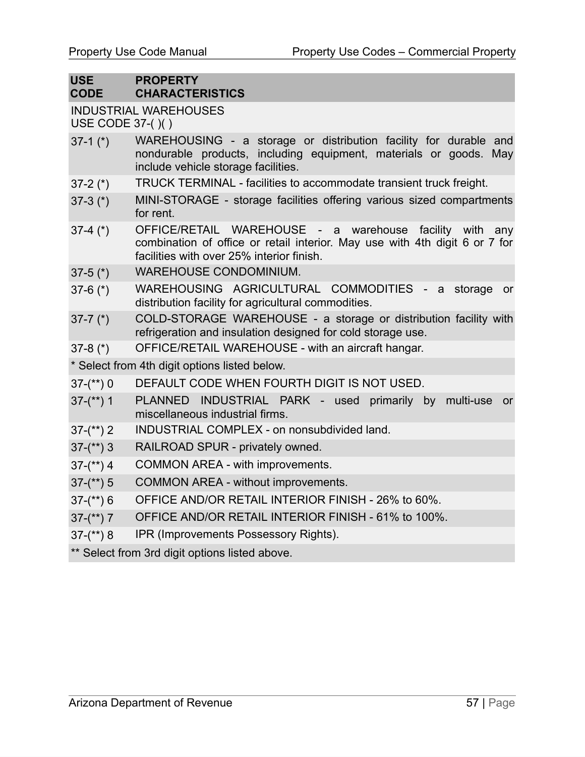| <b>USE</b><br><b>CODE</b> | <b>PROPERTY</b><br><b>CHARACTERISTICS</b>                                                                                                                                           |
|---------------------------|-------------------------------------------------------------------------------------------------------------------------------------------------------------------------------------|
| USE CODE 37-()()          | <b>INDUSTRIAL WAREHOUSES</b>                                                                                                                                                        |
| $37-1$ (*)                | WAREHOUSING - a storage or distribution facility for durable and<br>nondurable products, including equipment, materials or goods. May<br>include vehicle storage facilities.        |
| 37-2 $(*)$                | TRUCK TERMINAL - facilities to accommodate transient truck freight.                                                                                                                 |
| $37-3$ (*)                | MINI-STORAGE - storage facilities offering various sized compartments<br>for rent.                                                                                                  |
| 37-4 $(*)$                | OFFICE/RETAIL WAREHOUSE - a warehouse facility with any<br>combination of office or retail interior. May use with 4th digit 6 or 7 for<br>facilities with over 25% interior finish. |
| 37-5 $(*)$                | <b>WAREHOUSE CONDOMINIUM.</b>                                                                                                                                                       |
| 37-6 $(*)$                | WAREHOUSING AGRICULTURAL COMMODITIES - a storage or<br>distribution facility for agricultural commodities.                                                                          |
| 37-7 $(*)$                | COLD-STORAGE WAREHOUSE - a storage or distribution facility with<br>refrigeration and insulation designed for cold storage use.                                                     |
| 37-8 $(*)$                | OFFICE/RETAIL WAREHOUSE - with an aircraft hangar.                                                                                                                                  |
|                           | * Select from 4th digit options listed below.                                                                                                                                       |
| $37-(**)0$                | DEFAULT CODE WHEN FOURTH DIGIT IS NOT USED.                                                                                                                                         |
| $37-(**)$ 1               | PLANNED INDUSTRIAL PARK - used primarily by multi-use<br>or<br>miscellaneous industrial firms.                                                                                      |
| $37-(**)$ 2               | INDUSTRIAL COMPLEX - on nonsubdivided land.                                                                                                                                         |
| $37-(**)$ 3               | RAILROAD SPUR - privately owned.                                                                                                                                                    |
| $37-(**)4$                | <b>COMMON AREA - with improvements.</b>                                                                                                                                             |
| $37-(**)$ 5               | <b>COMMON AREA - without improvements.</b>                                                                                                                                          |
| $37-(**)6$                | OFFICE AND/OR RETAIL INTERIOR FINISH - 26% to 60%.                                                                                                                                  |
| $37-(**)7$                | OFFICE AND/OR RETAIL INTERIOR FINISH - 61% to 100%.                                                                                                                                 |
| $37-(**)8$                | IPR (Improvements Possessory Rights).                                                                                                                                               |
| $+$ $+$ $  +$ $-$         |                                                                                                                                                                                     |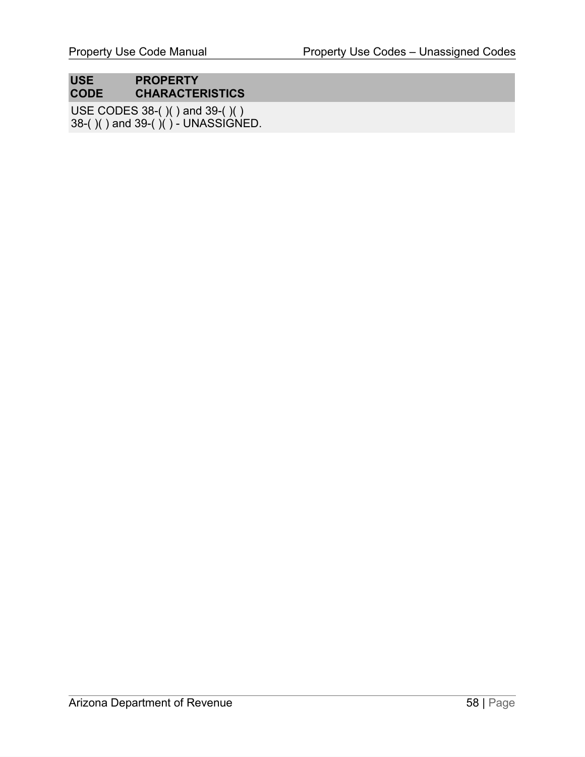USE CODES 38-( )( ) and 39-( )( ) 38-( )( ) and 39-( )( ) - UNASSIGNED.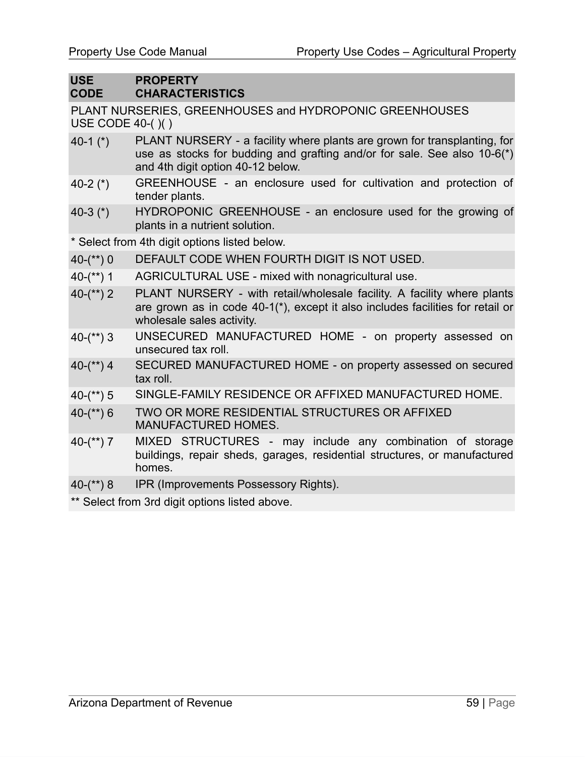| <b>USE</b><br><b>CODE</b> | <b>PROPERTY</b><br><b>CHARACTERISTICS</b>                                                                                                                                                            |
|---------------------------|------------------------------------------------------------------------------------------------------------------------------------------------------------------------------------------------------|
| USE CODE $40-()()$        | PLANT NURSERIES, GREENHOUSES and HYDROPONIC GREENHOUSES                                                                                                                                              |
| 40-1 $(*)$                | PLANT NURSERY - a facility where plants are grown for transplanting, for<br>use as stocks for budding and grafting and/or for sale. See also 10-6(*)<br>and 4th digit option 40-12 below.            |
| 40-2 $(*)$                | GREENHOUSE - an enclosure used for cultivation and protection of<br>tender plants.                                                                                                                   |
| 40-3 $(*)$                | HYDROPONIC GREENHOUSE - an enclosure used for the growing of<br>plants in a nutrient solution.                                                                                                       |
|                           | * Select from 4th digit options listed below.                                                                                                                                                        |
| $40-(**)$ 0               | DEFAULT CODE WHEN FOURTH DIGIT IS NOT USED.                                                                                                                                                          |
| $40-(**)$ 1               | AGRICULTURAL USE - mixed with nonagricultural use.                                                                                                                                                   |
| $40-(**)$ 2               | PLANT NURSERY - with retail/wholesale facility. A facility where plants<br>are grown as in code $40-1$ <sup>*</sup> ), except it also includes facilities for retail or<br>wholesale sales activity. |
| $40-(**)$ 3               | UNSECURED MANUFACTURED HOME - on property assessed on<br>unsecured tax roll.                                                                                                                         |
| $40-(**)4$                | SECURED MANUFACTURED HOME - on property assessed on secured<br>tax roll.                                                                                                                             |
| $40-(**)$ 5               | SINGLE-FAMILY RESIDENCE OR AFFIXED MANUFACTURED HOME.                                                                                                                                                |
| $40-(**)6$                | TWO OR MORE RESIDENTIAL STRUCTURES OR AFFIXED<br><b>MANUFACTURED HOMES.</b>                                                                                                                          |
| $40-(**)7$                | MIXED STRUCTURES - may include any combination of storage<br>buildings, repair sheds, garages, residential structures, or manufactured<br>homes.                                                     |
| $40-(**)$ 8               | <b>IPR (Improvements Possessory Rights).</b>                                                                                                                                                         |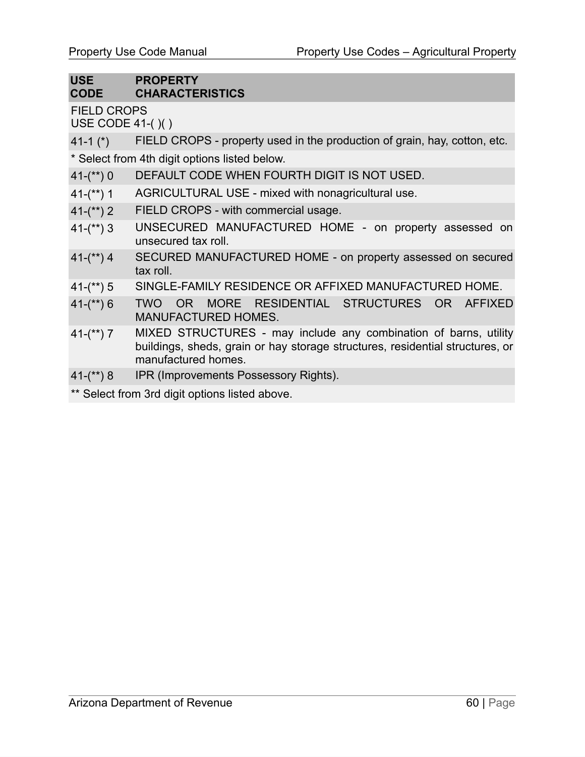FIELD CROPS

USE CODE 41-( )( )

41-1 (\*) FIELD CROPS - property used in the production of grain, hay, cotton, etc. \* Select from 4th digit options listed below.

- 41-(\*\*) 0 DEFAULT CODE WHEN FOURTH DIGIT IS NOT USED.
- 41-(\*\*) 1 AGRICULTURAL USE mixed with nonagricultural use.
- 41-(\*\*) 2 FIELD CROPS with commercial usage.
- 41-(\*\*) 3 UNSECURED MANUFACTURED HOME on property assessed on unsecured tax roll.
- 41-(\*\*) 4 SECURED MANUFACTURED HOME on property assessed on secured tax roll.
- 41-(\*\*) 5 SINGLE-FAMILY RESIDENCE OR AFFIXED MANUFACTURED HOME.
- 41-(\*\*) 6 TWO OR MORE RESIDENTIAL STRUCTURES OR AFFIXED MANUFACTURED HOMES.
- 41-(\*\*) 7 MIXED STRUCTURES may include any combination of barns, utility buildings, sheds, grain or hay storage structures, residential structures, or manufactured homes.
- 41-(\*\*) 8 IPR (Improvements Possessory Rights).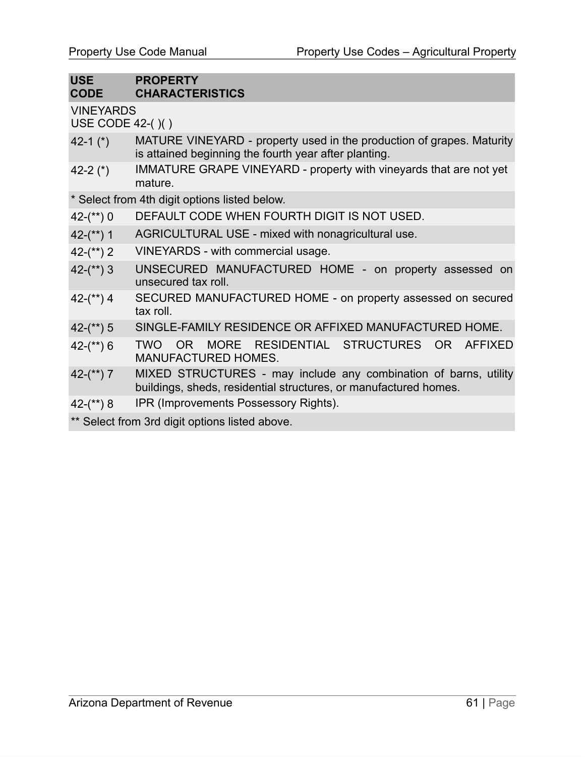**USE**

| <b>USE</b><br><b>CODE</b>            | <b>PROPERTY</b><br><b>CHARACTERISTICS</b>                                                                                            |
|--------------------------------------|--------------------------------------------------------------------------------------------------------------------------------------|
| <b>VINEYARDS</b><br>USE CODE 42-()() |                                                                                                                                      |
| 42-1 $(*)$                           | MATURE VINEYARD - property used in the production of grapes. Maturity<br>is attained beginning the fourth year after planting.       |
| 42-2 $(*)$                           | <b>IMMATURE GRAPE VINEYARD - property with vineyards that are not yet</b><br>mature.                                                 |
|                                      | * Select from 4th digit options listed below.                                                                                        |
| $42-(**)$ 0                          | DEFAULT CODE WHEN FOURTH DIGIT IS NOT USED.                                                                                          |
| $42-(**)$ 1                          | AGRICULTURAL USE - mixed with nonagricultural use.                                                                                   |
| $42-(**)$ 2                          | VINEYARDS - with commercial usage.                                                                                                   |
| $42-(**)$ 3                          | UNSECURED MANUFACTURED HOME - on property assessed on<br>unsecured tax roll.                                                         |
| $42-(**)$ 4                          | SECURED MANUFACTURED HOME - on property assessed on secured<br>tax roll.                                                             |
| $42-(**)$ 5                          | SINGLE-FAMILY RESIDENCE OR AFFIXED MANUFACTURED HOME.                                                                                |
| $42-(**)6$                           | MORE RESIDENTIAL STRUCTURES OR<br>AFFIXED<br>TWO T<br>OR.<br><b>MANUFACTURED HOMES.</b>                                              |
| $42-(**)$ 7                          | MIXED STRUCTURES - may include any combination of barns, utility<br>buildings, sheds, residential structures, or manufactured homes. |
| $42-(**)$ 8                          | IPR (Improvements Possessory Rights).                                                                                                |
|                                      | ** Select from 3rd digit options listed above.                                                                                       |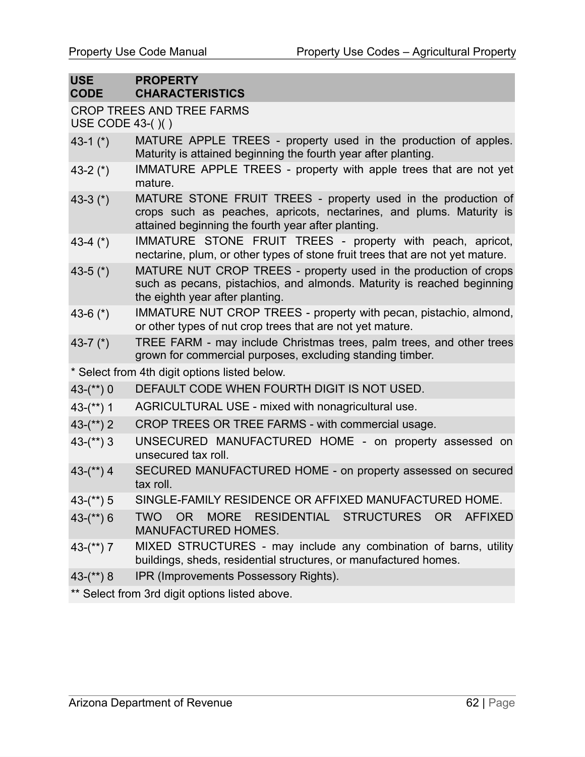| <b>USE</b><br><b>CODE</b> | <b>PROPERTY</b><br><b>CHARACTERISTICS</b>                                                                                                                                                  |
|---------------------------|--------------------------------------------------------------------------------------------------------------------------------------------------------------------------------------------|
| USE CODE 43-()()          | <b>CROP TREES AND TREE FARMS</b>                                                                                                                                                           |
| 43-1 $(*)$                | MATURE APPLE TREES - property used in the production of apples.<br>Maturity is attained beginning the fourth year after planting.                                                          |
| 43-2 $(*)$                | IMMATURE APPLE TREES - property with apple trees that are not yet<br>mature.                                                                                                               |
| 43-3 $(*)$                | MATURE STONE FRUIT TREES - property used in the production of<br>crops such as peaches, apricots, nectarines, and plums. Maturity is<br>attained beginning the fourth year after planting. |
| 43-4 $(*)$                | IMMATURE STONE FRUIT TREES - property with peach, apricot,<br>nectarine, plum, or other types of stone fruit trees that are not yet mature.                                                |
| 43-5 $(*)$                | MATURE NUT CROP TREES - property used in the production of crops<br>such as pecans, pistachios, and almonds. Maturity is reached beginning<br>the eighth year after planting.              |
| 43-6 $(*)$                | IMMATURE NUT CROP TREES - property with pecan, pistachio, almond,<br>or other types of nut crop trees that are not yet mature.                                                             |
| 43-7 $(*)$                | TREE FARM - may include Christmas trees, palm trees, and other trees<br>grown for commercial purposes, excluding standing timber.                                                          |
|                           | * Select from 4th digit options listed below.                                                                                                                                              |
| $43-(**)0$                | DEFAULT CODE WHEN FOURTH DIGIT IS NOT USED.                                                                                                                                                |
| $43-(**)$ 1               | AGRICULTURAL USE - mixed with nonagricultural use.                                                                                                                                         |
| $43-(**)$ 2               | CROP TREES OR TREE FARMS - with commercial usage.                                                                                                                                          |
| $43-(**)$ 3               | UNSECURED MANUFACTURED HOME - on property assessed on<br>unsecured tax roll.                                                                                                               |
| $43-(**)4$                | SECURED MANUFACTURED HOME - on property assessed on secured<br>tax roll.                                                                                                                   |
| $43-(**)5$                | SINGLE-FAMILY RESIDENCE OR AFFIXED MANUFACTURED HOME.                                                                                                                                      |
| $43-(**)6$                | OR.<br><b>MORE</b><br><b>RESIDENTIAL</b><br><b>STRUCTURES</b><br><b>OR</b><br><b>AFFIXED</b><br><b>TWO</b><br><b>MANUFACTURED HOMES.</b>                                                   |
| $43-(**)7$                | MIXED STRUCTURES - may include any combination of barns, utility<br>buildings, sheds, residential structures, or manufactured homes.                                                       |
|                           |                                                                                                                                                                                            |

- 43-(\*\*) 8 IPR (Improvements Possessory Rights).
- \*\* Select from 3rd digit options listed above.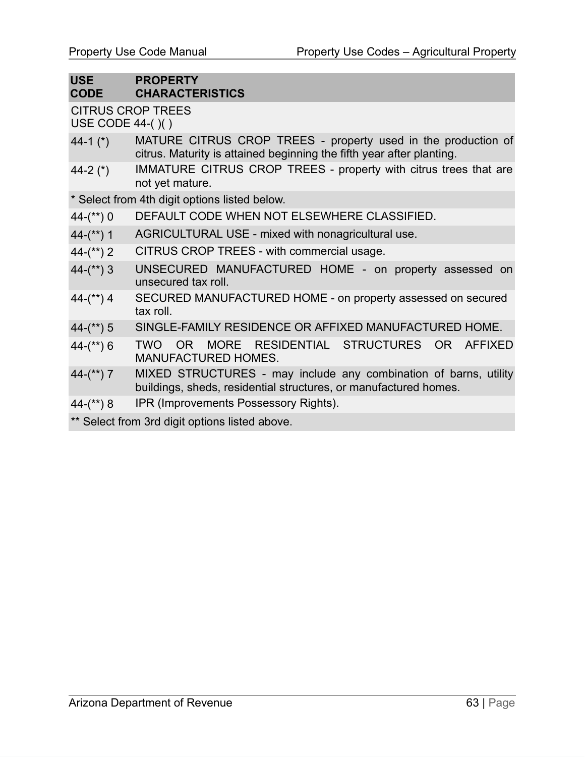| <b>USE</b>  | <b>PROPERTY</b>        |
|-------------|------------------------|
| <b>CODE</b> | <b>CHARACTERISTICS</b> |

CITRUS CROP TREES

USE CODE 44-( )( )

- 44-1 (\*) MATURE CITRUS CROP TREES property used in the production of citrus. Maturity is attained beginning the fifth year after planting.
- 44-2 (\*) IMMATURE CITRUS CROP TREES property with citrus trees that are not yet mature.

\* Select from 4th digit options listed below.

- 44-(\*\*) 0 DEFAULT CODE WHEN NOT ELSEWHERE CLASSIFIED.
- 44-(\*\*) 1 AGRICULTURAL USE mixed with nonagricultural use.
- 44-(\*\*) 2 CITRUS CROP TREES with commercial usage.
- 44-(\*\*) 3 UNSECURED MANUFACTURED HOME on property assessed on unsecured tax roll.
- 44-(\*\*) 4 SECURED MANUFACTURED HOME on property assessed on secured tax roll.
- 44-(\*\*) 5 SINGLE-FAMILY RESIDENCE OR AFFIXED MANUFACTURED HOME.
- 44-(\*\*) 6 TWO OR MORE RESIDENTIAL STRUCTURES OR AFFIXED MANUFACTURED HOMES.
- 44-(\*\*) 7 MIXED STRUCTURES may include any combination of barns, utility buildings, sheds, residential structures, or manufactured homes.
- 44-(\*\*) 8 IPR (Improvements Possessory Rights).
- \*\* Select from 3rd digit options listed above.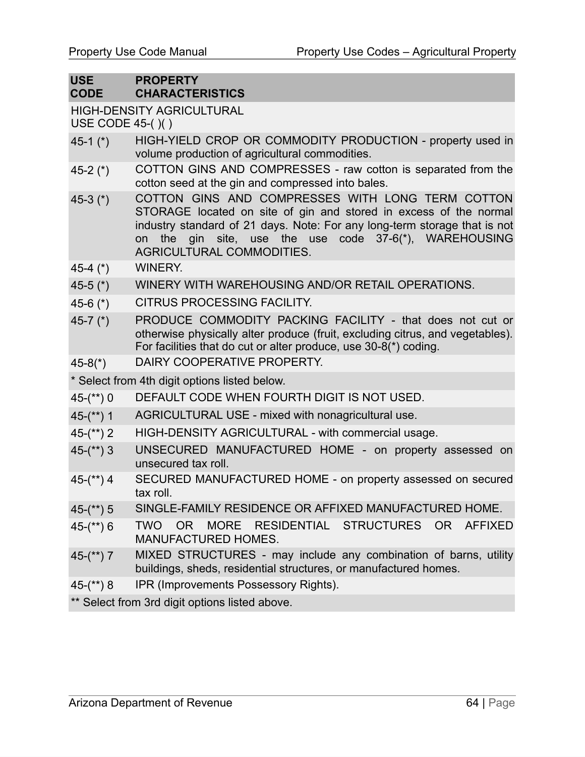| <b>USE</b><br><b>CODE</b> | <b>PROPERTY</b><br><b>CHARACTERISTICS</b>                                                                                                                                                                                                                                                 |  |
|---------------------------|-------------------------------------------------------------------------------------------------------------------------------------------------------------------------------------------------------------------------------------------------------------------------------------------|--|
| USE CODE 45-()()          | <b>HIGH-DENSITY AGRICULTURAL</b>                                                                                                                                                                                                                                                          |  |
| 45-1 $(*)$                | HIGH-YIELD CROP OR COMMODITY PRODUCTION - property used in<br>volume production of agricultural commodities.                                                                                                                                                                              |  |
| 45-2 $(*)$                | COTTON GINS AND COMPRESSES - raw cotton is separated from the<br>cotton seed at the gin and compressed into bales.                                                                                                                                                                        |  |
| 45-3 $(*)$                | COTTON GINS AND COMPRESSES WITH LONG TERM COTTON<br>STORAGE located on site of gin and stored in excess of the normal<br>industry standard of 21 days. Note: For any long-term storage that is not<br>on the gin site, use the use code 37-6(*), WAREHOUSING<br>AGRICULTURAL COMMODITIES. |  |
| 45-4 $(*)$                | <b>WINERY.</b>                                                                                                                                                                                                                                                                            |  |
| 45-5 $(*)$                | WINERY WITH WAREHOUSING AND/OR RETAIL OPERATIONS.                                                                                                                                                                                                                                         |  |
| 45-6 $(*)$                | <b>CITRUS PROCESSING FACILITY.</b>                                                                                                                                                                                                                                                        |  |
| 45-7 $(*)$                | PRODUCE COMMODITY PACKING FACILITY - that does not cut or<br>otherwise physically alter produce (fruit, excluding citrus, and vegetables).<br>For facilities that do cut or alter produce, use $30-8(*)$ coding.                                                                          |  |
| $45-8(*)$                 | DAIRY COOPERATIVE PROPERTY.                                                                                                                                                                                                                                                               |  |
|                           | * Select from 4th digit options listed below.                                                                                                                                                                                                                                             |  |
| $45-(**)$ 0               | DEFAULT CODE WHEN FOURTH DIGIT IS NOT USED.                                                                                                                                                                                                                                               |  |
| $45-(**)$ 1               | AGRICULTURAL USE - mixed with nonagricultural use.                                                                                                                                                                                                                                        |  |
| $45-(**)$ 2               | HIGH-DENSITY AGRICULTURAL - with commercial usage.                                                                                                                                                                                                                                        |  |
| $45-(**)$ 3               | UNSECURED MANUFACTURED HOME - on property assessed on<br>unsecured tax roll.                                                                                                                                                                                                              |  |
| $45-(**)$ 4               | SECURED MANUFACTURED HOME - on property assessed on secured<br>tax roll.                                                                                                                                                                                                                  |  |
| $45-(**)$ 5               | SINGLE-FAMILY RESIDENCE OR AFFIXED MANUFACTURED HOME.                                                                                                                                                                                                                                     |  |
| $45-(**)6$                | MORE RESIDENTIAL STRUCTURES OR<br><b>TWO</b><br>OR.<br><b>AFFIXED</b><br><b>MANUFACTURED HOMES.</b>                                                                                                                                                                                       |  |
| $45-(**)$ 7               | MIXED STRUCTURES - may include any combination of barns, utility<br>buildings, sheds, residential structures, or manufactured homes.                                                                                                                                                      |  |

45-(\*\*) 8 IPR (Improvements Possessory Rights).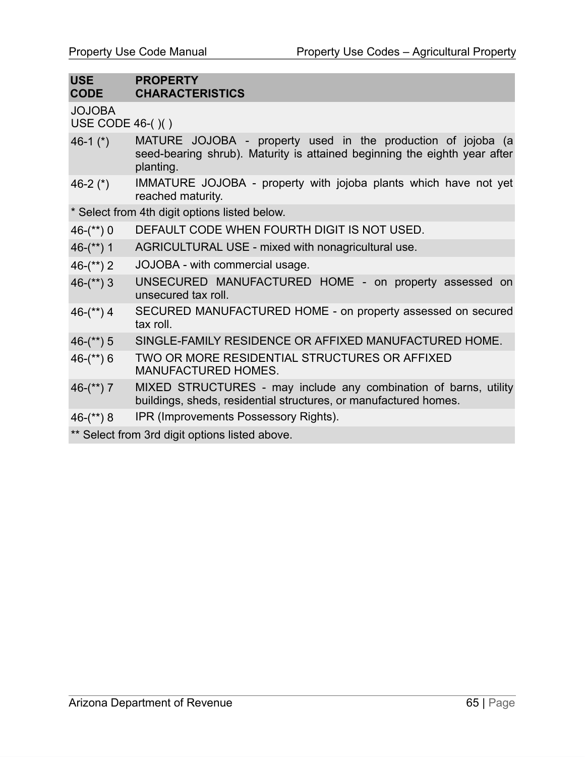| <b>USE</b>  | <b>PROPERTY</b>        |
|-------------|------------------------|
| <b>CODE</b> | <b>CHARACTERISTICS</b> |

JOJOBA

USE CODE 46-( )( )

- 46-1 (\*) MATURE JOJOBA property used in the production of jojoba (a seed-bearing shrub). Maturity is attained beginning the eighth year after planting.
- 46-2 (\*) IMMATURE JOJOBA property with jojoba plants which have not yet reached maturity.

\* Select from 4th digit options listed below.

- 46-(\*\*) 0 DEFAULT CODE WHEN FOURTH DIGIT IS NOT USED.
- 46-(\*\*) 1 AGRICULTURAL USE mixed with nonagricultural use.
- 46-(\*\*) 2 JOJOBA with commercial usage.
- 46-(\*\*) 3 UNSECURED MANUFACTURED HOME on property assessed on unsecured tax roll.
- 46-(\*\*) 4 SECURED MANUFACTURED HOME on property assessed on secured tax roll.
- 46-(\*\*) 5 SINGLE-FAMILY RESIDENCE OR AFFIXED MANUFACTURED HOME.
- 46-(\*\*) 6 TWO OR MORE RESIDENTIAL STRUCTURES OR AFFIXED MANUFACTURED HOMES.
- 46-(\*\*) 7 MIXED STRUCTURES may include any combination of barns, utility buildings, sheds, residential structures, or manufactured homes.
- 46-(\*\*) 8 IPR (Improvements Possessory Rights).
- \*\* Select from 3rd digit options listed above.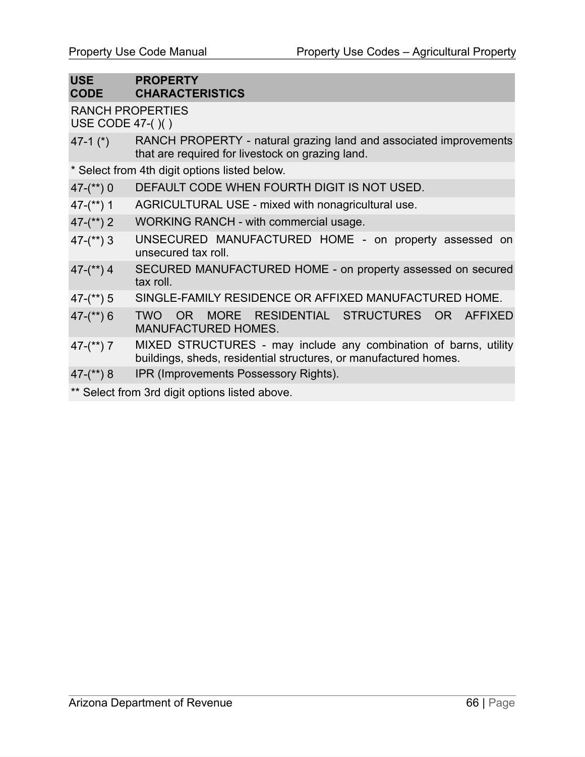RANCH PROPERTIES

USE CODE 47-( )( )

47-1 (\*) RANCH PROPERTY - natural grazing land and associated improvements that are required for livestock on grazing land.

\* Select from 4th digit options listed below.

- 47-(\*\*) 0 DEFAULT CODE WHEN FOURTH DIGIT IS NOT USED.
- 47-(\*\*) 1 AGRICULTURAL USE mixed with nonagricultural use.
- 47-(\*\*) 2 WORKING RANCH with commercial usage.
- 47-(\*\*) 3 UNSECURED MANUFACTURED HOME on property assessed on unsecured tax roll.
- 47-(\*\*) 4 SECURED MANUFACTURED HOME on property assessed on secured tax roll.
- 47-(\*\*) 5 SINGLE-FAMILY RESIDENCE OR AFFIXED MANUFACTURED HOME.
- 47-(\*\*) 6 TWO OR MORE RESIDENTIAL STRUCTURES OR AFFIXED MANUFACTURED HOMES.
- 47-(\*\*) 7 MIXED STRUCTURES may include any combination of barns, utility buildings, sheds, residential structures, or manufactured homes.
- 47-(\*\*) 8 IPR (Improvements Possessory Rights).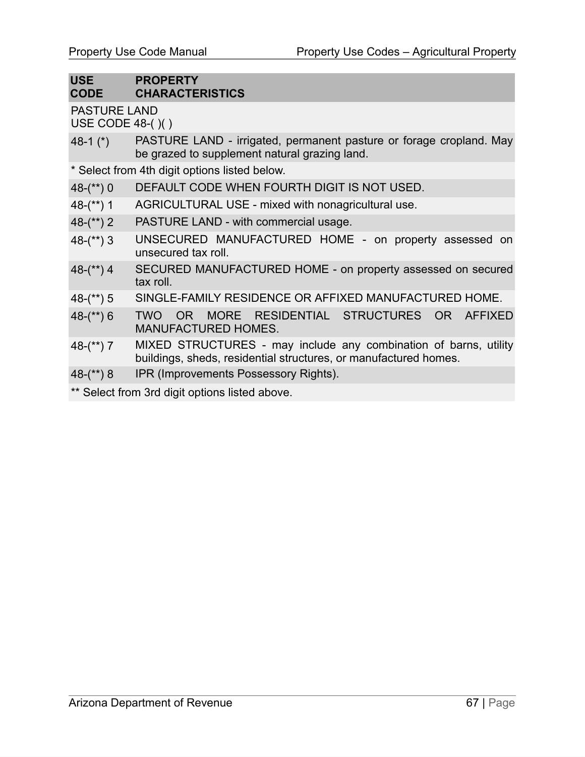PASTURE LAND

USE CODE 48-( )( )

48-1 (\*) PASTURE LAND - irrigated, permanent pasture or forage cropland. May be grazed to supplement natural grazing land.

\* Select from 4th digit options listed below.

- 48-(\*\*) 0 DEFAULT CODE WHEN FOURTH DIGIT IS NOT USED.
- 48-(\*\*) 1 AGRICULTURAL USE mixed with nonagricultural use.
- 48-(\*\*) 2 PASTURE LAND with commercial usage.
- 48-(\*\*) 3 UNSECURED MANUFACTURED HOME on property assessed on unsecured tax roll.
- 48-(\*\*) 4 SECURED MANUFACTURED HOME on property assessed on secured tax roll.
- 48-(\*\*) 5 SINGLE-FAMILY RESIDENCE OR AFFIXED MANUFACTURED HOME.
- 48-(\*\*) 6 TWO OR MORE RESIDENTIAL STRUCTURES OR AFFIXED MANUFACTURED HOMES.
- 48-(\*\*) 7 MIXED STRUCTURES may include any combination of barns, utility buildings, sheds, residential structures, or manufactured homes.
- 48-(\*\*) 8 IPR (Improvements Possessory Rights).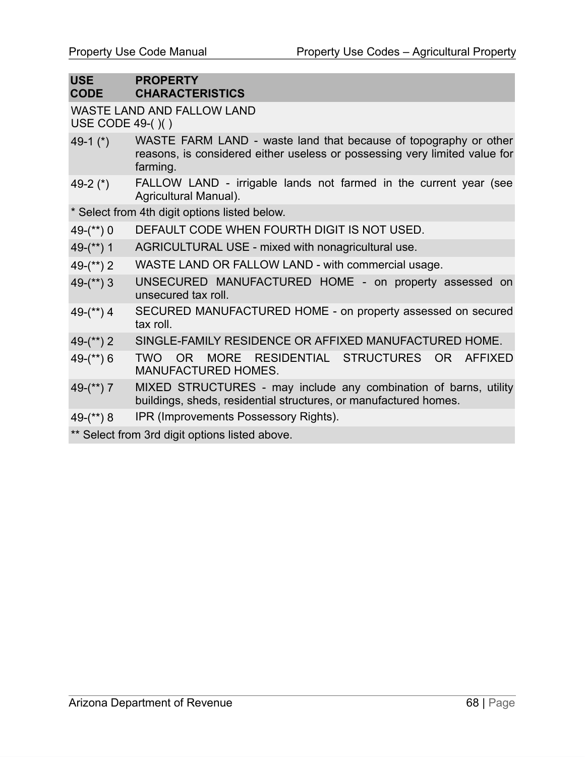| <b>USE</b>  | <b>PROPERTY</b>        |
|-------------|------------------------|
| <b>CODE</b> | <b>CHARACTERISTICS</b> |

WASTE LAND AND FALLOW LAND

USE CODE 49-( )( )

- 49-1 (\*) WASTE FARM LAND waste land that because of topography or other reasons, is considered either useless or possessing very limited value for farming.
- 49-2 (\*) FALLOW LAND irrigable lands not farmed in the current year (see Agricultural Manual).

\* Select from 4th digit options listed below.

- 49-(\*\*) 0 DEFAULT CODE WHEN FOURTH DIGIT IS NOT USED.
- 49-(\*\*) 1 AGRICULTURAL USE mixed with nonagricultural use.
- 49-(\*\*) 2 WASTE LAND OR FALLOW LAND with commercial usage.
- 49-(\*\*) 3 UNSECURED MANUFACTURED HOME on property assessed on unsecured tax roll.
- 49-(\*\*) 4 SECURED MANUFACTURED HOME on property assessed on secured tax roll.
- 49-(\*\*) 2 SINGLE-FAMILY RESIDENCE OR AFFIXED MANUFACTURED HOME.
- 49-(\*\*) 6 TWO OR MORE RESIDENTIAL STRUCTURES OR AFFIXED MANUFACTURED HOMES.
- 49-(\*\*) 7 MIXED STRUCTURES may include any combination of barns, utility buildings, sheds, residential structures, or manufactured homes.
- 49-(\*\*) 8 IPR (Improvements Possessory Rights).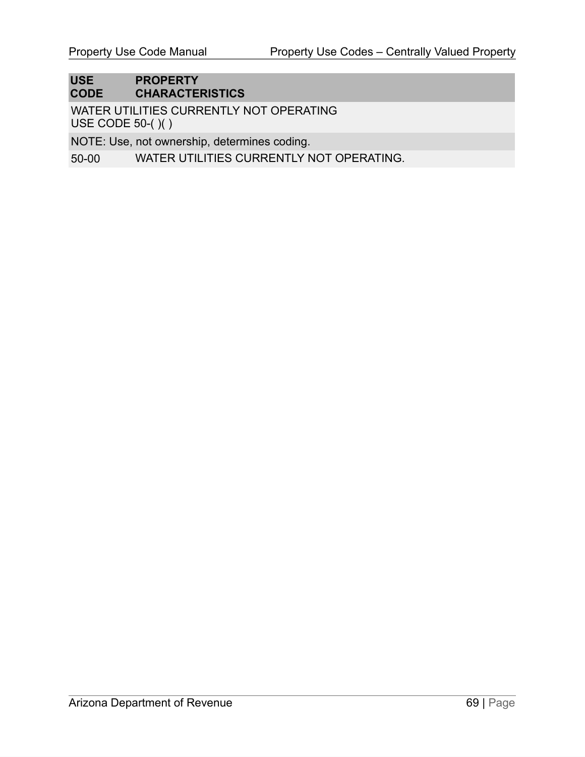WATER UTILITIES CURRENTLY NOT OPERATING

USE CODE 50-( )( )

NOTE: Use, not ownership, determines coding.

50-00 WATER UTILITIES CURRENTLY NOT OPERATING.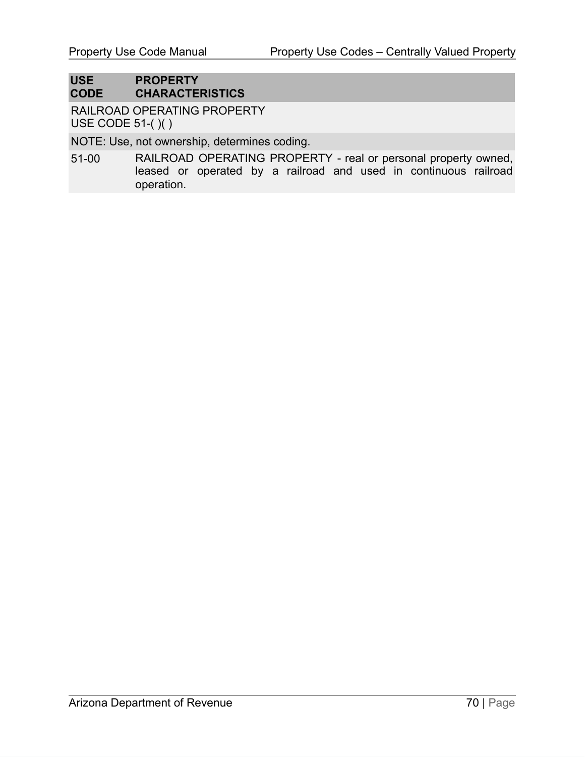RAILROAD OPERATING PROPERTY

USE CODE 51-( )( )

NOTE: Use, not ownership, determines coding.

51-00 RAILROAD OPERATING PROPERTY - real or personal property owned, leased or operated by a railroad and used in continuous railroad operation.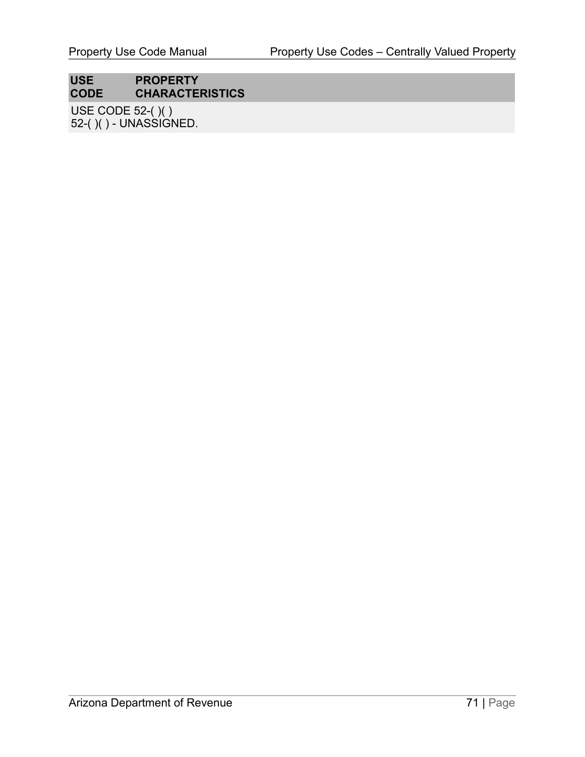USE CODE 52-( )( ) 52-( )( ) - UNASSIGNED.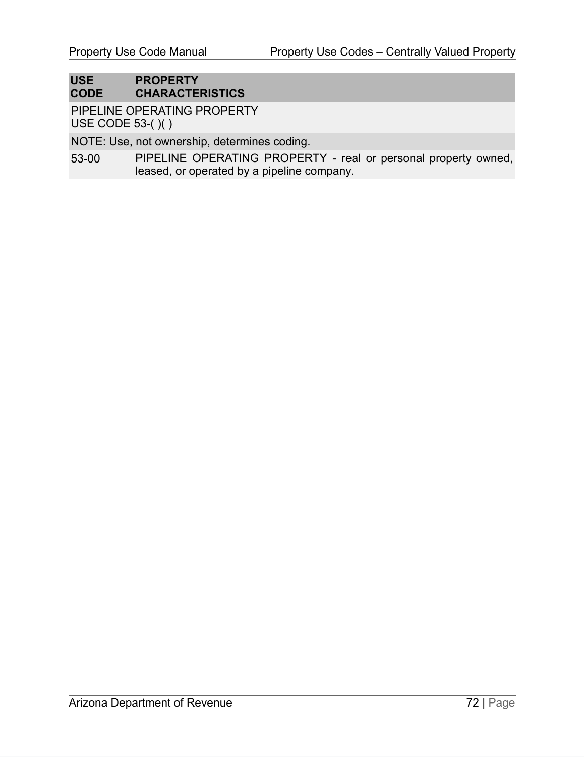PIPELINE OPERATING PROPERTY

USE CODE 53-( )( )

NOTE: Use, not ownership, determines coding.

53-00 PIPELINE OPERATING PROPERTY - real or personal property owned, leased, or operated by a pipeline company.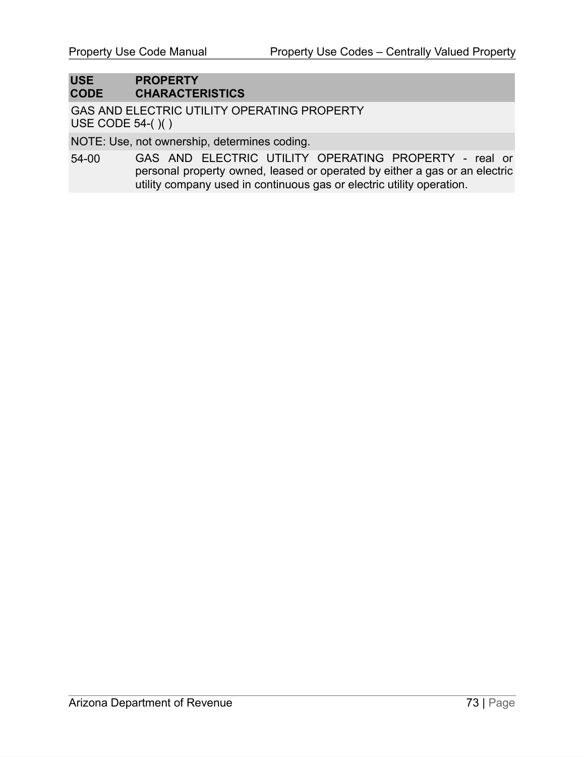GAS AND ELECTRIC UTILITY OPERATING PROPERTY USE CODE 54-( )( )

NOTE: Use, not ownership, determines coding.

54-00 GAS AND ELECTRIC UTILITY OPERATING PROPERTY - real or personal property owned, leased or operated by either a gas or an electric utility company used in continuous gas or electric utility operation.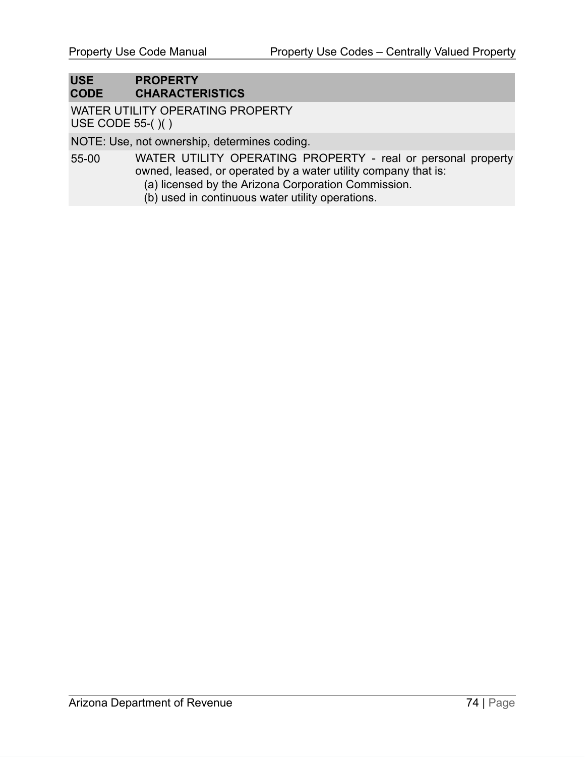WATER UTILITY OPERATING PROPERTY USE CODE 55-( )( )

NOTE: Use, not ownership, determines coding.

- 55-00 WATER UTILITY OPERATING PROPERTY real or personal property owned, leased, or operated by a water utility company that is:
	- (a) licensed by the Arizona Corporation Commission.
	- (b) used in continuous water utility operations.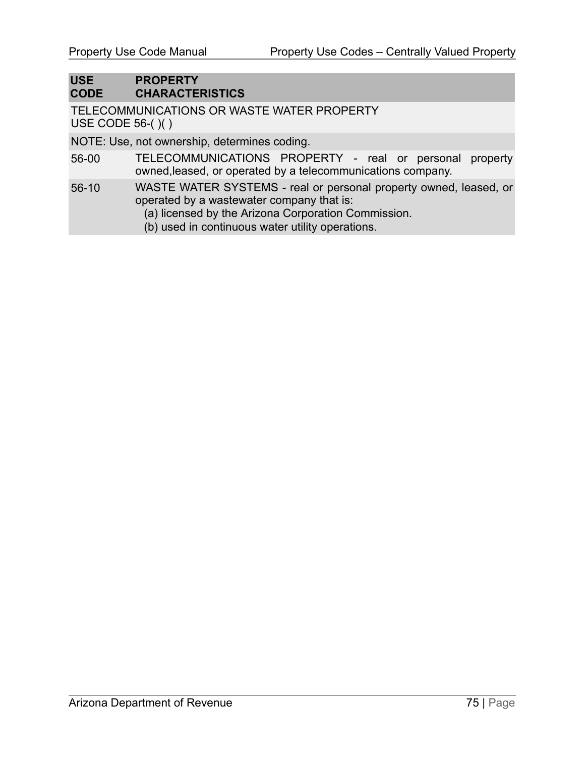TELECOMMUNICATIONS OR WASTE WATER PROPERTY

USE CODE 56-( )( )

NOTE: Use, not ownership, determines coding.

- 56-00 TELECOMMUNICATIONS PROPERTY real or personal property owned,leased, or operated by a telecommunications company.
- 56-10 WASTE WATER SYSTEMS real or personal property owned, leased, or operated by a wastewater company that is:
	- (a) licensed by the Arizona Corporation Commission.
	- (b) used in continuous water utility operations.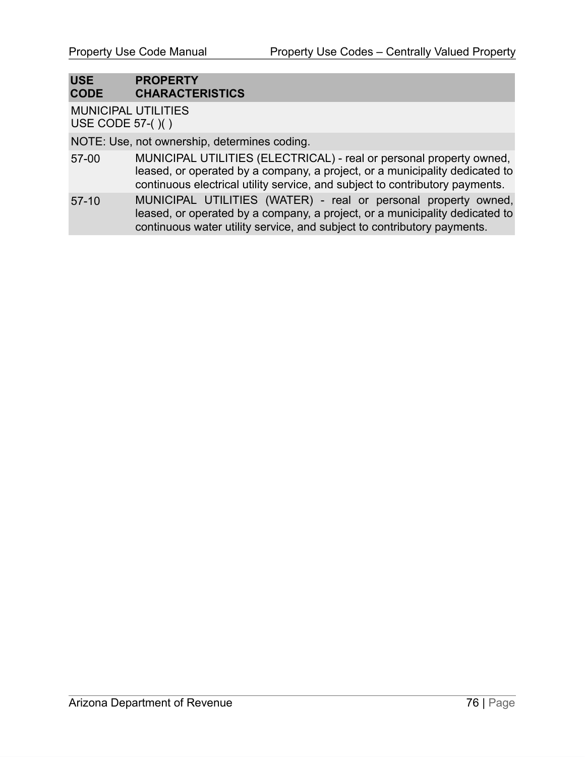MUNICIPAL UTILITIES

USE CODE 57-( )( )

NOTE: Use, not ownership, determines coding.

- 57-00 MUNICIPAL UTILITIES (ELECTRICAL) real or personal property owned, leased, or operated by a company, a project, or a municipality dedicated to continuous electrical utility service, and subject to contributory payments.
- 57-10 MUNICIPAL UTILITIES (WATER) real or personal property owned, leased, or operated by a company, a project, or a municipality dedicated to continuous water utility service, and subject to contributory payments.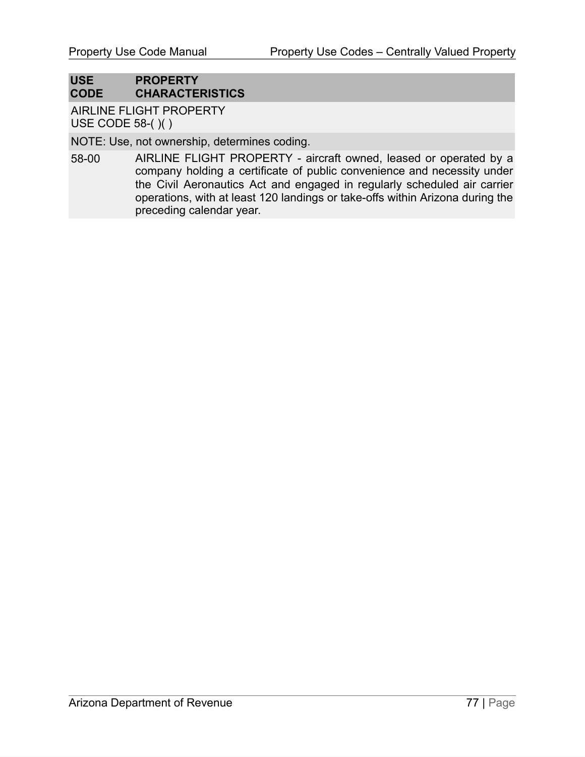AIRLINE FLIGHT PROPERTY

USE CODE 58-( )( )

NOTE: Use, not ownership, determines coding.

58-00 AIRLINE FLIGHT PROPERTY - aircraft owned, leased or operated by a company holding a certificate of public convenience and necessity under the Civil Aeronautics Act and engaged in regularly scheduled air carrier operations, with at least 120 landings or take-offs within Arizona during the preceding calendar year.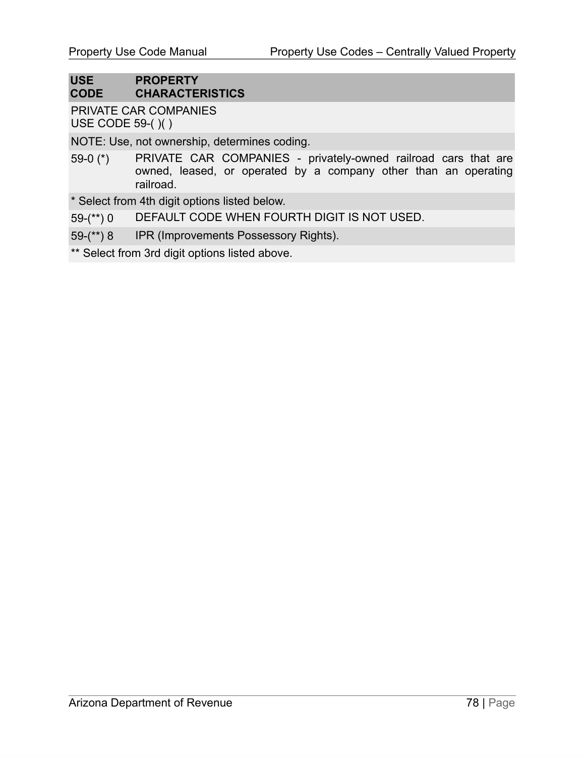PRIVATE CAR COMPANIES

USE CODE 59-( )( )

NOTE: Use, not ownership, determines coding.

59-0 (\*) PRIVATE CAR COMPANIES - privately-owned railroad cars that are owned, leased, or operated by a company other than an operating railroad.

\* Select from 4th digit options listed below.

- 59-(\*\*) 0 DEFAULT CODE WHEN FOURTH DIGIT IS NOT USED.
- 59-(\*\*) 8 IPR (Improvements Possessory Rights).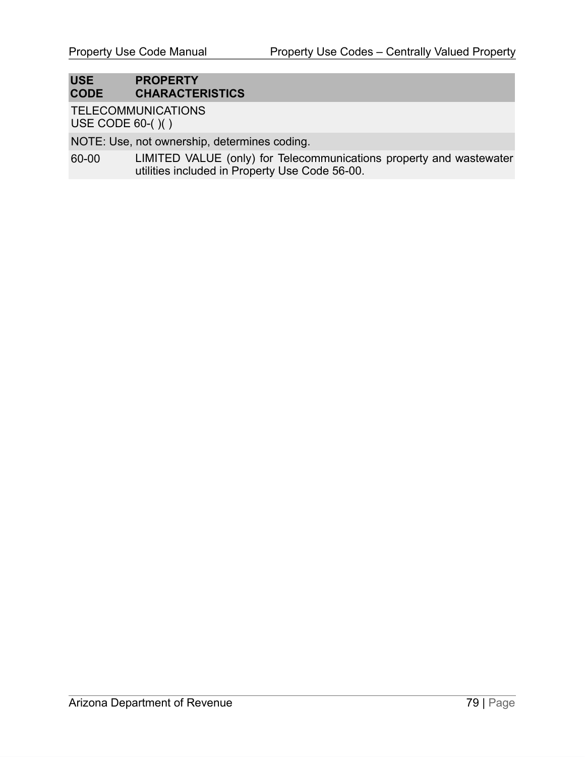TELECOMMUNICATIONS

USE CODE 60-( )( )

NOTE: Use, not ownership, determines coding.

60-00 LIMITED VALUE (only) for Telecommunications property and wastewater utilities included in Property Use Code 56-00.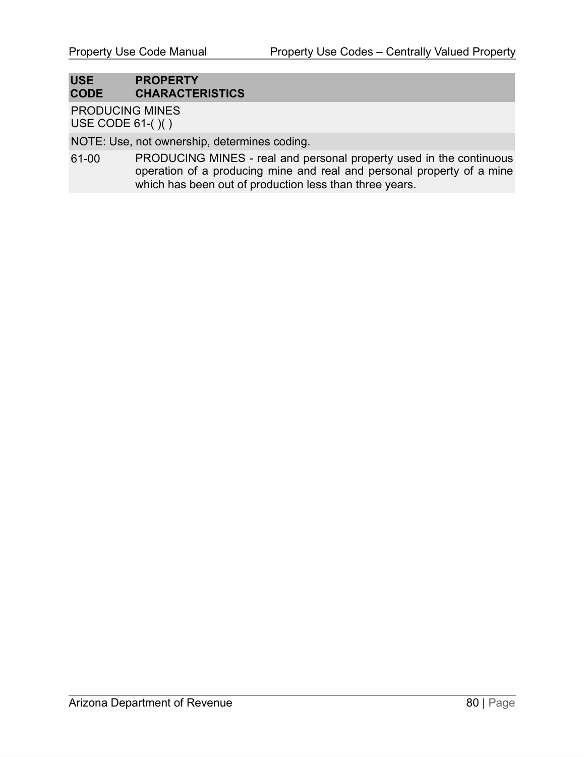PRODUCING MINES

USE CODE 61-( )( )

NOTE: Use, not ownership, determines coding.

61-00 PRODUCING MINES - real and personal property used in the continuous operation of a producing mine and real and personal property of a mine which has been out of production less than three years.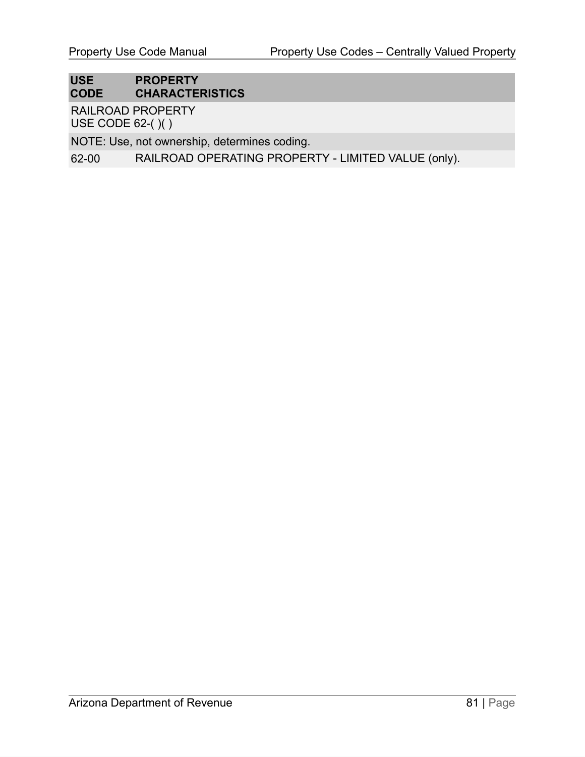RAILROAD PROPERTY

USE CODE 62-( )( )

NOTE: Use, not ownership, determines coding.

62-00 RAILROAD OPERATING PROPERTY - LIMITED VALUE (only).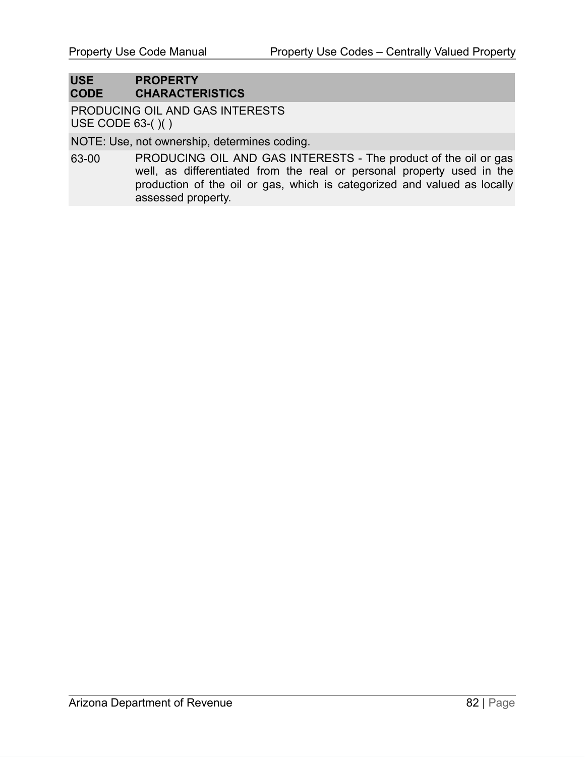PRODUCING OIL AND GAS INTERESTS USE CODE 63-( )( )

NOTE: Use, not ownership, determines coding.

63-00 PRODUCING OIL AND GAS INTERESTS - The product of the oil or gas well, as differentiated from the real or personal property used in the production of the oil or gas, which is categorized and valued as locally assessed property.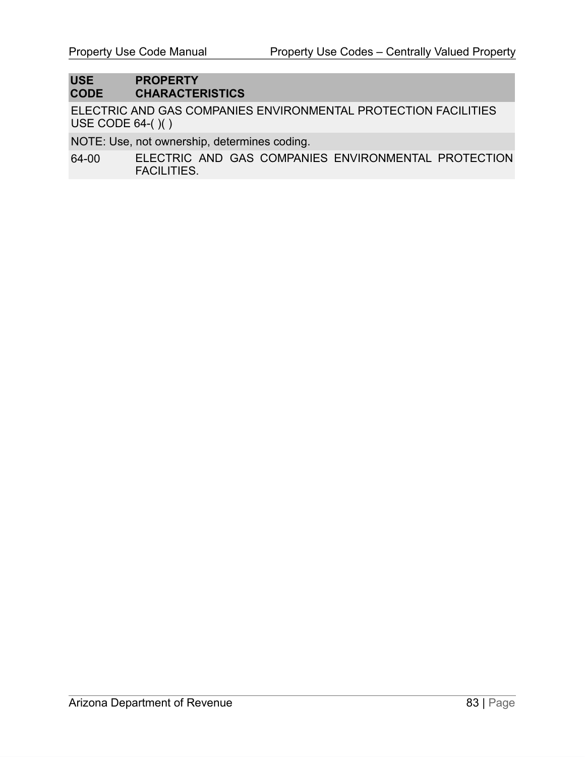ELECTRIC AND GAS COMPANIES ENVIRONMENTAL PROTECTION FACILITIES USE CODE 64-( )( )

NOTE: Use, not ownership, determines coding.

64-00 ELECTRIC AND GAS COMPANIES ENVIRONMENTAL PROTECTION FACILITIES.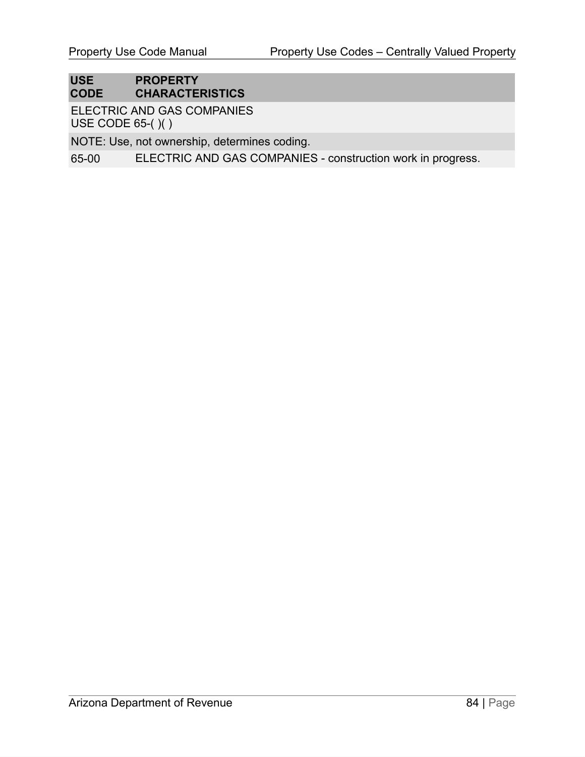ELECTRIC AND GAS COMPANIES

USE CODE 65-( )( )

NOTE: Use, not ownership, determines coding.

65-00 ELECTRIC AND GAS COMPANIES - construction work in progress.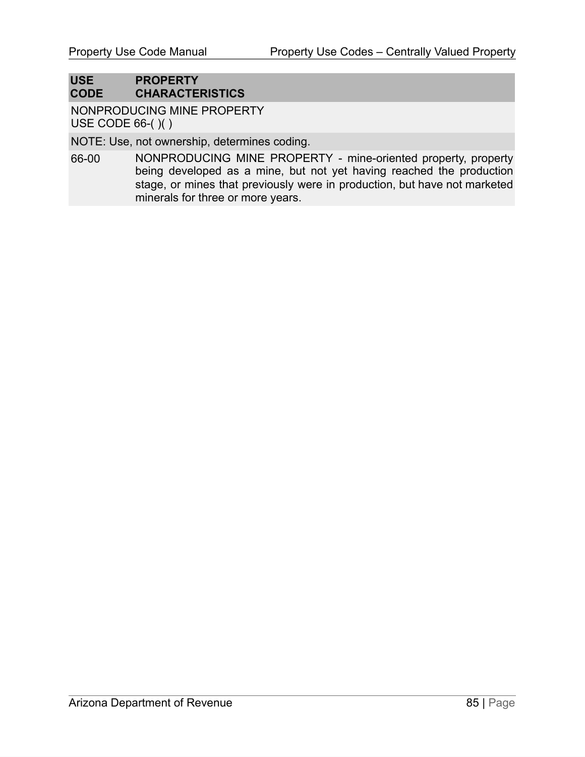NONPRODUCING MINE PROPERTY

USE CODE 66-( )( )

NOTE: Use, not ownership, determines coding.

66-00 NONPRODUCING MINE PROPERTY - mine-oriented property, property being developed as a mine, but not yet having reached the production stage, or mines that previously were in production, but have not marketed minerals for three or more years.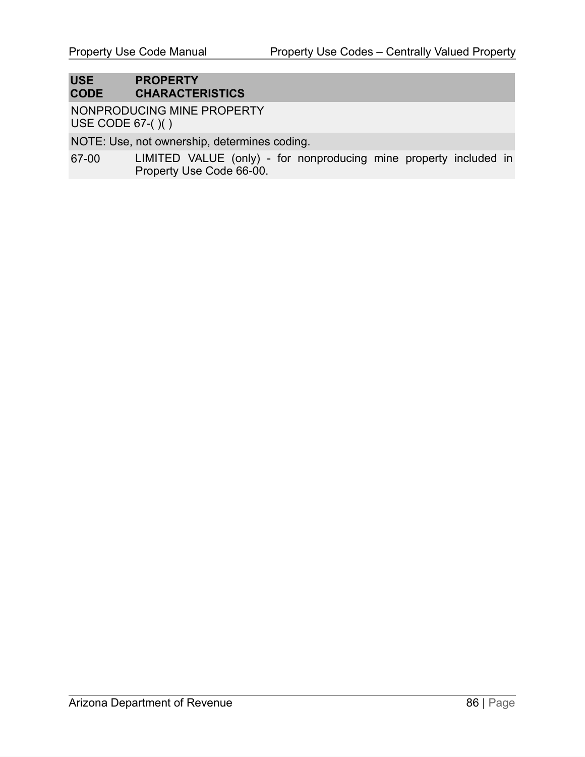NONPRODUCING MINE PROPERTY

USE CODE 67-( )( )

NOTE: Use, not ownership, determines coding.

67-00 LIMITED VALUE (only) - for nonproducing mine property included in Property Use Code 66-00.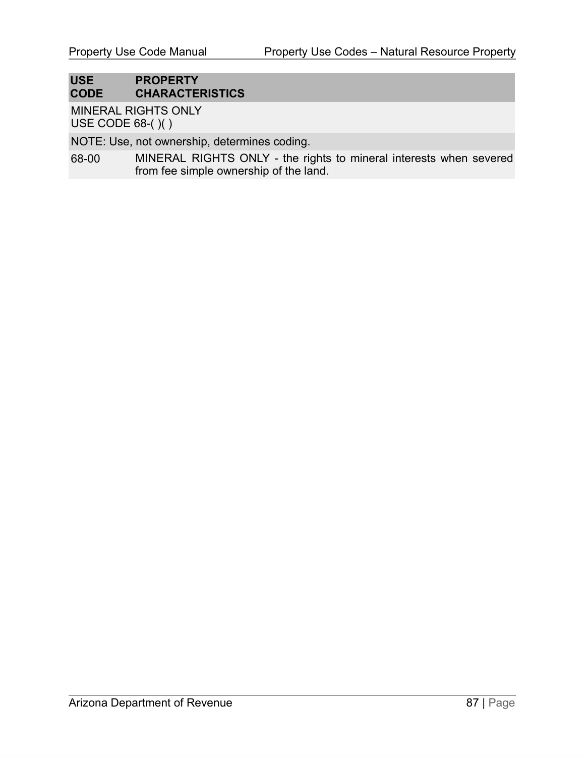MINERAL RIGHTS ONLY

USE CODE 68-( )( )

NOTE: Use, not ownership, determines coding.

68-00 MINERAL RIGHTS ONLY - the rights to mineral interests when severed from fee simple ownership of the land.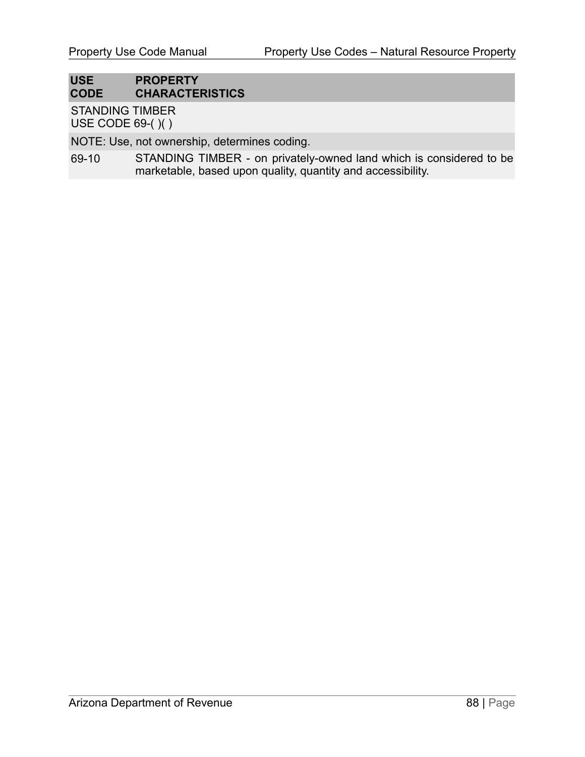STANDING TIMBER

USE CODE 69-( )( )

NOTE: Use, not ownership, determines coding.

69-10 STANDING TIMBER - on privately-owned land which is considered to be marketable, based upon quality, quantity and accessibility.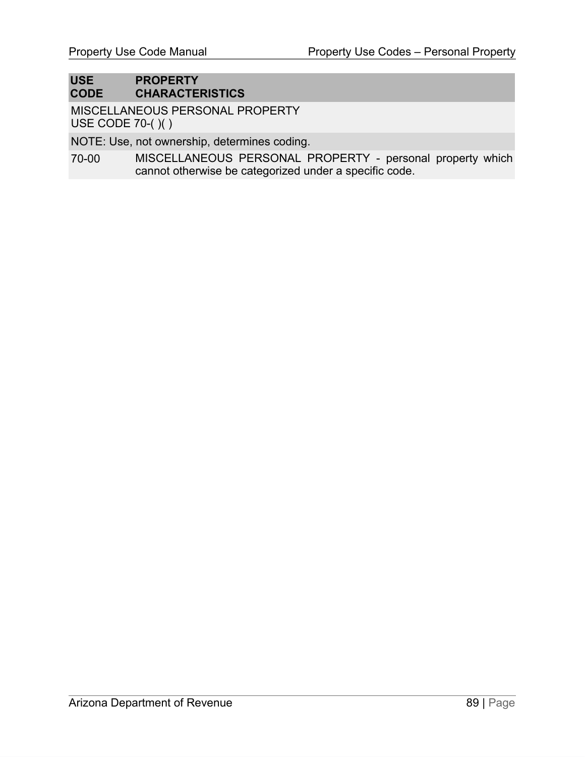MISCELLANEOUS PERSONAL PROPERTY USE CODE 70-( )( )

NOTE: Use, not ownership, determines coding.

70-00 MISCELLANEOUS PERSONAL PROPERTY - personal property which cannot otherwise be categorized under a specific code.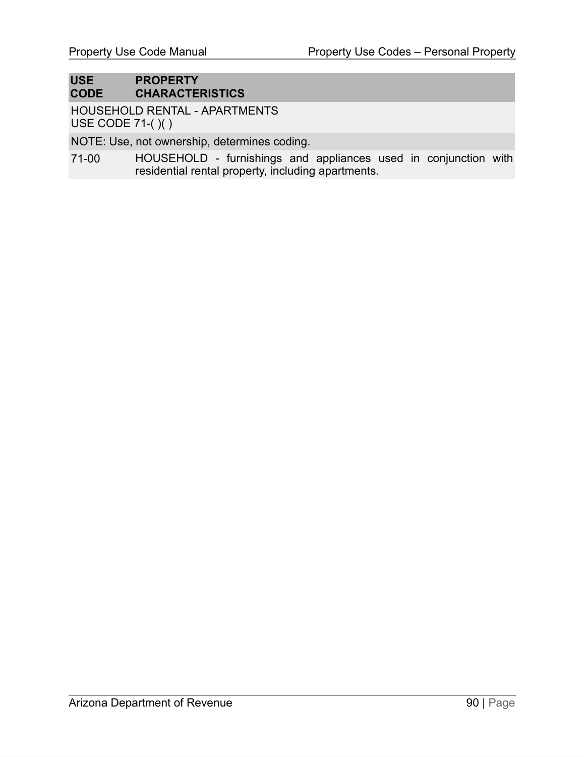HOUSEHOLD RENTAL - APARTMENTS USE CODE 71-( )( )

NOTE: Use, not ownership, determines coding.

71-00 HOUSEHOLD - furnishings and appliances used in conjunction with residential rental property, including apartments.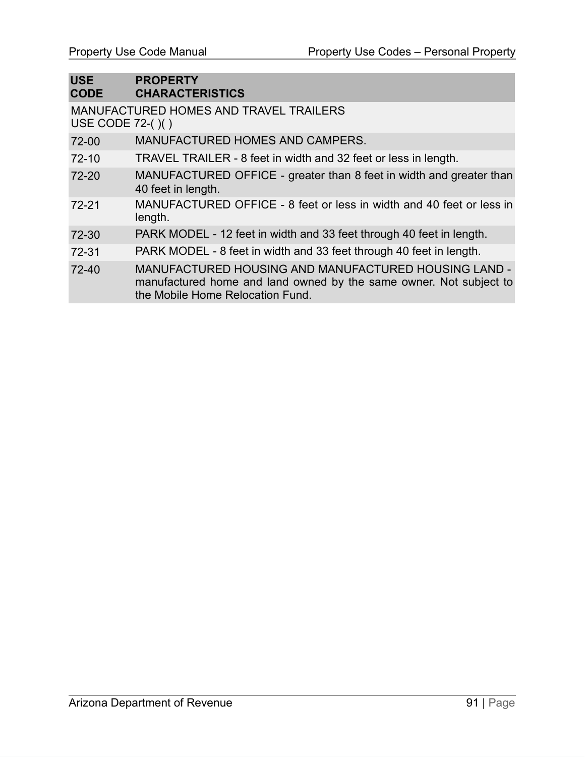| <b>USE</b><br><b>CODE</b>                                    | <b>PROPERTY</b><br><b>CHARACTERISTICS</b>                                                                                                                      |  |
|--------------------------------------------------------------|----------------------------------------------------------------------------------------------------------------------------------------------------------------|--|
| MANUFACTURED HOMES AND TRAVEL TRAILERS<br>USE CODE $72-()()$ |                                                                                                                                                                |  |
| 72-00                                                        | MANUFACTURED HOMES AND CAMPERS.                                                                                                                                |  |
| $72 - 10$                                                    | TRAVEL TRAILER - 8 feet in width and 32 feet or less in length.                                                                                                |  |
| $72 - 20$                                                    | MANUFACTURED OFFICE - greater than 8 feet in width and greater than<br>40 feet in length.                                                                      |  |
| $72 - 21$                                                    | MANUFACTURED OFFICE - 8 feet or less in width and 40 feet or less in<br>length.                                                                                |  |
| 72-30                                                        | PARK MODEL - 12 feet in width and 33 feet through 40 feet in length.                                                                                           |  |
| 72-31                                                        | PARK MODEL - 8 feet in width and 33 feet through 40 feet in length.                                                                                            |  |
| 72-40                                                        | MANUFACTURED HOUSING AND MANUFACTURED HOUSING LAND -<br>manufactured home and land owned by the same owner. Not subject to<br>the Mobile Home Relocation Fund. |  |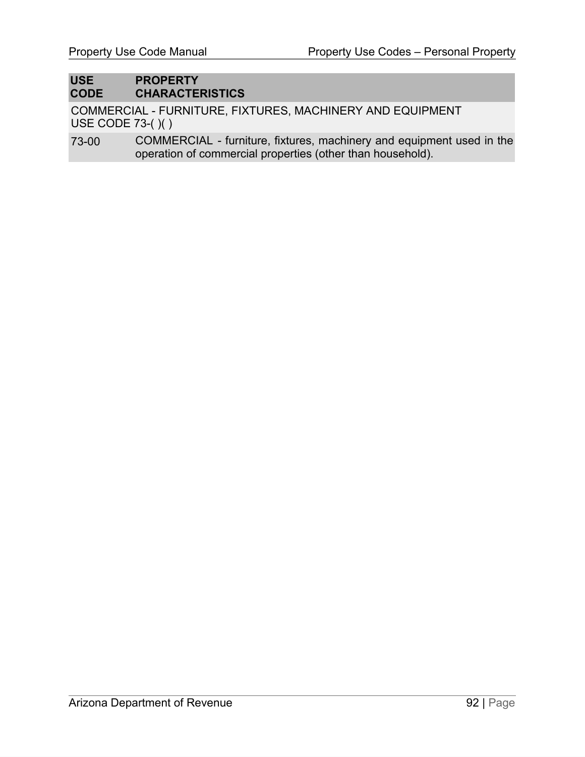COMMERCIAL - FURNITURE, FIXTURES, MACHINERY AND EQUIPMENT USE CODE 73-( )( )

73-00 COMMERCIAL - furniture, fixtures, machinery and equipment used in the operation of commercial properties (other than household).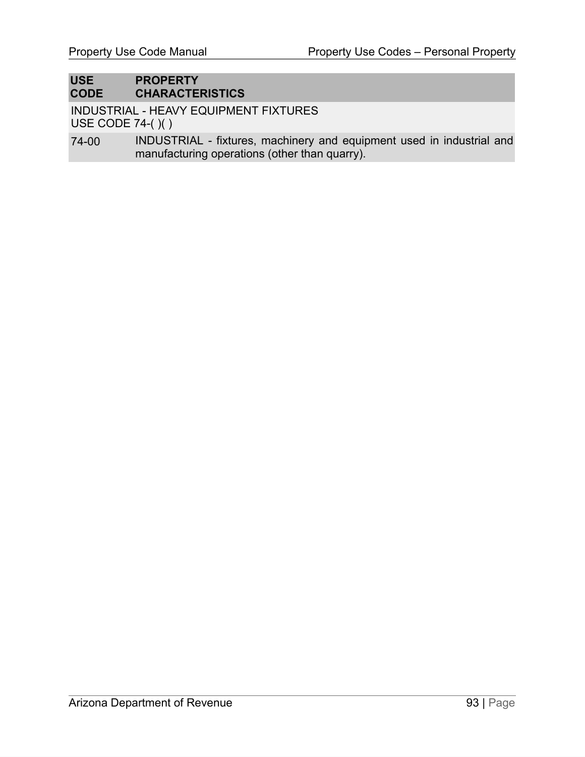INDUSTRIAL - HEAVY EQUIPMENT FIXTURES

USE CODE 74-( )( )

74-00 INDUSTRIAL - fixtures, machinery and equipment used in industrial and manufacturing operations (other than quarry).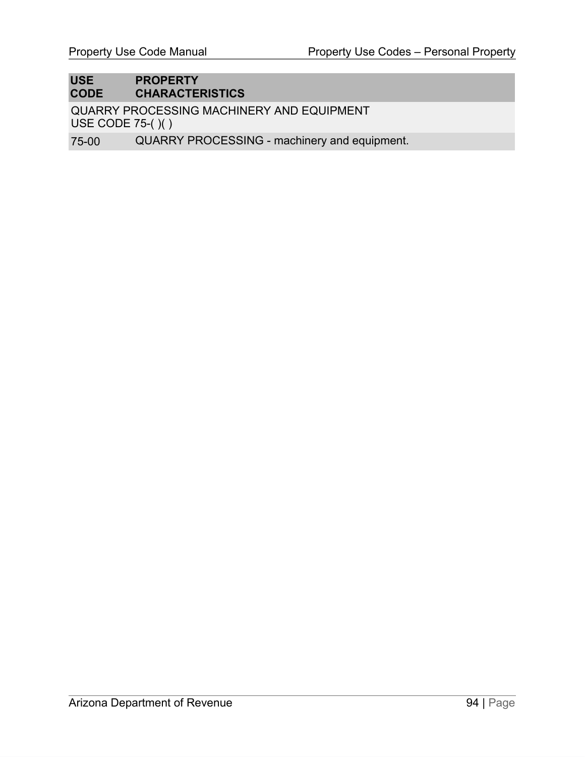QUARRY PROCESSING MACHINERY AND EQUIPMENT USE CODE 75-( )( )

75-00 QUARRY PROCESSING - machinery and equipment.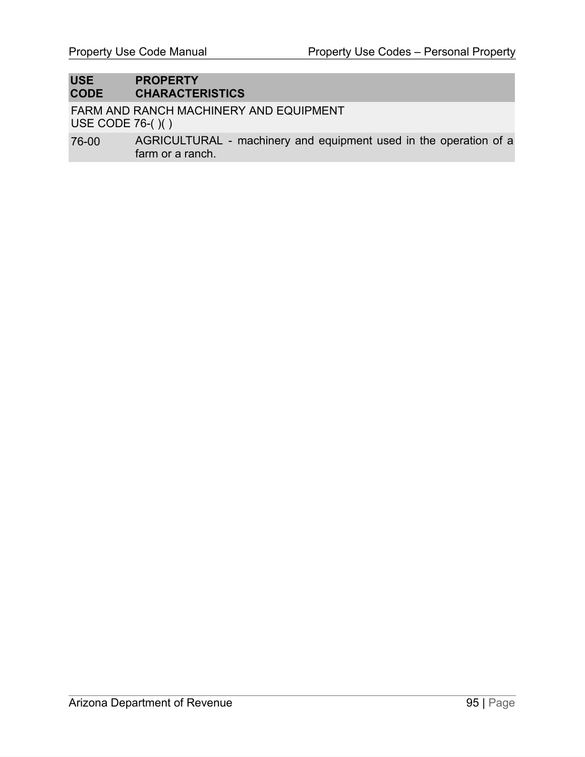FARM AND RANCH MACHINERY AND EQUIPMENT

USE CODE 76-( )( )

76-00 AGRICULTURAL - machinery and equipment used in the operation of a farm or a ranch.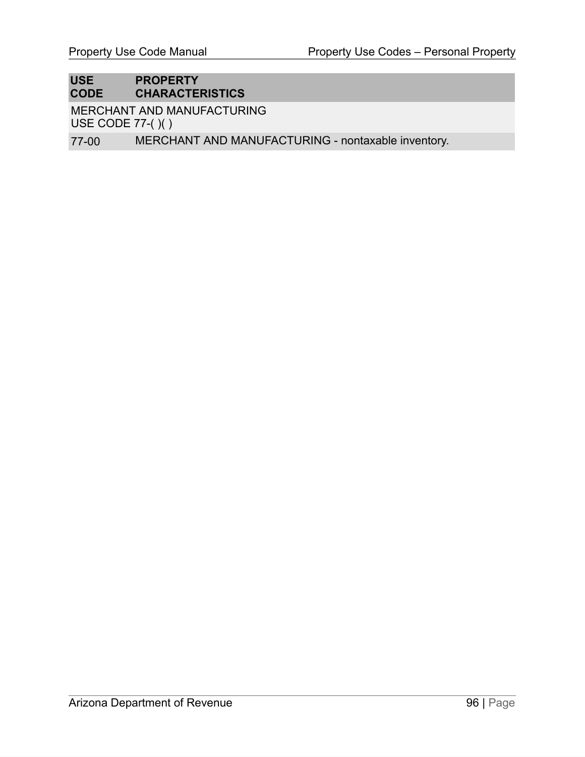MERCHANT AND MANUFACTURING USE CODE 77-( )( )

77-00 MERCHANT AND MANUFACTURING - nontaxable inventory.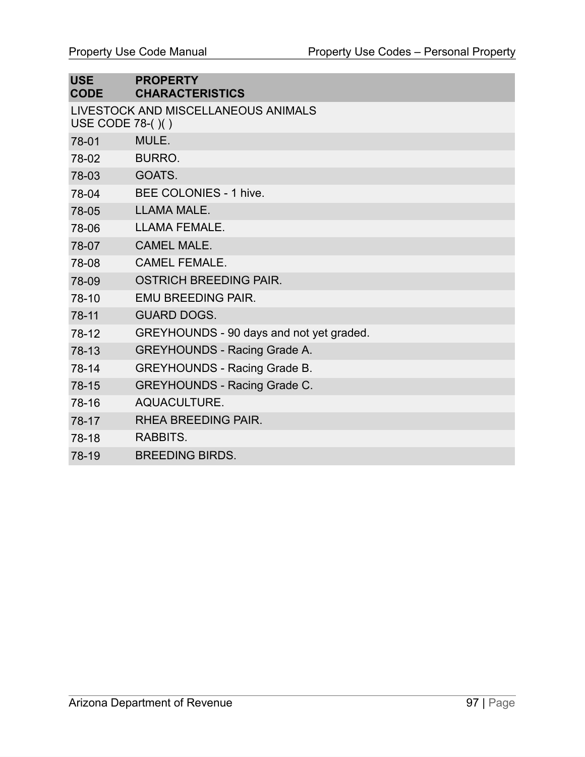| <b>USE</b><br><b>CODE</b> | <b>PROPERTY</b><br><b>CHARACTERISTICS</b> |
|---------------------------|-------------------------------------------|
| USE CODE $78-()()$        | LIVESTOCK AND MISCELLANEOUS ANIMALS       |
| 78-01                     | MULE.                                     |
| 78-02                     | BURRO.                                    |
| 78-03                     | GOATS.                                    |
| 78-04                     | <b>BEE COLONIES - 1 hive.</b>             |
| 78-05                     | <b>LLAMA MALE.</b>                        |
| 78-06                     | LLAMA FEMALE.                             |
| 78-07                     | <b>CAMEL MALE.</b>                        |
| 78-08                     | <b>CAMEL FEMALE.</b>                      |
| 78-09                     | <b>OSTRICH BREEDING PAIR.</b>             |
| 78-10                     | <b>EMU BREEDING PAIR.</b>                 |
| 78-11                     | <b>GUARD DOGS.</b>                        |
| 78-12                     | GREYHOUNDS - 90 days and not yet graded.  |
| 78-13                     | <b>GREYHOUNDS - Racing Grade A.</b>       |
| 78-14                     | <b>GREYHOUNDS - Racing Grade B.</b>       |
| 78-15                     | <b>GREYHOUNDS - Racing Grade C.</b>       |
| 78-16                     | AQUACULTURE.                              |
| 78-17                     | RHEA BREEDING PAIR.                       |
| 78-18                     | RABBITS.                                  |
| 78-19                     | <b>BREEDING BIRDS.</b>                    |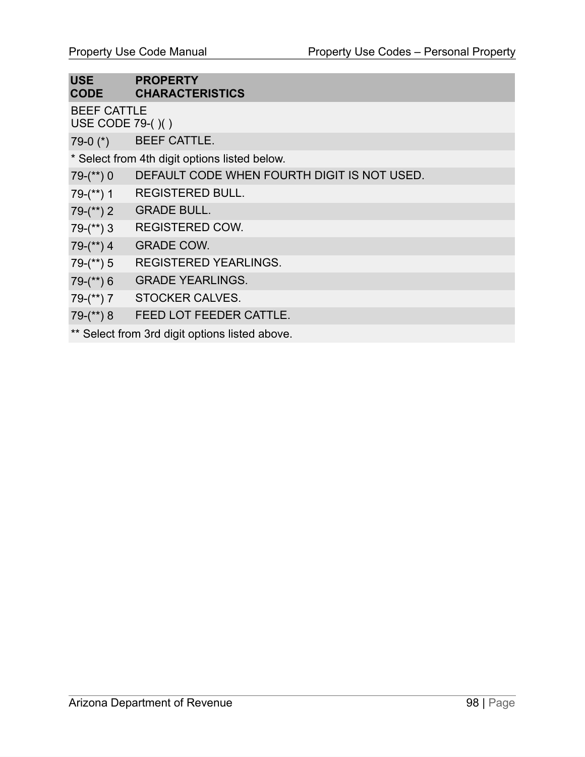BEEF CATTLE

USE CODE 79-( )( )

79-0 (\*) BEEF CATTLE.

\* Select from 4th digit options listed below.

- 79-(\*\*) 0 DEFAULT CODE WHEN FOURTH DIGIT IS NOT USED.
- 79-(\*\*) 1 REGISTERED BULL.
- 79-(\*\*) 2 GRADE BULL.
- 79-(\*\*) 3 REGISTERED COW.
- 79-(\*\*) 4 GRADE COW.
- 79-(\*\*) 5 REGISTERED YEARLINGS.

79-(\*\*) 6 GRADE YEARLINGS.

- 79-(\*\*) 7 STOCKER CALVES.
- 79-(\*\*) 8 FEED LOT FEEDER CATTLE.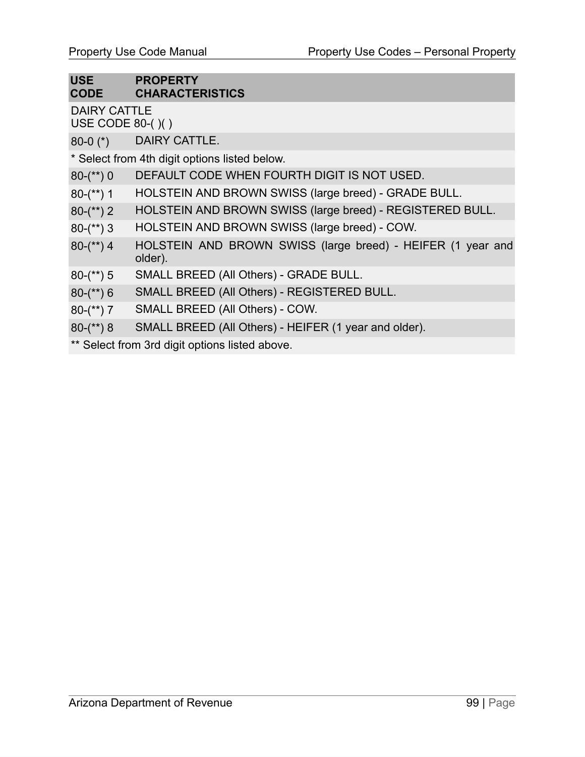DAIRY CATTLE USE CODE 80-( )( )

80-0 (\*) DAIRY CATTLE.

\* Select from 4th digit options listed below.

- 80-(\*\*) 0 DEFAULT CODE WHEN FOURTH DIGIT IS NOT USED.
- 80-(\*\*) 1 HOLSTEIN AND BROWN SWISS (large breed) GRADE BULL.
- 80-(\*\*) 2 HOLSTEIN AND BROWN SWISS (large breed) REGISTERED BULL.
- 80-(\*\*) 3 HOLSTEIN AND BROWN SWISS (large breed) COW.
- 80-(\*\*) 4 HOLSTEIN AND BROWN SWISS (large breed) HEIFER (1 year and older).
- 80-(\*\*) 5 SMALL BREED (All Others) GRADE BULL.
- 80-(\*\*) 6 SMALL BREED (All Others) REGISTERED BULL.
- 80-(\*\*) 7 SMALL BREED (All Others) COW.
- 80-(\*\*) 8 SMALL BREED (All Others) HEIFER (1 year and older).
- \*\* Select from 3rd digit options listed above.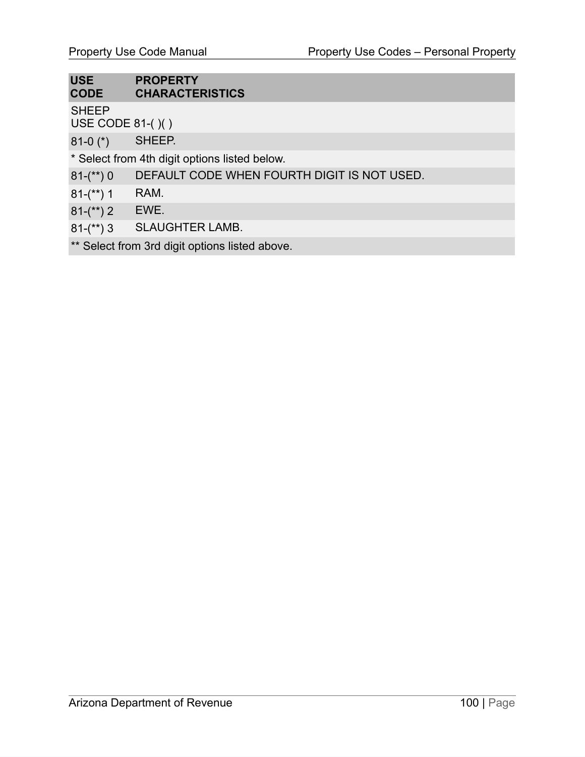**SHEEP** 

- USE CODE 81-( )( )
- 81-0 (\*) SHEEP.

\* Select from 4th digit options listed below.

- 81-(\*\*) 0 DEFAULT CODE WHEN FOURTH DIGIT IS NOT USED.
- 81-(\*\*) 1 RAM.
- 81-(\*\*) 2 EWE.
- 81-(\*\*) 3 SLAUGHTER LAMB.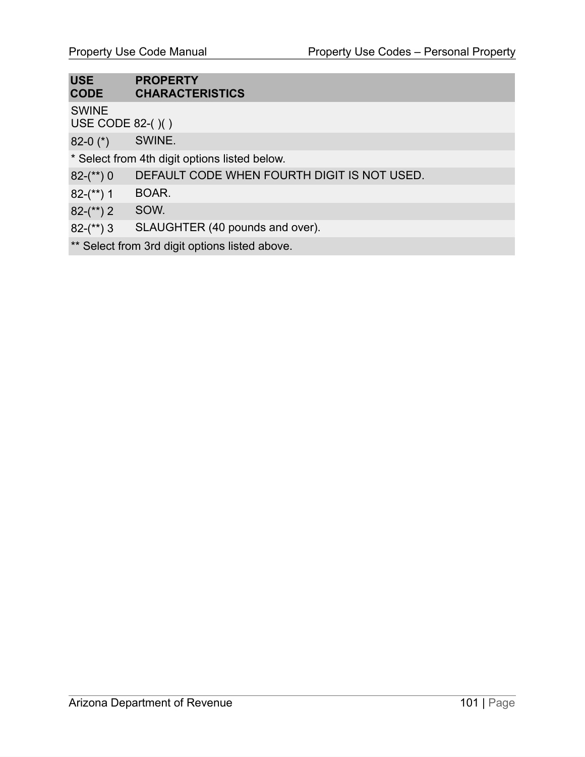SWINE

- USE CODE 82-( )( )
- 82-0 (\*) SWINE.

\* Select from 4th digit options listed below.

- 82-(\*\*) 0 DEFAULT CODE WHEN FOURTH DIGIT IS NOT USED.
- 82-(\*\*) 1 BOAR.
- 82-(\*\*) 2 SOW.
- 82-(\*\*) 3 SLAUGHTER (40 pounds and over).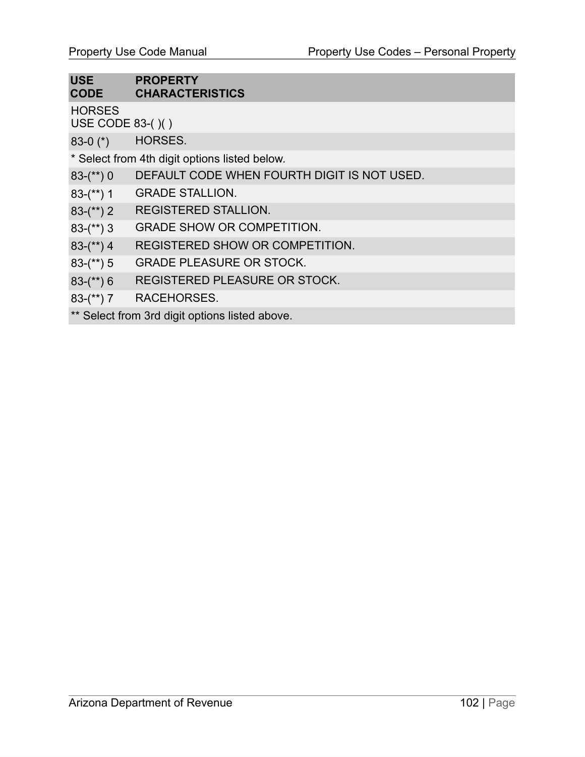**HORSES** 

USE CODE 83-( )( )

83-0 (\*) HORSES.

\* Select from 4th digit options listed below.

- 83-(\*\*) 0 DEFAULT CODE WHEN FOURTH DIGIT IS NOT USED.
- 83-(\*\*) 1 GRADE STALLION.
- 83-(\*\*) 2 REGISTERED STALLION.
- 83-(\*\*) 3 GRADE SHOW OR COMPETITION.
- 83-(\*\*) 4 REGISTERED SHOW OR COMPETITION.
- 83-(\*\*) 5 GRADE PLEASURE OR STOCK.

83-(\*\*) 6 REGISTERED PLEASURE OR STOCK.

83-(\*\*) 7 RACEHORSES.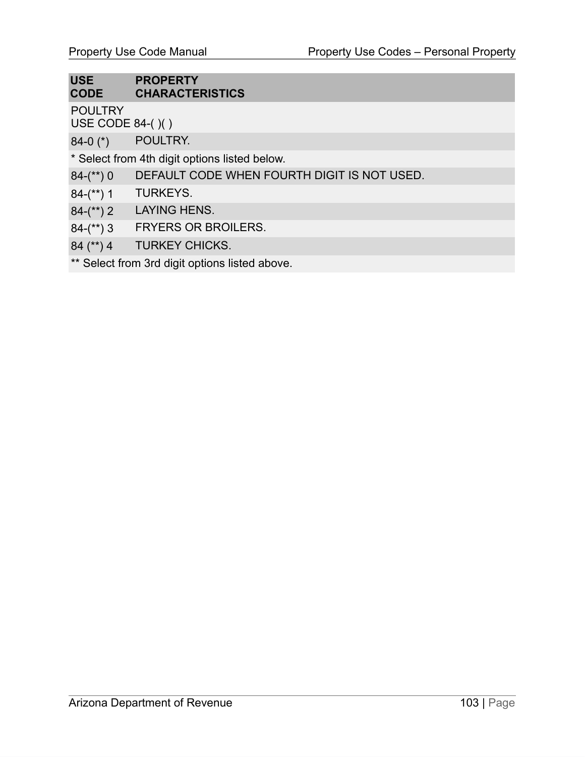POULTRY

USE CODE 84-( )( )

84-0 (\*) POULTRY.

\* Select from 4th digit options listed below.

- 84-(\*\*) 0 DEFAULT CODE WHEN FOURTH DIGIT IS NOT USED.
- 84-(\*\*) 1 TURKEYS.
- 84-(\*\*) 2 LAYING HENS.
- 84-(\*\*) 3 FRYERS OR BROILERS.
- 84 (\*\*) 4 TURKEY CHICKS.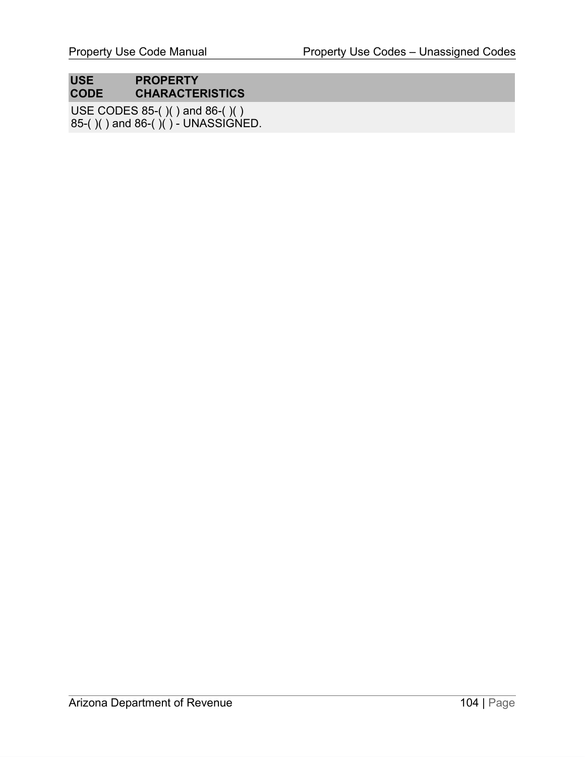USE CODES 85-( )( ) and 86-( )( ) 85-( )( ) and 86-( )( ) - UNASSIGNED.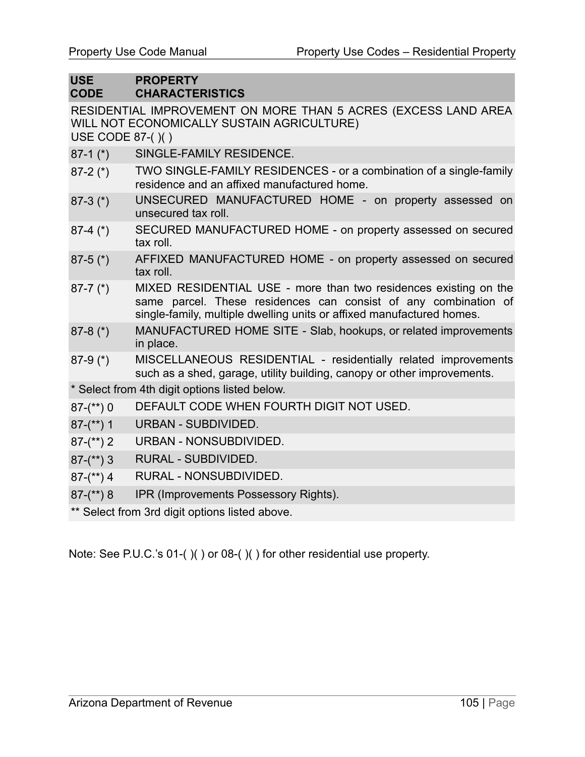| <b>USE</b><br><b>CODE</b>                     | <b>PROPERTY</b><br><b>CHARACTERISTICS</b>                                                                                                                                                                    |  |
|-----------------------------------------------|--------------------------------------------------------------------------------------------------------------------------------------------------------------------------------------------------------------|--|
| USE CODE 87-()()                              | RESIDENTIAL IMPROVEMENT ON MORE THAN 5 ACRES (EXCESS LAND AREA<br>WILL NOT ECONOMICALLY SUSTAIN AGRICULTURE)                                                                                                 |  |
| $87-1$ $(*)$                                  | SINGLE-FAMILY RESIDENCE.                                                                                                                                                                                     |  |
| $87-2$ (*)                                    | TWO SINGLE-FAMILY RESIDENCES - or a combination of a single-family<br>residence and an affixed manufactured home.                                                                                            |  |
| $87-3$ (*)                                    | UNSECURED MANUFACTURED HOME - on property assessed on<br>unsecured tax roll.                                                                                                                                 |  |
| $87-4$ (*)                                    | SECURED MANUFACTURED HOME - on property assessed on secured<br>tax roll.                                                                                                                                     |  |
| $87-5$ (*)                                    | AFFIXED MANUFACTURED HOME - on property assessed on secured<br>tax roll.                                                                                                                                     |  |
| $87-7$ $(*)$                                  | MIXED RESIDENTIAL USE - more than two residences existing on the<br>same parcel. These residences can consist of any combination of<br>single-family, multiple dwelling units or affixed manufactured homes. |  |
| $87-8 (*)$                                    | MANUFACTURED HOME SITE - Slab, hookups, or related improvements<br>in place.                                                                                                                                 |  |
| 87-9 $(*)$                                    | MISCELLANEOUS RESIDENTIAL - residentially related improvements<br>such as a shed, garage, utility building, canopy or other improvements.                                                                    |  |
| * Select from 4th digit options listed below. |                                                                                                                                                                                                              |  |
| $87-(**)0$                                    | DEFAULT CODE WHEN FOURTH DIGIT NOT USED.                                                                                                                                                                     |  |
| $87-(**)$ 1                                   | URBAN - SUBDIVIDED.                                                                                                                                                                                          |  |
| $87-(**)$ 2                                   | URBAN - NONSUBDIVIDED.                                                                                                                                                                                       |  |
| $87-(**)$ 3                                   | <b>RURAL - SUBDIVIDED.</b>                                                                                                                                                                                   |  |
| $87-(**)4$                                    | RURAL - NONSUBDIVIDED.                                                                                                                                                                                       |  |
| $87-(**)8$                                    | IPR (Improvements Possessory Rights).                                                                                                                                                                        |  |
|                                               |                                                                                                                                                                                                              |  |

\*\* Select from 3rd digit options listed above.

Note: See P.U.C.'s 01-( )( ) or 08-( )( ) for other residential use property.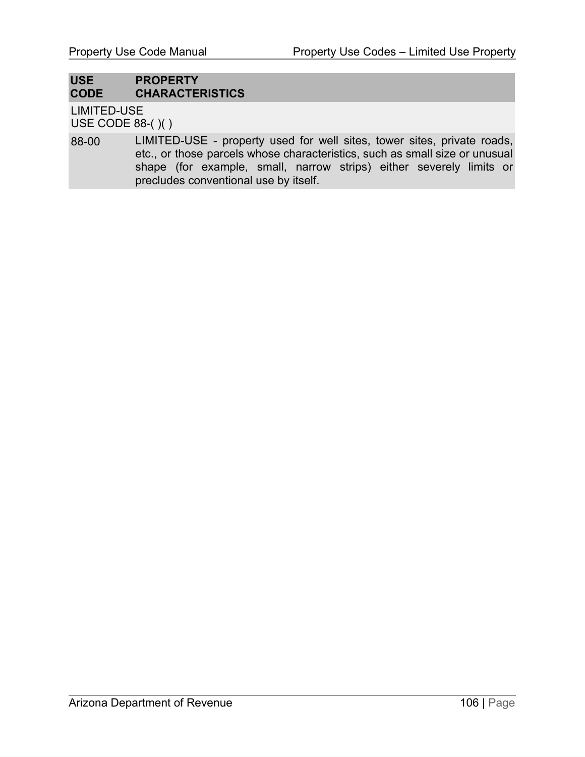LIMITED-USE

USE CODE 88-( )( )

88-00 LIMITED-USE - property used for well sites, tower sites, private roads, etc., or those parcels whose characteristics, such as small size or unusual shape (for example, small, narrow strips) either severely limits or precludes conventional use by itself.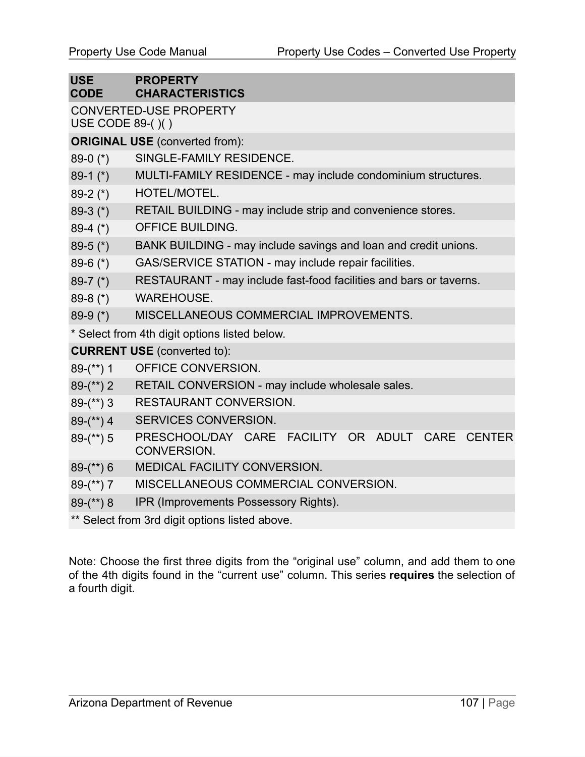# **USE CODE PROPERTY**

**CHARACTERISTICS**

CONVERTED-USE PROPERTY

USE CODE 89-( )( )

**ORIGINAL USE** (converted from):

- 89-0 (\*) SINGLE-FAMILY RESIDENCE.
- 89-1 (\*) MULTI-FAMILY RESIDENCE may include condominium structures.
- 89-2 (\*) HOTEL/MOTEL.
- 89-3 (\*) RETAIL BUILDING may include strip and convenience stores.
- 89-4 (\*) OFFICE BUILDING.
- 89-5 (\*) BANK BUILDING may include savings and loan and credit unions.
- 89-6 (\*) GAS/SERVICE STATION may include repair facilities.
- 89-7 (\*) RESTAURANT may include fast-food facilities and bars or taverns.
- 89-8 (\*) WAREHOUSE.
- 89-9 (\*) MISCELLANEOUS COMMERCIAL IMPROVEMENTS.

\* Select from 4th digit options listed below.

**CURRENT USE** (converted to):

- 89-(\*\*) 1 OFFICE CONVERSION.
- 89-(\*\*) 2 RETAIL CONVERSION may include wholesale sales.
- 89-(\*\*) 3 RESTAURANT CONVERSION.
- 89-(\*\*) 4 SERVICES CONVERSION.
- 89-(\*\*) 5 PRESCHOOL/DAY CARE FACILITY OR ADULT CARE CENTER CONVERSION.
- 89-(\*\*) 6 MEDICAL FACILITY CONVERSION.
- 89-(\*\*) 7 MISCELLANEOUS COMMERCIAL CONVERSION.
- 89-(\*\*) 8 IPR (Improvements Possessory Rights).
- \*\* Select from 3rd digit options listed above.

Note: Choose the first three digits from the "original use" column, and add them to one of the 4th digits found in the "current use" column. This series **requires** the selection of a fourth digit.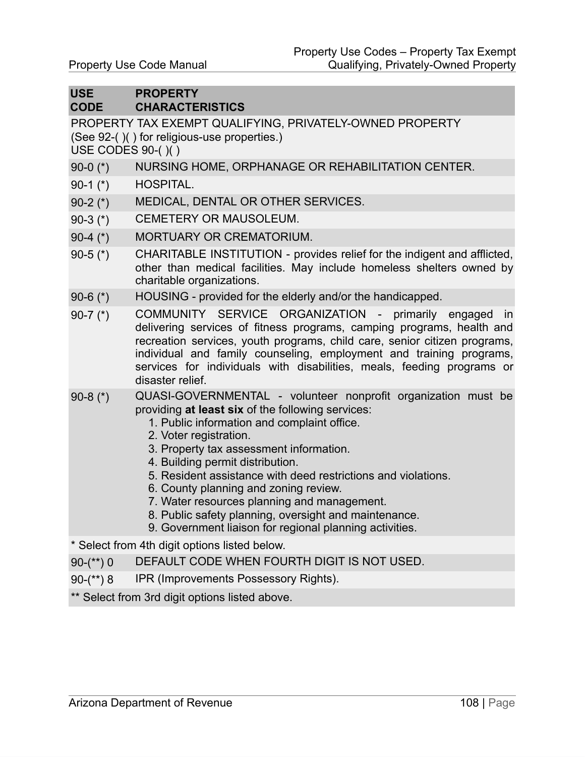**USE PROPERTY**

**CODE CHARACTERISTICS**

<span id="page-108-0"></span>PROPERTY TAX EXEMPT QUALIFYING, PRIVATELY-OWNED PROPERTY

(See 92-( )( ) for religious-use properties.)

USE CODES 90-( )( )

- 90-0 (\*) NURSING HOME, ORPHANAGE OR REHABILITATION CENTER.
- 90-1 (\*) HOSPITAL.
- 90-2 (\*) MEDICAL, DENTAL OR OTHER SERVICES.
- 90-3 (\*) CEMETERY OR MAUSOLEUM.
- 90-4 (\*) MORTUARY OR CREMATORIUM.
- 90-5 (\*) CHARITABLE INSTITUTION provides relief for the indigent and afflicted, other than medical facilities. May include homeless shelters owned by charitable organizations.
- 90-6 (\*) HOUSING provided for the elderly and/or the handicapped.
- 90-7 (\*) COMMUNITY SERVICE ORGANIZATION primarily engaged in delivering services of fitness programs, camping programs, health and recreation services, youth programs, child care, senior citizen programs, individual and family counseling, employment and training programs, services for individuals with disabilities, meals, feeding programs or disaster relief.
- 90-8 (\*) QUASI-GOVERNMENTAL volunteer nonprofit organization must be providing **at least six** of the following services:
	- 1. Public information and complaint office.
	- 2. Voter registration.
	- 3. Property tax assessment information.
	- 4. Building permit distribution.
	- 5. Resident assistance with deed restrictions and violations.
	- 6. County planning and zoning review.
	- 7. Water resources planning and management.
	- 8. Public safety planning, oversight and maintenance.
	- 9. Government liaison for regional planning activities.

\* Select from 4th digit options listed below.

90-(\*\*) 0 DEFAULT CODE WHEN FOURTH DIGIT IS NOT USED.

- 90-(\*\*) 8 IPR (Improvements Possessory Rights).
- \*\* Select from 3rd digit options listed above.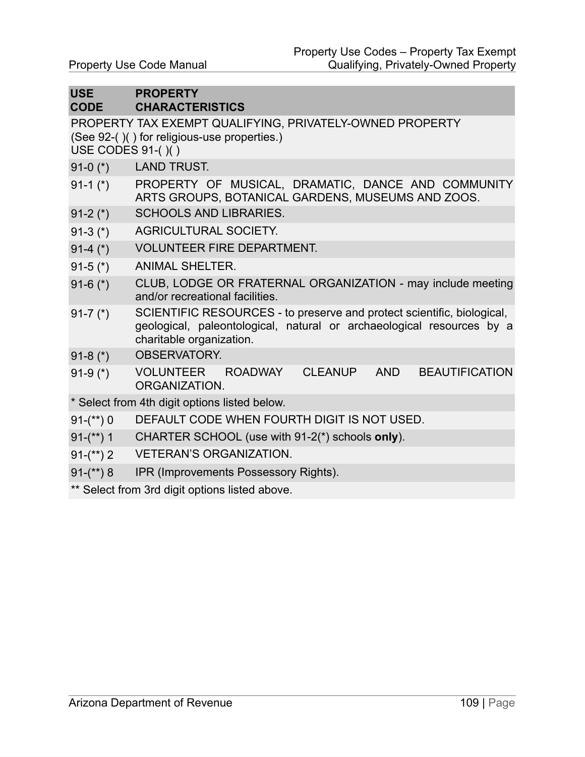| <b>USE</b><br><b>CODE</b> | <b>PROPERTY</b><br><b>CHARACTERISTICS</b>                                                                                                                                   |
|---------------------------|-----------------------------------------------------------------------------------------------------------------------------------------------------------------------------|
| USE CODES $91-()()$       | PROPERTY TAX EXEMPT QUALIFYING, PRIVATELY-OWNED PROPERTY<br>(See 92-()() for religious-use properties.)                                                                     |
| 91-0 $(*)$                | <b>LAND TRUST.</b>                                                                                                                                                          |
| 91-1 $(*)$                | PROPERTY OF MUSICAL, DRAMATIC, DANCE AND COMMUNITY<br>ARTS GROUPS, BOTANICAL GARDENS, MUSEUMS AND ZOOS.                                                                     |
| 91-2 $(*)$                | <b>SCHOOLS AND LIBRARIES.</b>                                                                                                                                               |
| 91-3 $(*)$                | <b>AGRICULTURAL SOCIETY.</b>                                                                                                                                                |
| 91-4 $(*)$                | <b>VOLUNTEER FIRE DEPARTMENT.</b>                                                                                                                                           |
| 91-5 $(*)$                | <b>ANIMAL SHELTER.</b>                                                                                                                                                      |
| 91-6 $(*)$                | CLUB, LODGE OR FRATERNAL ORGANIZATION - may include meeting<br>and/or recreational facilities.                                                                              |
| 91-7 $(*)$                | SCIENTIFIC RESOURCES - to preserve and protect scientific, biological,<br>geological, paleontological, natural or archaeological resources by a<br>charitable organization. |
| 91-8 $(*)$                | OBSERVATORY.                                                                                                                                                                |
| 91-9 $(*)$                | <b>CLEANUP</b><br>VOLUNTEER ROADWAY<br><b>AND</b><br><b>BEAUTIFICATION</b><br>ORGANIZATION.                                                                                 |
|                           | * Select from 4th digit options listed below.                                                                                                                               |
| $91-(**)0$                | DEFAULT CODE WHEN FOURTH DIGIT IS NOT USED.                                                                                                                                 |
| $91-(**)1$                | CHARTER SCHOOL (use with 91-2(*) schools only).                                                                                                                             |
| $91-(**)$ 2               | <b>VETERAN'S ORGANIZATION.</b>                                                                                                                                              |
|                           |                                                                                                                                                                             |

91-(\*\*) 8 IPR (Improvements Possessory Rights).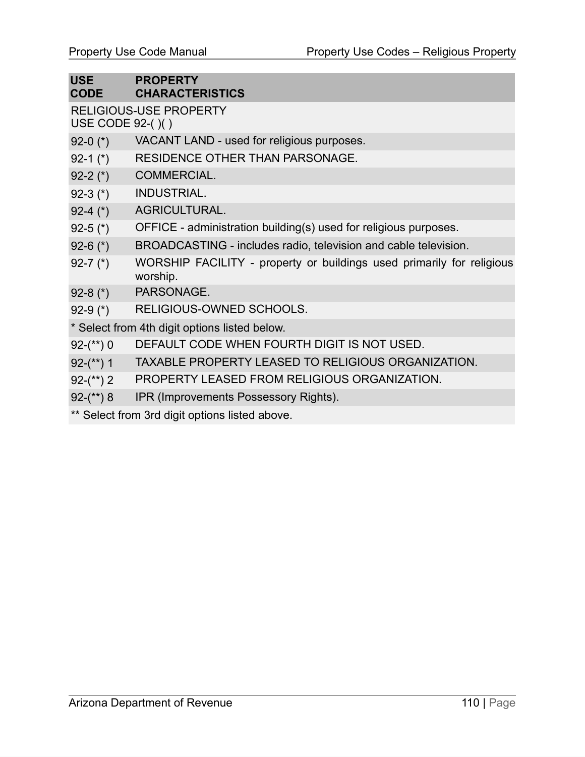<span id="page-110-0"></span>

| <b>USE</b>       | <b>PROPERTY</b>                                                                   |
|------------------|-----------------------------------------------------------------------------------|
| <b>CODE</b>      | <b>CHARACTERISTICS</b>                                                            |
| USE CODE 92-()() | <b>RELIGIOUS-USE PROPERTY</b>                                                     |
| 92-0 $(*)$       | VACANT LAND - used for religious purposes.                                        |
| 92-1 $(*)$       | RESIDENCE OTHER THAN PARSONAGE.                                                   |
| 92-2 $(*)$       | COMMERCIAL.                                                                       |
| 92-3 $(*)$       | <b>INDUSTRIAL.</b>                                                                |
| 92-4 $(*)$       | <b>AGRICULTURAL.</b>                                                              |
| 92-5 $(*)$       | OFFICE - administration building(s) used for religious purposes.                  |
| 92-6 $(*)$       | BROADCASTING - includes radio, television and cable television.                   |
| 92-7 $(*)$       | WORSHIP FACILITY - property or buildings used primarily for religious<br>worship. |
| 92-8 $(*)$       | PARSONAGE.                                                                        |
| 92-9 $(*)$       | RELIGIOUS-OWNED SCHOOLS.                                                          |
|                  | * Select from 4th digit options listed below.                                     |
| $92-(**)0$       | DEFAULT CODE WHEN FOURTH DIGIT IS NOT USED.                                       |
| $92-(**)$ 1      | TAXABLE PROPERTY LEASED TO RELIGIOUS ORGANIZATION.                                |
| $92-(**)$ 2      | PROPERTY LEASED FROM RELIGIOUS ORGANIZATION.                                      |

92-(\*\*) 8 IPR (Improvements Possessory Rights).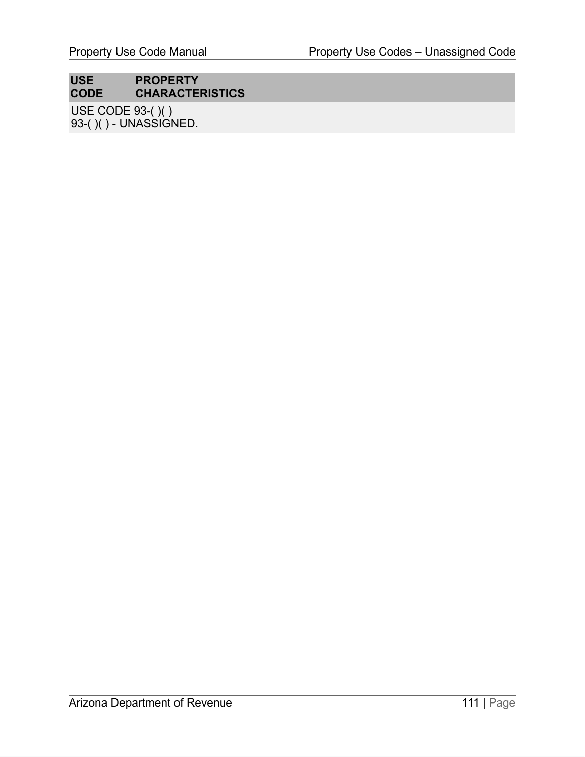#### **USE CODE PROPERTY CHARACTERISTICS**

USE CODE 93-( )( ) 93-( )( ) - UNASSIGNED.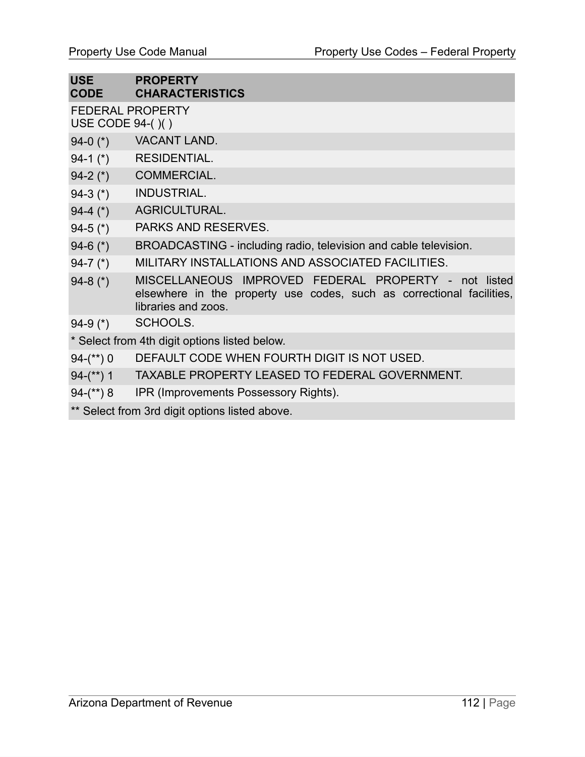#### **USE CODE PROPERTY CHARACTERISTICS**

<span id="page-112-0"></span>FEDERAL PROPERTY

USE CODE 94-( )( )

- 94-0 (\*) VACANT LAND.
- 94-1 (\*) RESIDENTIAL.
- 94-2 (\*) COMMERCIAL.
- 94-3 (\*) INDUSTRIAL.
- 94-4 (\*) AGRICULTURAL.
- 94-5 (\*) PARKS AND RESERVES.
- 94-6 (\*) BROADCASTING including radio, television and cable television.
- 94-7 (\*) MILITARY INSTALLATIONS AND ASSOCIATED FACILITIES.
- 94-8 (\*) MISCELLANEOUS IMPROVED FEDERAL PROPERTY not listed elsewhere in the property use codes, such as correctional facilities, libraries and zoos.
- 94-9 (\*) SCHOOLS.

\* Select from 4th digit options listed below.

- 94-(\*\*) 0 DEFAULT CODE WHEN FOURTH DIGIT IS NOT USED.
- 94-(\*\*) 1 TAXABLE PROPERTY LEASED TO FEDERAL GOVERNMENT.
- 94-(\*\*) 8 IPR (Improvements Possessory Rights).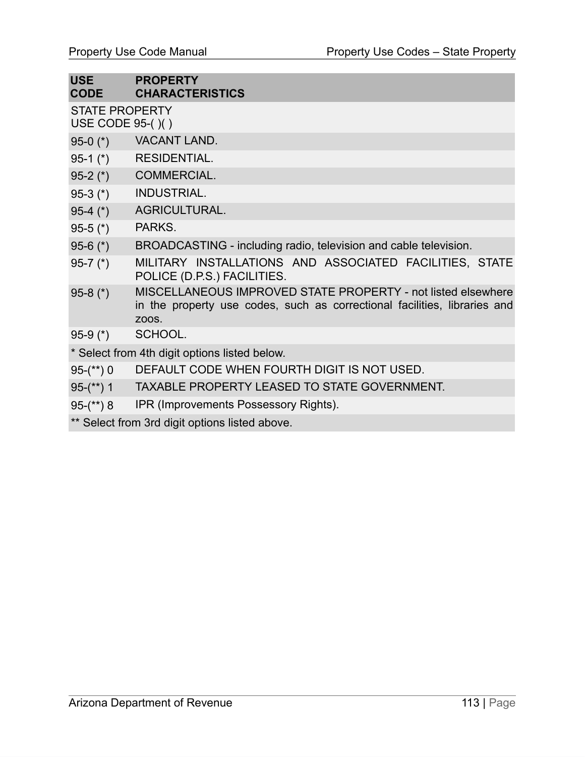<span id="page-113-0"></span>

| <b>USE</b><br><b>CODE</b>                 | <b>PROPERTY</b><br><b>CHARACTERISTICS</b>                                                                                                          |
|-------------------------------------------|----------------------------------------------------------------------------------------------------------------------------------------------------|
| <b>STATE PROPERTY</b><br>USE CODE 95-()() |                                                                                                                                                    |
| 95-0 $(*)$                                | <b>VACANT LAND.</b>                                                                                                                                |
| $95-1$ $(*)$                              | <b>RESIDENTIAL.</b>                                                                                                                                |
| 95-2 $(*)$                                | <b>COMMERCIAL.</b>                                                                                                                                 |
| $95-3$ $(*)$                              | <b>INDUSTRIAL.</b>                                                                                                                                 |
| 95-4 $(*)$                                | <b>AGRICULTURAL.</b>                                                                                                                               |
| 95-5 $(*)$                                | PARKS.                                                                                                                                             |
| 95-6 $(*)$                                | BROADCASTING - including radio, television and cable television.                                                                                   |
| 95-7 $(*)$                                | MILITARY INSTALLATIONS AND ASSOCIATED FACILITIES, STATE<br>POLICE (D.P.S.) FACILITIES.                                                             |
| $95-8 (*)$                                | MISCELLANEOUS IMPROVED STATE PROPERTY - not listed elsewhere<br>in the property use codes, such as correctional facilities, libraries and<br>Z00S. |
| 95-9 $(*)$                                | SCHOOL.                                                                                                                                            |
|                                           | * Select from 4th digit options listed below.                                                                                                      |
| $95-(**)$ 0                               | DEFAULT CODE WHEN FOURTH DIGIT IS NOT USED.                                                                                                        |
| $95-(**)$ 1                               | <b>TAXABLE PROPERTY LEASED TO STATE GOVERNMENT.</b>                                                                                                |

- 95-(\*\*) 8 IPR (Improvements Possessory Rights).
- \*\* Select from 3rd digit options listed above.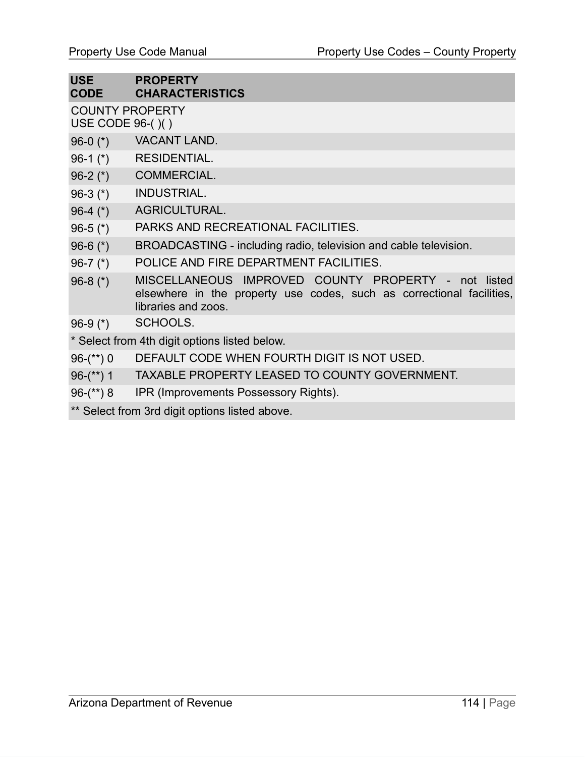| <b>USE</b>  | <b>PROPERTY</b>        |
|-------------|------------------------|
| <b>CODE</b> | <b>CHARACTERISTICS</b> |

<span id="page-114-0"></span>COUNTY PROPERTY USE CODE 96-( )( )

- 
- 96-0 (\*) VACANT LAND.
- 96-1 (\*) RESIDENTIAL.
- 96-2 (\*) COMMERCIAL.
- 96-3 (\*) INDUSTRIAL.
- 96-4 (\*) AGRICULTURAL.
- 96-5 (\*) PARKS AND RECREATIONAL FACILITIES.
- 96-6 (\*) BROADCASTING including radio, television and cable television.
- 96-7 (\*) POLICE AND FIRE DEPARTMENT FACILITIES.
- 96-8 (\*) MISCELLANEOUS IMPROVED COUNTY PROPERTY not listed elsewhere in the property use codes, such as correctional facilities, libraries and zoos.
- 96-9 (\*) SCHOOLS.

\* Select from 4th digit options listed below.

- 96-(\*\*) 0 DEFAULT CODE WHEN FOURTH DIGIT IS NOT USED.
- 96-(\*\*) 1 TAXABLE PROPERTY LEASED TO COUNTY GOVERNMENT.
- 96-(\*\*) 8 IPR (Improvements Possessory Rights).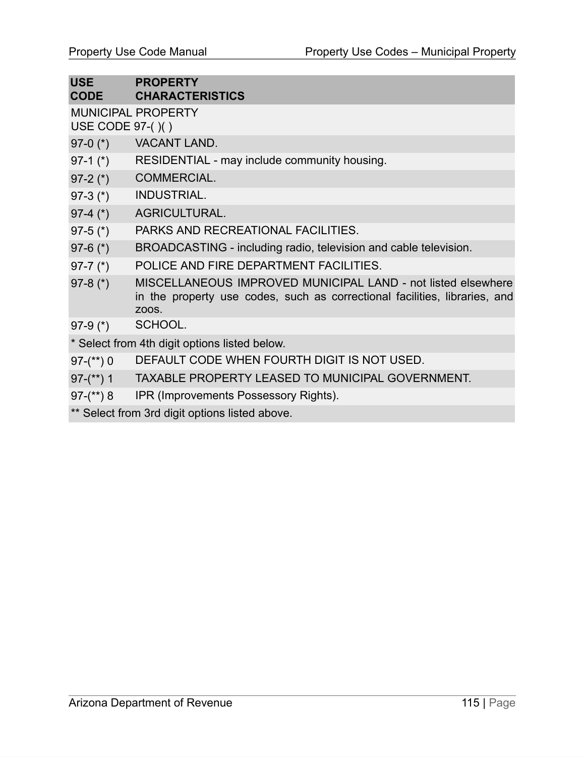#### **USE PROPERTY**

**CODE CHARACTERISTICS**

<span id="page-115-0"></span>MUNICIPAL PROPERTY

USE CODE 97-( )( )

- 97-0 (\*) VACANT LAND.
- 97-1 (\*) RESIDENTIAL may include community housing.
- 97-2 (\*) COMMERCIAL.
- 97-3 (\*) INDUSTRIAL.
- 97-4 (\*) AGRICULTURAL.
- 97-5 (\*) PARKS AND RECREATIONAL FACILITIES.
- 97-6 (\*) BROADCASTING including radio, television and cable television.
- 97-7 (\*) POLICE AND FIRE DEPARTMENT FACILITIES.
- 97-8 (\*) MISCELLANEOUS IMPROVED MUNICIPAL LAND not listed elsewhere in the property use codes, such as correctional facilities, libraries, and zoos.
- 97-9 (\*) SCHOOL.

\* Select from 4th digit options listed below.

- 97-(\*\*) 0 DEFAULT CODE WHEN FOURTH DIGIT IS NOT USED.
- 97-(\*\*) 1 TAXABLE PROPERTY LEASED TO MUNICIPAL GOVERNMENT.
- 97-(\*\*) 8 IPR (Improvements Possessory Rights).
- \*\* Select from 3rd digit options listed above.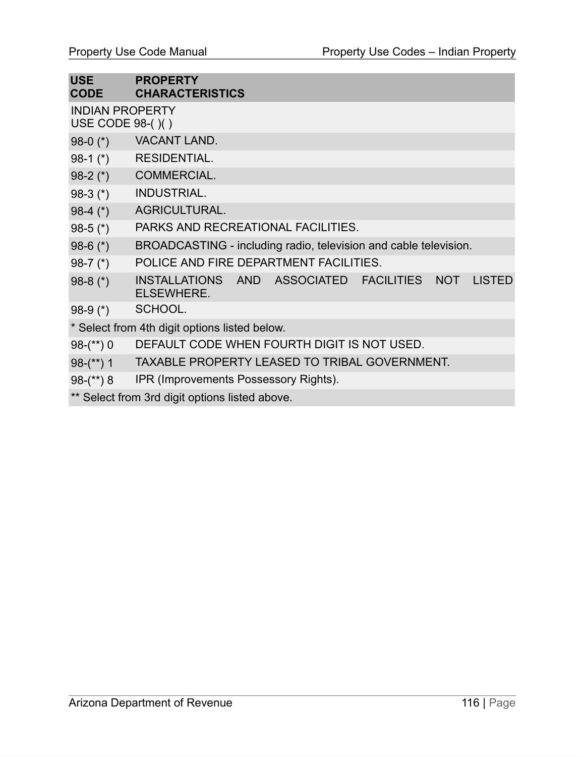<span id="page-116-0"></span>

| <b>USE</b><br><b>CODE</b>                    | <b>PROPERTY</b><br><b>CHARACTERISTICS</b>                                               |  |  |
|----------------------------------------------|-----------------------------------------------------------------------------------------|--|--|
| <b>INDIAN PROPERTY</b><br>USE CODE $98-()()$ |                                                                                         |  |  |
| 98-0 $(*)$                                   | VACANT LAND.                                                                            |  |  |
| 98-1 $(*)$                                   | <b>RESIDENTIAL.</b>                                                                     |  |  |
| 98-2 $(*)$                                   | <b>COMMERCIAL.</b>                                                                      |  |  |
| 98-3 $(*)$                                   | <b>INDUSTRIAL.</b>                                                                      |  |  |
| 98-4 $(*)$                                   | <b>AGRICULTURAL.</b>                                                                    |  |  |
| 98-5 $(*)$                                   | PARKS AND RECREATIONAL FACILITIES.                                                      |  |  |
| 98-6 $(*)$                                   | BROADCASTING - including radio, television and cable television.                        |  |  |
| 98-7 $(*)$                                   | POLICE AND FIRE DEPARTMENT FACILITIES.                                                  |  |  |
| 98-8 $(*)$                                   | ASSOCIATED FACILITIES<br>INSTALLATIONS AND<br><b>NOT</b><br><b>LISTED</b><br>ELSEWHERE. |  |  |
| 98-9 $(*)$                                   | SCHOOL.                                                                                 |  |  |
|                                              | * Select from 4th digit options listed below.                                           |  |  |
| $98-(**)0$                                   | DEFAULT CODE WHEN FOURTH DIGIT IS NOT USED.                                             |  |  |
| $98-(**)$ 1                                  | TAXABLE PROPERTY LEASED TO TRIBAL GOVERNMENT.                                           |  |  |
| $98-(**)$ 8                                  | <b>IPR (Improvements Possessory Rights).</b>                                            |  |  |
|                                              | ** Select from 3rd digit options listed above.                                          |  |  |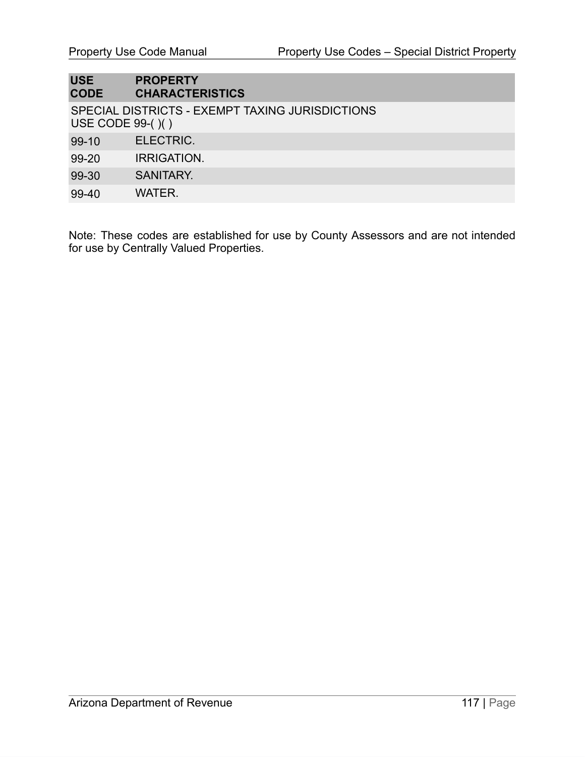<span id="page-117-0"></span>

| <b>USE</b><br><b>CODE</b> | <b>PROPERTY</b><br><b>CHARACTERISTICS</b>       |
|---------------------------|-------------------------------------------------|
| USE CODE $99-()()$        | SPECIAL DISTRICTS - EXEMPT TAXING JURISDICTIONS |
| $99-10$                   | ELECTRIC.                                       |
| 99-20                     | <b>IRRIGATION.</b>                              |
| 99-30                     | <b>SANITARY.</b>                                |
| 99-40                     | WATER.                                          |

Note: These codes are established for use by County Assessors and are not intended for use by Centrally Valued Properties.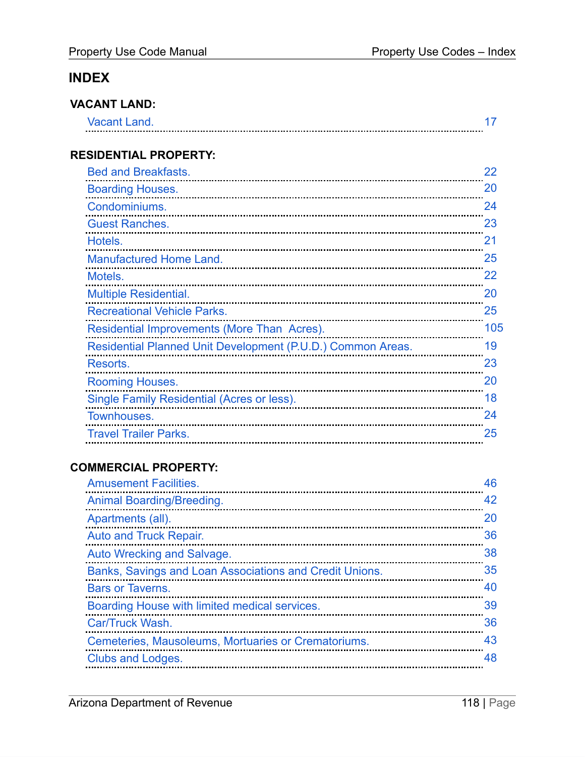# **INDEX**

## **VACANT LAND:**

### **RESIDENTIAL PROPERTY:**

| <b>Bed and Breakfasts.</b>                                  | 22  |
|-------------------------------------------------------------|-----|
| <b>Boarding Houses.</b>                                     | 20  |
| Condominiums.                                               | 24  |
| <b>Guest Ranches.</b>                                       | 23  |
| Hotels.                                                     | 21  |
| <b>Manufactured Home Land.</b>                              | 25  |
| Motels.                                                     | 22  |
| <b>Multiple Residential.</b>                                | 20  |
| <b>Recreational Vehicle Parks.</b>                          | 25  |
| Residential Improvements (More Than Acres).                 | 105 |
| Residential Planned Unit Development (P.U.D.) Common Areas. | 19  |
| Resorts.                                                    | 23  |
| Rooming Houses.                                             | 20  |
| Single Family Residential (Acres or less).                  | 18  |
| Townhouses.                                                 | 24  |
| <b>Travel Trailer Parks.</b>                                | 25  |
|                                                             |     |

## **COMMERCIAL PROPERTY:**

| <b>Amusement Facilities.</b>                            | 46 |
|---------------------------------------------------------|----|
| <b>Animal Boarding/Breeding.</b>                        | 42 |
| Apartments (all).                                       | 20 |
| <b>Auto and Truck Repair.</b>                           | 36 |
| Auto Wrecking and Salvage.                              | 38 |
| Banks, Savings and Loan Associations and Credit Unions. | 35 |
| <b>Bars or Taverns.</b>                                 | 40 |
| Boarding House with limited medical services.           | 39 |
| Car/Truck Wash.                                         | 36 |
| Cemeteries, Mausoleums, Mortuaries or Crematoriums.     | 43 |
| <b>Clubs and Lodges.</b>                                | 48 |
|                                                         |    |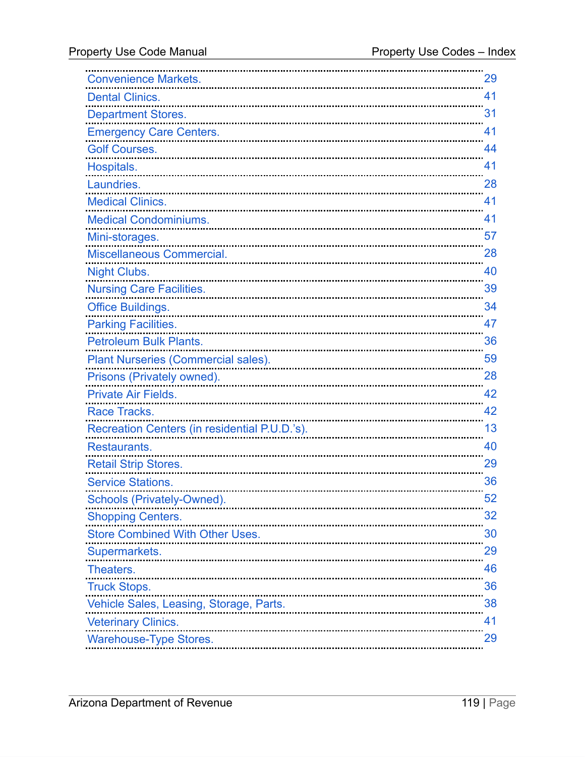| <b>Convenience Markets.</b>                   | 29 |
|-----------------------------------------------|----|
| <b>Dental Clinics.</b>                        | 41 |
| <b>Department Stores.</b>                     | 31 |
| <b>Emergency Care Centers.</b>                | 41 |
| <b>Golf Courses.</b>                          | 44 |
| Hospitals.                                    | 41 |
| Laundries.                                    | 28 |
| <b>Medical Clinics.</b>                       | 41 |
| <b>Medical Condominiums.</b>                  | 41 |
| Mini-storages.                                | 57 |
| <b>Miscellaneous Commercial.</b>              | 28 |
| <b>Night Clubs.</b>                           | 40 |
| <b>Nursing Care Facilities.</b>               | 39 |
| <b>Office Buildings.</b>                      | 34 |
| <b>Parking Facilities.</b>                    | 47 |
| <b>Petroleum Bulk Plants.</b>                 | 36 |
| Plant Nurseries (Commercial sales).           | 59 |
| Prisons (Privately owned).                    | 28 |
| <b>Private Air Fields.</b>                    | 42 |
| <b>Race Tracks.</b>                           | 42 |
| Recreation Centers (in residential P.U.D.'s). | 13 |
| Restaurants.                                  | 40 |
| <b>Retail Strip Stores.</b>                   | 29 |
| <b>Service Stations.</b>                      | 36 |
| <b>Schools (Privately-Owned).</b>             | 52 |
| <b>Shopping Centers.</b>                      | 32 |
| <b>Store Combined With Other Uses.</b>        | 30 |
| Supermarkets.                                 | 29 |
| Theaters.                                     | 46 |
| <b>Truck Stops.</b>                           | 36 |
| Vehicle Sales, Leasing, Storage, Parts.       | 38 |
| <b>Veterinary Clinics.</b>                    | 41 |
| <b>Warehouse-Type Stores.</b>                 | 29 |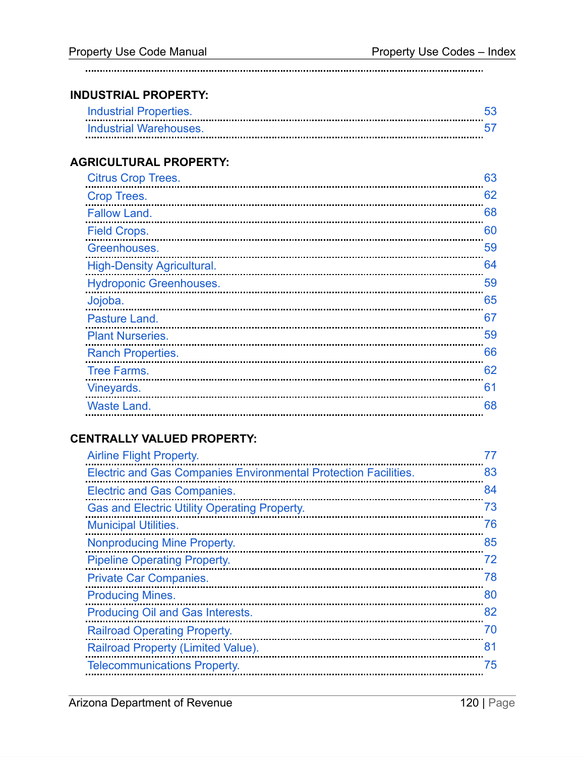#### **INDUSTRIAL PROPERTY:**

| <b>Industrial Properties.</b> |  |
|-------------------------------|--|
| Industrial Warehouses.        |  |

### **AGRICULTURAL PROPERTY:**

| <b>Citrus Crop Trees.</b>         | 63 |
|-----------------------------------|----|
| <b>Crop Trees.</b>                | 62 |
| <b>Fallow Land.</b>               | 68 |
| <b>Field Crops.</b>               | 60 |
| Greenhouses.                      | 59 |
| <b>High-Density Agricultural.</b> | 64 |
| <b>Hydroponic Greenhouses.</b>    | 59 |
| Jojoba.                           | 65 |
| Pasture Land.                     | 67 |
| <b>Plant Nurseries.</b>           | 59 |
| <b>Ranch Properties.</b>          | 66 |
| <b>Tree Farms.</b>                | 62 |
| Vineyards.                        | 61 |
| <b>Waste Land.</b>                | 68 |
|                                   |    |

## **CENTRALLY VALUED PROPERTY:**

| <b>Airline Flight Property.</b>                                        |    |
|------------------------------------------------------------------------|----|
| <b>Electric and Gas Companies Environmental Protection Facilities.</b> | 83 |
| <b>Electric and Gas Companies.</b>                                     | 84 |
| <b>Gas and Electric Utility Operating Property.</b>                    | 73 |
| <b>Municipal Utilities.</b>                                            | 76 |
| <b>Nonproducing Mine Property.</b>                                     | 85 |
| <b>Pipeline Operating Property.</b>                                    | 72 |
| <b>Private Car Companies.</b>                                          | 78 |
| <b>Producing Mines.</b>                                                | 80 |
| Producing Oil and Gas Interests.                                       | 82 |
| <b>Railroad Operating Property.</b>                                    | 70 |
| Railroad Property (Limited Value).                                     | 81 |
| <b>Telecommunications Property.</b>                                    | 75 |
|                                                                        |    |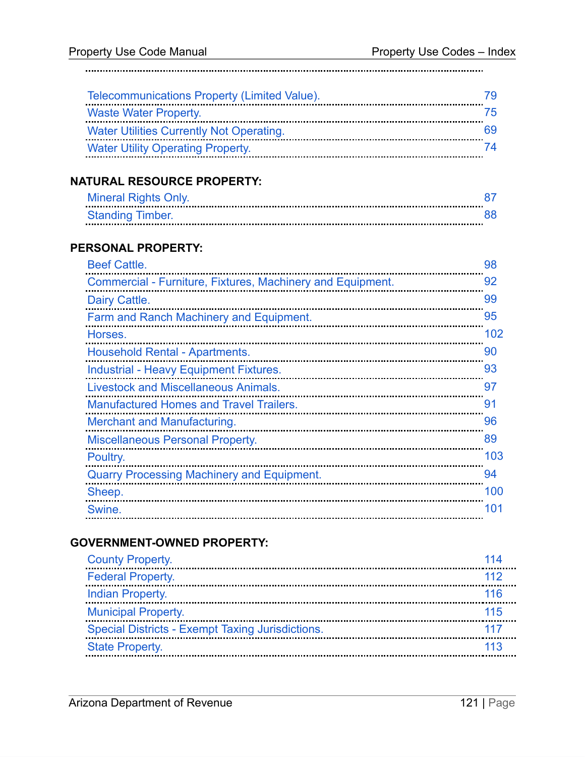.............

| Telecommunications Property (Limited Value).    |     |
|-------------------------------------------------|-----|
| <b>Waste Water Property.</b>                    | 75. |
| <b>Water Utilities Currently Not Operating.</b> |     |
| <b>Water Utility Operating Property.</b>        |     |

## **NATURAL RESOURCE PROPERTY:**

| <b>Mineral Rights Only.</b> |  |
|-----------------------------|--|
| <b>Standing Timber.</b>     |  |

### **PERSONAL PROPERTY:**

| <b>Beef Cattle.</b>                                        | 98  |
|------------------------------------------------------------|-----|
| Commercial - Furniture, Fixtures, Machinery and Equipment. | 92  |
| Dairy Cattle.                                              | 99  |
| Farm and Ranch Machinery and Equipment.                    | 95  |
| Horses.                                                    | 102 |
| Household Rental - Apartments.                             | 90  |
| <b>Industrial - Heavy Equipment Fixtures.</b>              | 93  |
| <b>Livestock and Miscellaneous Animals.</b>                | 97  |
| <b>Manufactured Homes and Travel Trailers.</b>             | 91  |
| Merchant and Manufacturing.                                | 96  |
| <b>Miscellaneous Personal Property.</b>                    | 89  |
| Poultry.                                                   | 103 |
| <b>Quarry Processing Machinery and Equipment.</b>          | 94  |
| Sheep.                                                     | 100 |
| Swine.                                                     | 101 |
|                                                            |     |

### **GOVERNMENT-OWNED PROPERTY:**

| <b>County Property.</b>                                 |  |
|---------------------------------------------------------|--|
| <b>Federal Property.</b>                                |  |
| <b>Indian Property.</b>                                 |  |
| <b>Municipal Property.</b>                              |  |
| <b>Special Districts - Exempt Taxing Jurisdictions.</b> |  |
| <b>State Property.</b>                                  |  |